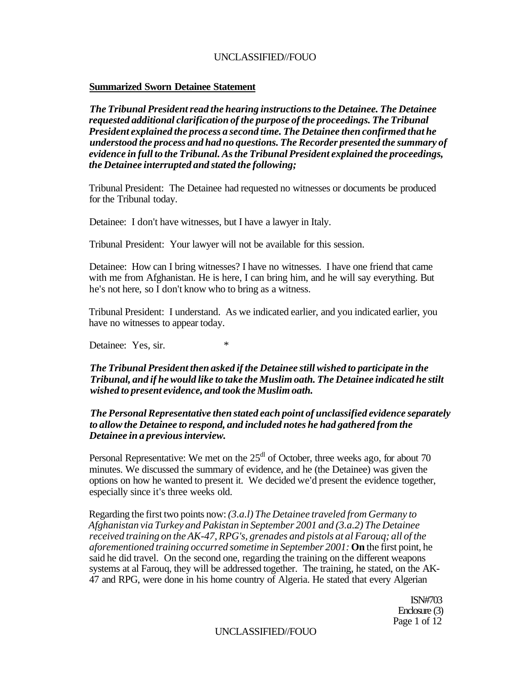### **Summarized Sworn Detainee Statement**

*The Tribunal President read the hearing instructions to the Detainee. The Detainee requested additional clarification of the purpose of the proceedings. The Tribunal President explained the process a second time. The Detainee then confirmed that he understood the process and had no questions. The Recorder presented the summary of evidence in full to the Tribunal. As the Tribunal President explained the proceedings, the Detainee interrupted and stated the following;* 

Tribunal President: The Detainee had requested no witnesses or documents be produced for the Tribunal today.

Detainee: I don't have witnesses, but I have a lawyer in Italy.

Tribunal President: Your lawyer will not be available for this session.

Detainee: How can I bring witnesses? I have no witnesses. I have one friend that came with me from Afghanistan. He is here, I can bring him, and he will say everything. But he's not here, so I don't know who to bring as a witness.

Tribunal President: I understand. As we indicated earlier, and you indicated earlier, you have no witnesses to appear today.

Detainee: Yes, sir.  $*$ 

## *The Tribunal President then asked if the Detainee still wished to participate in the Tribunal, and if he would like to take the Muslim oath. The Detainee indicated he stilt wished to present evidence, and took the Muslim oath.*

## *The Personal Representative then stated each point of unclassified evidence separately to allow the Detainee to respond, and included notes he had gathered from the Detainee in a previous interview.*

Personal Representative: We met on the  $25<sup>dl</sup>$  of October, three weeks ago, for about 70 minutes. We discussed the summary of evidence, and he (the Detainee) was given the options on how he wanted to present it. We decided we'd present the evidence together, especially since it's three weeks old.

Regarding the first two points now: *(3.a.l) The Detainee traveled from Germany to Afghanistan via Turkey and Pakistan in September 2001 and (3.a.2) The Detainee received training on the AK-47, RPG's, grenades and pistols at al Farouq; all of the aforementioned training occurred sometime in September 2001:* **On** the first point, he said he did travel. On the second one, regarding the training on the different weapons systems at al Farouq, they will be addressed together. The training, he stated, on the AK-47 and RPG, were done in his home country of Algeria. He stated that every Algerian

> ISN#703 Enclosure (3) Page 1 of 12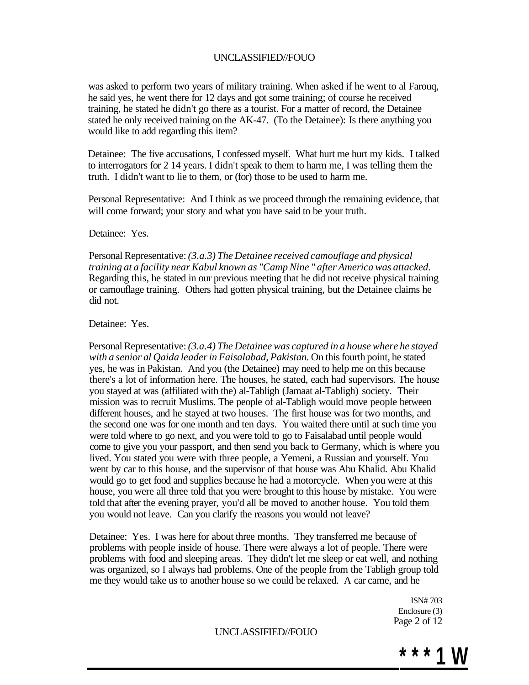was asked to perform two years of military training. When asked if he went to al Farouq, he said yes, he went there for 12 days and got some training; of course he received training, he stated he didn't go there as a tourist. For a matter of record, the Detainee stated he only received training on the AK-47. (To the Detainee): Is there anything you would like to add regarding this item?

Detainee: The five accusations, I confessed myself. What hurt me hurt my kids. I talked to interrogators for 2 14 years. I didn't speak to them to harm me, I was telling them the truth. I didn't want to lie to them, or (for) those to be used to harm me.

Personal Representative: And I think as we proceed through the remaining evidence, that will come forward; your story and what you have said to be your truth.

Detainee: Yes.

Personal Representative: *(3.a.3) The Detainee received camouflage and physical training at a facility near Kabul known as "Camp Nine " after America was attacked.*  Regarding this, he stated in our previous meeting that he did not receive physical training or camouflage training. Others had gotten physical training, but the Detainee claims he did not.

Detainee: Yes.

Personal Representative: *(3.a.4) The Detainee was captured in a house where he stayed with a senior al Qaida leader in Faisalabad, Pakistan.* On this fourth point, he stated yes, he was in Pakistan. And you (the Detainee) may need to help me on this because there's a lot of information here. The houses, he stated, each had supervisors. The house you stayed at was (affiliated with the) al-Tabligh (Jamaat al-Tabligh) society. Their mission was to recruit Muslims. The people of al-Tabligh would move people between different houses, and he stayed at two houses. The first house was for two months, and the second one was for one month and ten days. You waited there until at such time you were told where to go next, and you were told to go to Faisalabad until people would come to give you your passport, and then send you back to Germany, which is where you lived. You stated you were with three people, a Yemeni, a Russian and yourself. You went by car to this house, and the supervisor of that house was Abu Khalid. Abu Khalid would go to get food and supplies because he had a motorcycle. When you were at this house, you were all three told that you were brought to this house by mistake. You were told that after the evening prayer, you'd all be moved to another house. You told them you would not leave. Can you clarify the reasons you would not leave?

Detainee: Yes. I was here for about three months. They transferred me because of problems with people inside of house. There were always a lot of people. There were problems with food and sleeping areas. They didn't let me sleep or eat well, and nothing was organized, so I always had problems. One of the people from the Tabligh group told me they would take us to another house so we could be relaxed. A car came, and he

> ISN# 703 Enclosure (3) Page 2 of 12

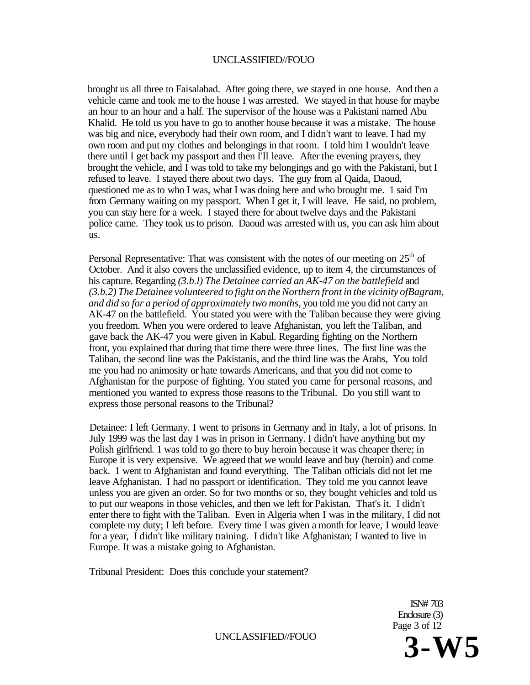brought us all three to Faisalabad. After going there, we stayed in one house. And then a vehicle came and took me to the house I was arrested. We stayed in that house for maybe an hour to an hour and a half. The supervisor of the house was a Pakistani named Abu Khalid. He told us you have to go to another house because it was a mistake. The house was big and nice, everybody had their own room, and I didn't want to leave. I had my own room and put my clothes and belongings in that room. I told him I wouldn't leave there until I get back my passport and then I'll leave. After the evening prayers, they brought the vehicle, and I was told to take my belongings and go with the Pakistani, but I refused to leave. I stayed there about two days. The guy from al Qaida, Daoud, questioned me as to who I was, what I was doing here and who brought me. 1 said I'm from Germany waiting on my passport. When I get it, I will leave. He said, no problem, you can stay here for a week. I stayed there for about twelve days and the Pakistani police came. They took us to prison. Daoud was arrested with us, you can ask him about us.

Personal Representative: That was consistent with the notes of our meeting on  $25<sup>th</sup>$  of October. And it also covers the unclassified evidence, up to item 4, the circumstances of his capture. Regarding *(3.b.l) The Detainee carried an AK-47 on the battlefield* and *(3.b.2) The Detainee volunteered to fight on the Northern front in the vicinity ofBagram, and did so for a period of approximately two months,* you told me you did not carry an AK-47 on the battlefield. You stated you were with the Taliban because they were giving you freedom. When you were ordered to leave Afghanistan, you left the Taliban, and gave back the AK-47 you were given in Kabul. Regarding fighting on the Northern front, you explained that during that time there were three lines. The first line was the Taliban, the second line was the Pakistanis, and the third line was the Arabs, You told me you had no animosity or hate towards Americans, and that you did not come to Afghanistan for the purpose of fighting. You stated you came for personal reasons, and mentioned you wanted to express those reasons to the Tribunal. Do you still want to express those personal reasons to the Tribunal?

Detainee: I left Germany. I went to prisons in Germany and in Italy, a lot of prisons. In July 1999 was the last day I was in prison in Germany. I didn't have anything but my Polish girlfriend. 1 was told to go there to buy heroin because it was cheaper there; in Europe it is very expensive. We agreed that we would leave and buy (heroin) and come back. 1 went to Afghanistan and found everything. The Taliban officials did not let me leave Afghanistan. I had no passport or identification. They told me you cannot leave unless you are given an order. So for two months or so, they bought vehicles and told us to put our weapons in those vehicles, and then we left for Pakistan. That's it. I didn't enter there to fight with the Taliban. Even in Algeria when I was in the military, I did not complete my duty; I left before. Every time I was given a month for leave, I would leave for a year, I didn't like military training. I didn't like Afghanistan; I wanted to live in Europe. It was a mistake going to Afghanistan.

Tribunal President: Does this conclude your statement?

ISN# 703 Enclosure (3) Page 3 of 12

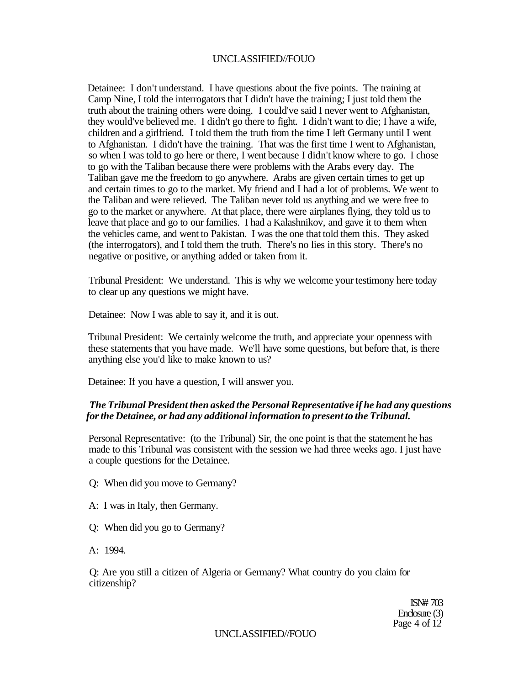Detainee: I don't understand. I have questions about the five points. The training at Camp Nine, I told the interrogators that I didn't have the training; I just told them the truth about the training others were doing. I could've said I never went to Afghanistan, they would've believed me. I didn't go there to fight. I didn't want to die; I have a wife, children and a girlfriend. I told them the truth from the time I left Germany until I went to Afghanistan. I didn't have the training. That was the first time I went to Afghanistan, so when I was told to go here or there, I went because I didn't know where to go. I chose to go with the Taliban because there were problems with the Arabs every day. The Taliban gave me the freedom to go anywhere. Arabs are given certain times to get up and certain times to go to the market. My friend and I had a lot of problems. We went to the Taliban and were relieved. The Taliban never told us anything and we were free to go to the market or anywhere. At that place, there were airplanes flying, they told us to leave that place and go to our families. I had a Kalashnikov, and gave it to them when the vehicles came, and went to Pakistan. I was the one that told them this. They asked (the interrogators), and I told them the truth. There's no lies in this story. There's no negative or positive, or anything added or taken from it.

Tribunal President: We understand. This is why we welcome your testimony here today to clear up any questions we might have.

Detainee: Now I was able to say it, and it is out.

Tribunal President: We certainly welcome the truth, and appreciate your openness with these statements that you have made. We'll have some questions, but before that, is there anything else you'd like to make known to us?

Detainee: If you have a question, I will answer you.

## *The Tribunal President then asked the Personal Representative if he had any questions for the Detainee, or had any additional information to present to the Tribunal.*

Personal Representative: (to the Tribunal) Sir, the one point is that the statement he has made to this Tribunal was consistent with the session we had three weeks ago. I just have a couple questions for the Detainee.

Q: When did you move to Germany?

- A: I was in Italy, then Germany.
- Q: When did you go to Germany?
- A: 1994.

Q: Are you still a citizen of Algeria or Germany? What country do you claim for citizenship?

> ISN# 703 Enclosure (3) Page 4 of 12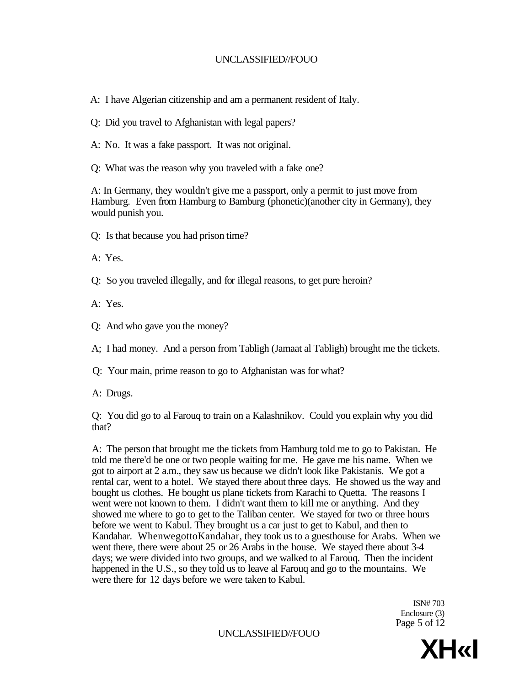A: I have Algerian citizenship and am a permanent resident of Italy.

Q: Did you travel to Afghanistan with legal papers?

A: No. It was a fake passport. It was not original.

Q: What was the reason why you traveled with a fake one?

A: In Germany, they wouldn't give me a passport, only a permit to just move from Hamburg. Even from Hamburg to Bamburg (phonetic)(another city in Germany), they would punish you.

Q: Is that because you had prison time?

A: Yes.

Q: So you traveled illegally, and for illegal reasons, to get pure heroin?

A: Yes.

Q: And who gave you the money?

A; I had money. And a person from Tabligh (Jamaat al Tabligh) brought me the tickets.

Q: Your main, prime reason to go to Afghanistan was for what?

A: Drugs.

Q: You did go to al Farouq to train on a Kalashnikov. Could you explain why you did that?

A: The person that brought me the tickets from Hamburg told me to go to Pakistan. He told me there'd be one or two people waiting for me. He gave me his name. When we got to airport at 2 a.m., they saw us because we didn't look like Pakistanis. We got a rental car, went to a hotel. We stayed there about three days. He showed us the way and bought us clothes. He bought us plane tickets from Karachi to Quetta. The reasons I went were not known to them. I didn't want them to kill me or anything. And they showed me where to go to get to the Taliban center. We stayed for two or three hours before we went to Kabul. They brought us a car just to get to Kabul, and then to Kandahar. WhenwegottoKandahar, they took us to a guesthouse for Arabs. When we went there, there were about 25 or 26 Arabs in the house. We stayed there about 3-4 days; we were divided into two groups, and we walked to al Farouq. Then the incident happened in the U.S., so they told us to leave al Farouq and go to the mountains. We were there for 12 days before we were taken to Kabul.

> ISN# 703 Enclosure (3) Page 5 of 12

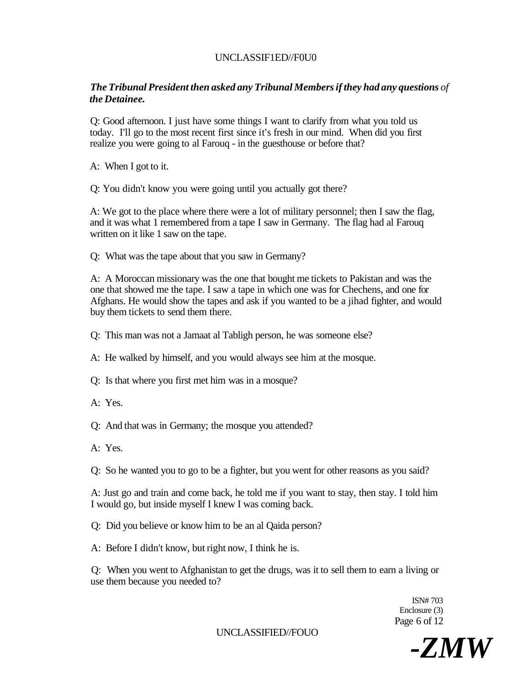# UNCLASSIF1ED//F0U0

# *The Tribunal President then asked any Tribunal Members if they had any questions of the Detainee.*

Q: Good afternoon. I just have some things I want to clarify from what you told us today. I'll go to the most recent first since it's fresh in our mind. When did you first realize you were going to al Farouq - in the guesthouse or before that?

A: When I got to it.

Q: You didn't know you were going until you actually got there?

A: We got to the place where there were a lot of military personnel; then I saw the flag, and it was what 1 remembered from a tape I saw in Germany. The flag had al Farouq written on it like 1 saw on the tape.

Q: What was the tape about that you saw in Germany?

A: A Moroccan missionary was the one that bought me tickets to Pakistan and was the one that showed me the tape. I saw a tape in which one was for Chechens, and one for Afghans. He would show the tapes and ask if you wanted to be a jihad fighter, and would buy them tickets to send them there.

Q: This man was not a Jamaat al Tabligh person, he was someone else?

A: He walked by himself, and you would always see him at the mosque.

Q: Is that where you first met him was in a mosque?

A: Yes.

Q: And that was in Germany; the mosque you attended?

A: Yes.

Q: So he wanted you to go to be a fighter, but you went for other reasons as you said?

A: Just go and train and come back, he told me if you want to stay, then stay. I told him I would go, but inside myself I knew I was coming back.

Q: Did you believe or know him to be an al Qaida person?

A: Before I didn't know, but right now, I think he is.

Q: When you went to Afghanistan to get the drugs, was it to sell them to earn a living or use them because you needed to?

> ISN# 703 Enclosure (3) Page 6 of 12

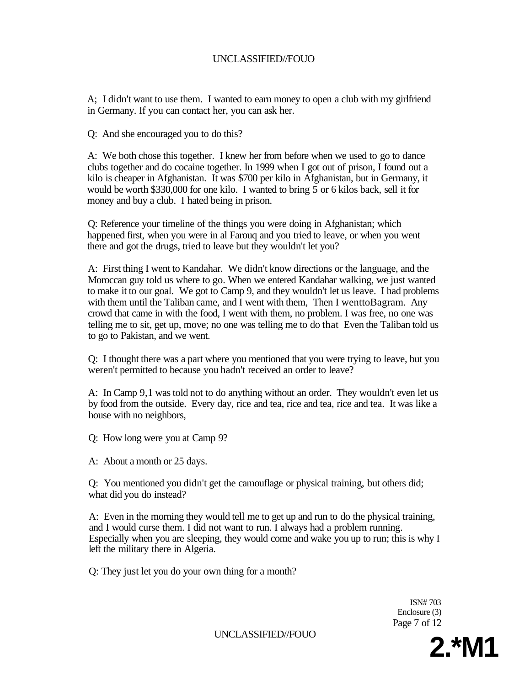A; I didn't want to use them. I wanted to earn money to open a club with my girlfriend in Germany. If you can contact her, you can ask her.

Q: And she encouraged you to do this?

A: We both chose this together. I knew her from before when we used to go to dance clubs together and do cocaine together. In 1999 when I got out of prison, I found out a kilo is cheaper in Afghanistan. It was \$700 per kilo in Afghanistan, but in Germany, it would be worth \$330,000 for one kilo. I wanted to bring 5 or 6 kilos back, sell it for money and buy a club. I hated being in prison.

Q: Reference your timeline of the things you were doing in Afghanistan; which happened first, when you were in al Farouq and you tried to leave, or when you went there and got the drugs, tried to leave but they wouldn't let you?

A: First thing I went to Kandahar. We didn't know directions or the language, and the Moroccan guy told us where to go. When we entered Kandahar walking, we just wanted to make it to our goal. We got to Camp 9, and they wouldn't let us leave. I had problems with them until the Taliban came, and I went with them, Then I wenttoBagram. Any crowd that came in with the food, I went with them, no problem. I was free, no one was telling me to sit, get up, move; no one was telling me to do that Even the Taliban told us to go to Pakistan, and we went.

Q: I thought there was a part where you mentioned that you were trying to leave, but you weren't permitted to because you hadn't received an order to leave?

A: In Camp 9,1 was told not to do anything without an order. They wouldn't even let us by food from the outside. Every day, rice and tea, rice and tea, rice and tea. It was like a house with no neighbors,

Q: How long were you at Camp 9?

A: About a month or 25 days.

Q: You mentioned you didn't get the camouflage or physical training, but others did; what did you do instead?

A: Even in the morning they would tell me to get up and run to do the physical training, and I would curse them. I did not want to run. I always had a problem running. Especially when you are sleeping, they would come and wake you up to run; this is why I left the military there in Algeria.

Q: They just let you do your own thing for a month?

ISN# 703 Enclosure (3) Page 7 of 12

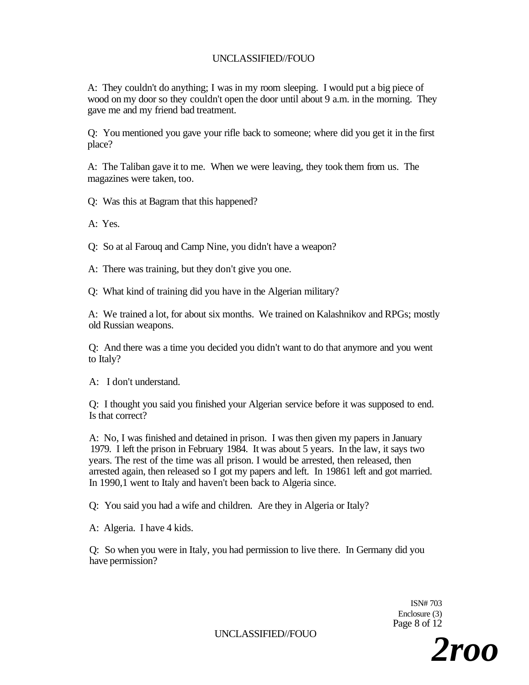A: They couldn't do anything; I was in my room sleeping. I would put a big piece of wood on my door so they couldn't open the door until about 9 a.m. in the morning. They gave me and my friend bad treatment.

Q: You mentioned you gave your rifle back to someone; where did you get it in the first place?

A: The Taliban gave it to me. When we were leaving, they took them from us. The magazines were taken, too.

Q: Was this at Bagram that this happened?

A: Yes.

Q: So at al Farouq and Camp Nine, you didn't have a weapon?

A: There was training, but they don't give you one.

Q: What kind of training did you have in the Algerian military?

A: We trained a lot, for about six months. We trained on Kalashnikov and RPGs; mostly old Russian weapons.

Q: And there was a time you decided you didn't want to do that anymore and you went to Italy?

A: I don't understand.

Q: I thought you said you finished your Algerian service before it was supposed to end. Is that correct?

A: No, I was finished and detained in prison. I was then given my papers in January 1979. I left the prison in February 1984. It was about 5 years. In the law, it says two years. The rest of the time was all prison. I would be arrested, then released, then arrested again, then released so I got my papers and left. In 19861 left and got married. In 1990,1 went to Italy and haven't been back to Algeria since.

Q: You said you had a wife and children. Are they in Algeria or Italy?

A: Algeria. I have 4 kids.

Q: So when you were in Italy, you had permission to live there. In Germany did you have permission?

> ISN# 703 Enclosure (3) Page 8 of 12

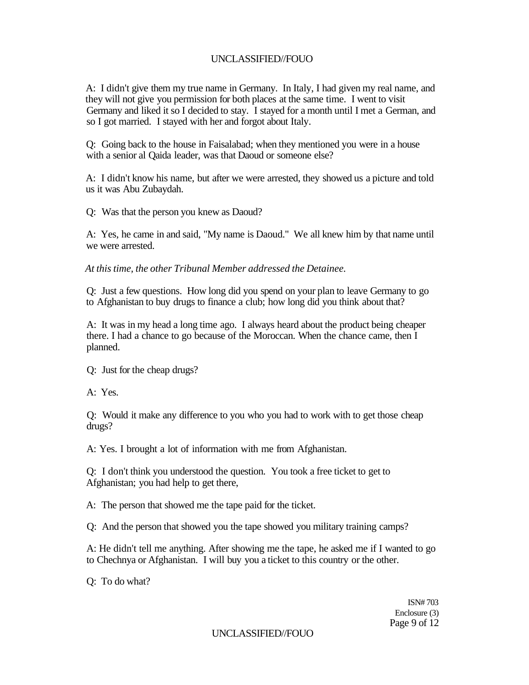A: I didn't give them my true name in Germany. In Italy, I had given my real name, and they will not give you permission for both places at the same time. I went to visit Germany and liked it so I decided to stay. I stayed for a month until I met a German, and so I got married. I stayed with her and forgot about Italy.

Q: Going back to the house in Faisalabad; when they mentioned you were in a house with a senior al Qaida leader, was that Daoud or someone else?

A: I didn't know his name, but after we were arrested, they showed us a picture and told us it was Abu Zubaydah.

Q: Was that the person you knew as Daoud?

A: Yes, he came in and said, "My name is Daoud." We all knew him by that name until we were arrested.

*At this time, the other Tribunal Member addressed the Detainee.* 

Q: Just a few questions. How long did you spend on your plan to leave Germany to go to Afghanistan to buy drugs to finance a club; how long did you think about that?

A: It was in my head a long time ago. I always heard about the product being cheaper there. I had a chance to go because of the Moroccan. When the chance came, then I planned.

Q: Just for the cheap drugs?

A: Yes.

Q: Would it make any difference to you who you had to work with to get those cheap drugs?

A: Yes. I brought a lot of information with me from Afghanistan.

Q: I don't think you understood the question. You took a free ticket to get to Afghanistan; you had help to get there,

A: The person that showed me the tape paid for the ticket.

Q: And the person that showed you the tape showed you military training camps?

A: He didn't tell me anything. After showing me the tape, he asked me if I wanted to go to Chechnya or Afghanistan. I will buy you a ticket to this country or the other.

Q: To do what?

ISN# 703 Enclosure (3) Page 9 of 12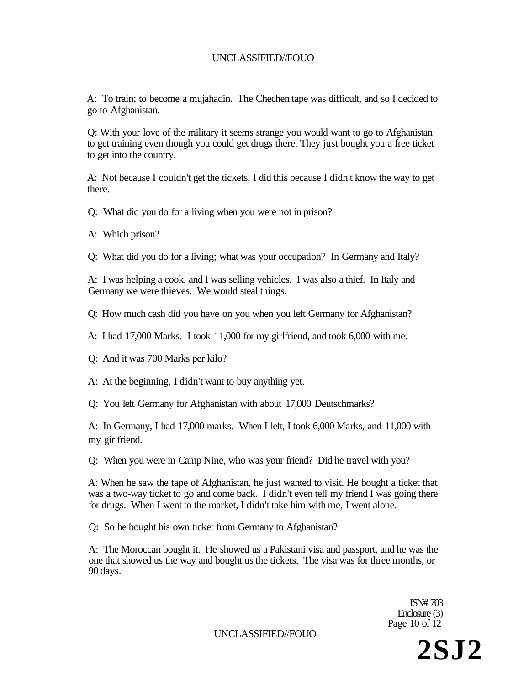A: To train; to become a mujahadin. The Chechen tape was difficult, and so I decided to go to Afghanistan.

Q: With your love of the military it seems strange you would want to go to Afghanistan to get training even though you could get drugs there. They just bought you a free ticket to get into the country.

A: Not because I couldn't get the tickets, I did this because I didn't know the way to get there.

Q: What did you do for a living when you were not in prison?

A: Which prison?

Q: What did you do for a living; what was your occupation? In Germany and Italy?

A: I was helping a cook, and I was selling vehicles. I was also a thief. In Italy and Germany we were thieves. We would steal things.

Q: How much cash did you have on you when you left Germany for Afghanistan?

A: I had 17,000 Marks. I took 11,000 for my girlfriend, and took 6,000 with me.

Q: And it was 700 Marks per kilo?

A: At the beginning, I didn't want to buy anything yet.

Q: You left Germany for Afghanistan with about 17,000 Deutschmarks?

A: In Germany, I had 17,000 marks. When I left, I took 6,000 Marks, and 11,000 with my girlfriend.

Q: When you were in Camp Nine, who was your friend? Did he travel with you?

A: When he saw the tape of Afghanistan, he just wanted to visit. He bought a ticket that was a two-way ticket to go and come back. I didn't even tell my friend I was going there for drugs. When I went to the market, I didn't take him with me, I went alone.

Q: So he bought his own ticket from Germany to Afghanistan?

A: The Moroccan bought it. He showed us a Pakistani visa and passport, and he was the one that showed us the way and bought us the tickets. The visa was for three months, or 90 days.

> ISN# 703 Enclosure (3) Page 10 of 12

UNCLASSIFIED//FOUO

**2SJ2**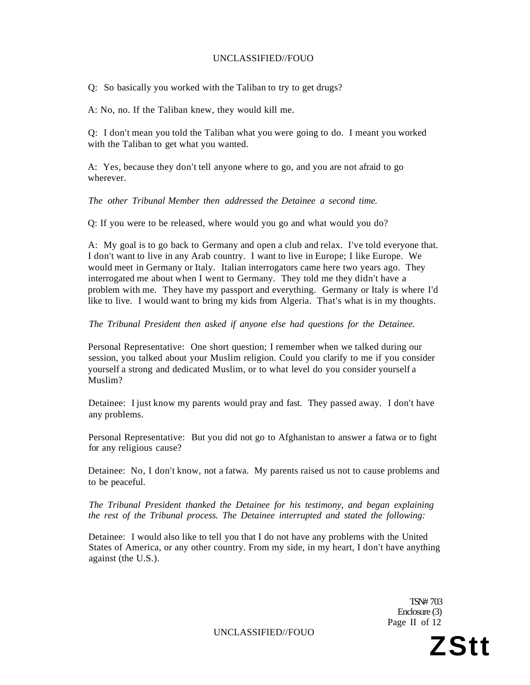Q: So basically you worked with the Taliban to try to get drugs?

A: No, no. If the Taliban knew, they would kill me.

Q: I don't mean you told the Taliban what you were going to do. I meant you worked with the Taliban to get what you wanted.

A: Yes, because they don't tell anyone where to go, and you are not afraid to go wherever.

*The other Tribunal Member then addressed the Detainee a second time.* 

Q: If you were to be released, where would you go and what would you do?

A: My goal is to go back to Germany and open a club and relax. I've told everyone that. I don't want to live in any Arab country. I want to live in Europe; I like Europe. We would meet in Germany or Italy. Italian interrogators came here two years ago. They interrogated me about when I went to Germany. They told me they didn't have a problem with me. They have my passport and everything. Germany or Italy is where I'd like to live. I would want to bring my kids from Algeria. That's what is in my thoughts.

*The Tribunal President then asked if anyone else had questions for the Detainee.* 

Personal Representative: One short question; I remember when we talked during our session, you talked about your Muslim religion. Could you clarify to me if you consider yourself a strong and dedicated Muslim, or to what level do you consider yourself a Muslim?

Detainee: I just know my parents would pray and fast. They passed away. I don't have any problems.

Personal Representative: But you did not go to Afghanistan to answer a fatwa or to fight for any religious cause?

Detainee: No, I don't know, not a fatwa. My parents raised us not to cause problems and to be peaceful.

*The Tribunal President thanked the Detainee for his testimony, and began explaining the rest of the Tribunal process. The Detainee interrupted and stated the following:* 

Detainee: I would also like to tell you that I do not have any problems with the United States of America, or any other country. From my side, in my heart, I don't have anything against (the U.S.).

> TSN# 703 Enclosure (3) Page II of 12

UNCLASSIFIED//FOUO **ZStt**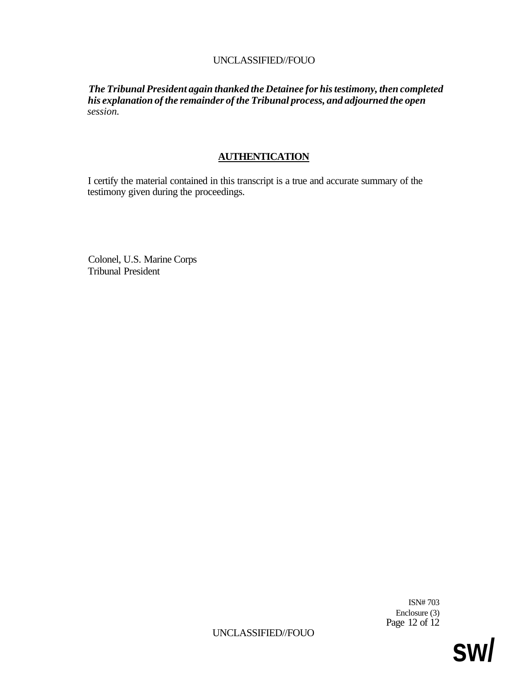*The Tribunal President again thanked the Detainee for his testimony, then completed his explanation of the remainder of the Tribunal process, and adjourned the open session.* 

# **AUTHENTICATION**

I certify the material contained in this transcript is a true and accurate summary of the testimony given during the proceedings.

Colonel, U.S. Marine Corps Tribunal President

> ISN# 703 Enclosure (3) Page 12 of 12

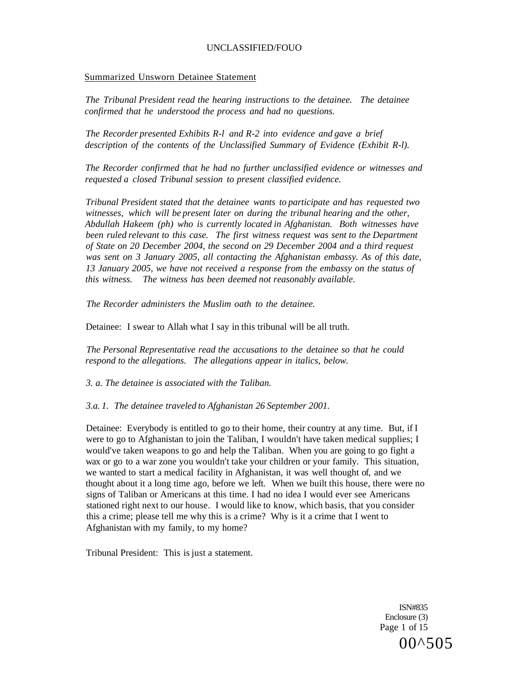### Summarized Unsworn Detainee Statement

*The Tribunal President read the hearing instructions to the detainee. The detainee confirmed that he understood the process and had no questions.* 

*The Recorder presented Exhibits R-l and R-2 into evidence and gave a brief description of the contents of the Unclassified Summary of Evidence (Exhibit R-l).* 

*The Recorder confirmed that he had no further unclassified evidence or witnesses and requested a closed Tribunal session to present classified evidence.* 

*Tribunal President stated that the detainee wants to participate and has requested two witnesses, which will be present later on during the tribunal hearing and the other, Abdullah Hakeem (ph) who is currently located in Afghanistan. Both witnesses have been ruled relevant to this case. The first witness request was sent to the Department of State on 20 December 2004, the second on 29 December 2004 and a third request was sent on 3 January 2005, all contacting the Afghanistan embassy. As of this date, 13 January 2005, we have not received a response from the embassy on the status of this witness. The witness has been deemed not reasonably available.* 

*The Recorder administers the Muslim oath to the detainee.* 

Detainee: I swear to Allah what I say in this tribunal will be all truth.

*The Personal Representative read the accusations to the detainee so that he could respond to the allegations. The allegations appear in italics, below.* 

*3. a. The detainee is associated with the Taliban.* 

*3.a. 1. The detainee traveled to Afghanistan 26 September 2001.* 

Detainee: Everybody is entitled to go to their home, their country at any time. But, if I were to go to Afghanistan to join the Taliban, I wouldn't have taken medical supplies; I would've taken weapons to go and help the Taliban. When you are going to go fight a wax or go to a war zone you wouldn't take your children or your family. This situation, we wanted to start a medical facility in Afghanistan, it was well thought of, and we thought about it a long time ago, before we left. When we built this house, there were no signs of Taliban or Americans at this time. I had no idea I would ever see Americans stationed right next to our house. I would like to know, which basis, that you consider this a crime; please tell me why this is a crime? Why is it a crime that I went to Afghanistan with my family, to my home?

Tribunal President: This is just a statement.

ISN#835 Enclosure (3) Page 1 of 15 00^505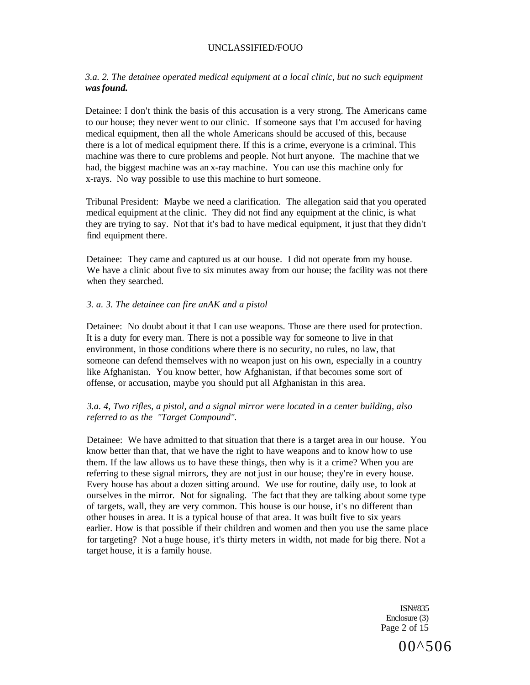### *3.a. 2. The detainee operated medical equipment at a local clinic, but no such equipment was found.*

Detainee: I don't think the basis of this accusation is a very strong. The Americans came to our house; they never went to our clinic. If someone says that I'm accused for having medical equipment, then all the whole Americans should be accused of this, because there is a lot of medical equipment there. If this is a crime, everyone is a criminal. This machine was there to cure problems and people. Not hurt anyone. The machine that we had, the biggest machine was an x-ray machine. You can use this machine only for x-rays. No way possible to use this machine to hurt someone.

Tribunal President: Maybe we need a clarification. The allegation said that you operated medical equipment at the clinic. They did not find any equipment at the clinic, is what they are trying to say. Not that it's bad to have medical equipment, it just that they didn't find equipment there.

Detainee: They came and captured us at our house. I did not operate from my house. We have a clinic about five to six minutes away from our house; the facility was not there when they searched.

### *3. a. 3. The detainee can fire anAK and a pistol*

Detainee: No doubt about it that I can use weapons. Those are there used for protection. It is a duty for every man. There is not a possible way for someone to live in that environment, in those conditions where there is no security, no rules, no law, that someone can defend themselves with no weapon just on his own, especially in a country like Afghanistan. You know better, how Afghanistan, if that becomes some sort of offense, or accusation, maybe you should put all Afghanistan in this area.

### *3.a. 4, Two rifles, a pistol, and a signal mirror were located in a center building, also referred to as the "Target Compound".*

Detainee: We have admitted to that situation that there is a target area in our house. You know better than that, that we have the right to have weapons and to know how to use them. If the law allows us to have these things, then why is it a crime? When you are referring to these signal mirrors, they are not just in our house; they're in every house. Every house has about a dozen sitting around. We use for routine, daily use, to look at ourselves in the mirror. Not for signaling. The fact that they are talking about some type of targets, wall, they are very common. This house is our house, it's no different than other houses in area. It is a typical house of that area. It was built five to six years earlier. How is that possible if their children and women and then you use the same place for targeting? Not a huge house, it's thirty meters in width, not made for big there. Not a target house, it is a family house.

> ISN#835 Enclosure (3) Page 2 of 15

> > 00^506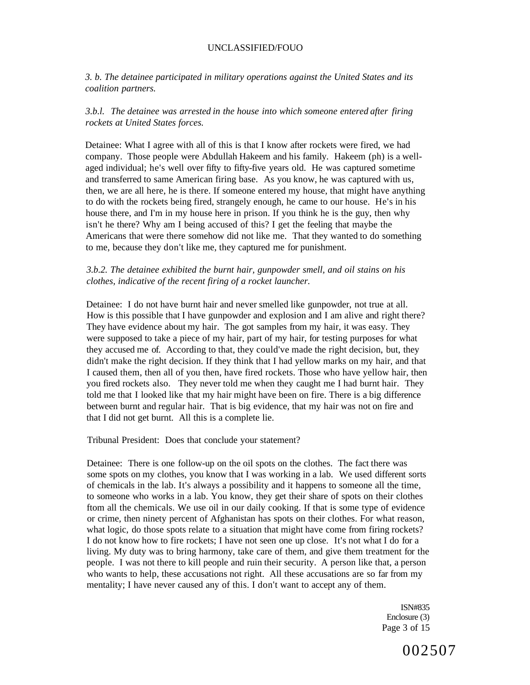*3. b. The detainee participated in military operations against the United States and its coalition partners.* 

### *3.b.l. The detainee was arrested in the house into which someone entered after firing rockets at United States forces.*

Detainee: What I agree with all of this is that I know after rockets were fired, we had company. Those people were Abdullah Hakeem and his family. Hakeem (ph) is a wellaged individual; he's well over fifty to fifty-five years old. He was captured sometime and transferred to same American firing base. As you know, he was captured with us, then, we are all here, he is there. If someone entered my house, that might have anything to do with the rockets being fired, strangely enough, he came to our house. He's in his house there, and I'm in my house here in prison. If you think he is the guy, then why isn't he there? Why am I being accused of this? I get the feeling that maybe the Americans that were there somehow did not like me. That they wanted to do something to me, because they don't like me, they captured me for punishment.

### *3.b.2. The detainee exhibited the burnt hair, gunpowder smell, and oil stains on his clothes, indicative of the recent firing of a rocket launcher.*

Detainee: I do not have burnt hair and never smelled like gunpowder, not true at all. How is this possible that I have gunpowder and explosion and I am alive and right there? They have evidence about my hair. The got samples from my hair, it was easy. They were supposed to take a piece of my hair, part of my hair, for testing purposes for what they accused me of. According to that, they could've made the right decision, but, they didn't make the right decision. If they think that I had yellow marks on my hair, and that I caused them, then all of you then, have fired rockets. Those who have yellow hair, then you fired rockets also. They never told me when they caught me I had burnt hair. They told me that I looked like that my hair might have been on fire. There is a big difference between burnt and regular hair. That is big evidence, that my hair was not on fire and that I did not get burnt. All this is a complete lie.

Tribunal President: Does that conclude your statement?

Detainee: There is one follow-up on the oil spots on the clothes. The fact there was some spots on my clothes, you know that I was working in a lab. We used different sorts of chemicals in the lab. It's always a possibility and it happens to someone all the time, to someone who works in a lab. You know, they get their share of spots on their clothes ftom all the chemicals. We use oil in our daily cooking. If that is some type of evidence or crime, then ninety percent of Afghanistan has spots on their clothes. For what reason, what logic, do those spots relate to a situation that might have come from firing rockets? I do not know how to fire rockets; I have not seen one up close. It's not what I do for a living. My duty was to bring harmony, take care of them, and give them treatment for the people. I was not there to kill people and ruin their security. A person like that, a person who wants to help, these accusations not right. All these accusations are so far from my mentality; I have never caused any of this. I don't want to accept any of them.

> ISN#835 Enclosure (3) Page 3 of 15

> > 002507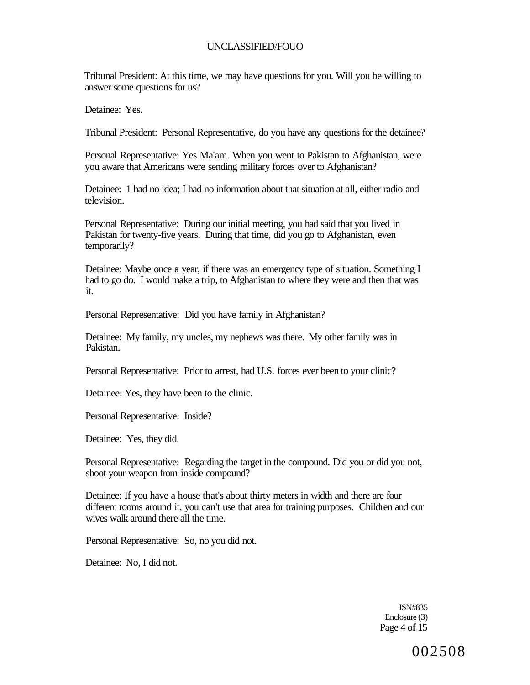Tribunal President: At this time, we may have questions for you. Will you be willing to answer some questions for us?

Detainee: Yes.

Tribunal President: Personal Representative, do you have any questions for the detainee?

Personal Representative: Yes Ma'am. When you went to Pakistan to Afghanistan, were you aware that Americans were sending military forces over to Afghanistan?

Detainee: 1 had no idea; I had no information about that situation at all, either radio and television.

Personal Representative: During our initial meeting, you had said that you lived in Pakistan for twenty-five years. During that time, did you go to Afghanistan, even temporarily?

Detainee: Maybe once a year, if there was an emergency type of situation. Something I had to go do. I would make a trip, to Afghanistan to where they were and then that was it.

Personal Representative: Did you have family in Afghanistan?

Detainee: My family, my uncles, my nephews was there. My other family was in Pakistan.

Personal Representative: Prior to arrest, had U.S. forces ever been to your clinic?

Detainee: Yes, they have been to the clinic.

Personal Representative: Inside?

Detainee: Yes, they did.

Personal Representative: Regarding the target in the compound. Did you or did you not, shoot your weapon from inside compound?

Detainee: If you have a house that's about thirty meters in width and there are four different rooms around it, you can't use that area for training purposes. Children and our wives walk around there all the time.

Personal Representative: So, no you did not.

Detainee: No, I did not.

ISN#835 Enclosure (3) Page 4 of 15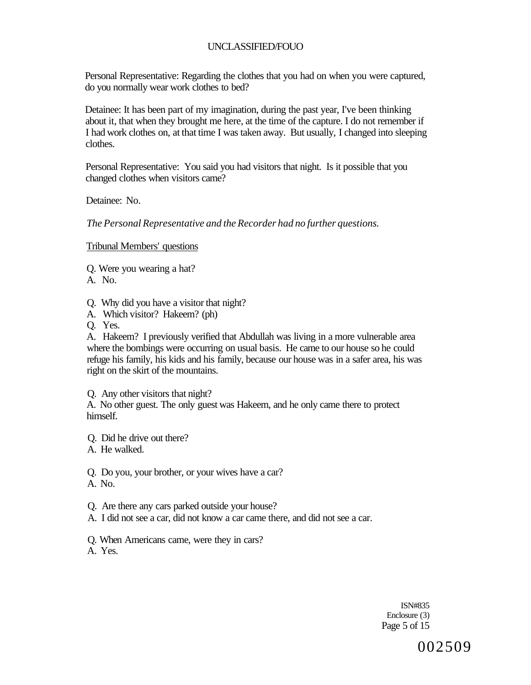Personal Representative: Regarding the clothes that you had on when you were captured, do you normally wear work clothes to bed?

Detainee: It has been part of my imagination, during the past year, I've been thinking about it, that when they brought me here, at the time of the capture. I do not remember if I had work clothes on, at that time I was taken away. But usually, I changed into sleeping clothes.

Personal Representative: You said you had visitors that night. Is it possible that you changed clothes when visitors came?

Detainee: No.

*The Personal Representative and the Recorder had no further questions.* 

Tribunal Members' questions

- Q. Were you wearing a hat?
- A. No.

Q. Why did you have a visitor that night?

- A. Which visitor? Hakeem? (ph)
- Q. Yes.

A. Hakeem? I previously verified that Abdullah was living in a more vulnerable area where the bombings were occurring on usual basis. He came to our house so he could refuge his family, his kids and his family, because our house was in a safer area, his was right on the skirt of the mountains.

Q. Any other visitors that night?

A. No other guest. The only guest was Hakeem, and he only came there to protect himself.

- Q. Did he drive out there?
- A. He walked.

Q. Do you, your brother, or your wives have a car?

A. No.

Q. Are there any cars parked outside your house?

A. I did not see a car, did not know a car came there, and did not see a car.

Q. When Americans came, were they in cars? A. Yes.

> ISN#835 Enclosure (3) Page 5 of 15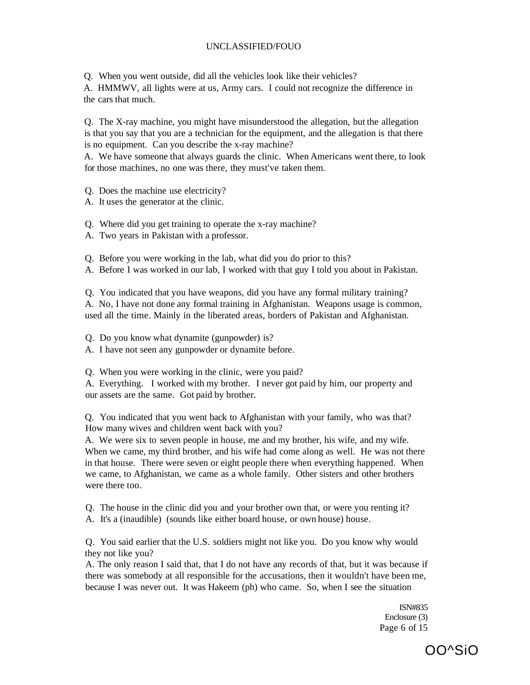Q. When you went outside, did all the vehicles look like their vehicles?

A. HMMWV, all lights were at us, Army cars. I could not recognize the difference in the cars that much.

Q. The X-ray machine, you might have misunderstood the allegation, but the allegation is that you say that you are a technician for the equipment, and the allegation is that there is no equipment. Can you describe the x-ray machine?

A. We have someone that always guards the clinic. When Americans went there, to look for those machines, no one was there, they must've taken them.

Q. Does the machine use electricity?

A. It uses the generator at the clinic.

Q. Where did you get training to operate the x-ray machine?

A. Two years in Pakistan with a professor.

Q. Before you were working in the lab, what did you do prior to this?

A. Before I was worked in our lab, I worked with that guy I told you about in Pakistan.

Q. You indicated that you have weapons, did you have any formal military training? A. No, I have not done any formal training in Afghanistan. Weapons usage is common, used all the time. Mainly in the liberated areas, borders of Pakistan and Afghanistan.

Q. Do you know what dynamite (gunpowder) is?

A. I have not seen any gunpowder or dynamite before.

Q. When you were working in the clinic, were you paid?

A. Everything. I worked with my brother. I never got paid by him, our property and our assets are the same. Got paid by brother.

Q. You indicated that you went back to Afghanistan with your family, who was that? How many wives and children went back with you?

A. We were six to seven people in house, me and my brother, his wife, and my wife. When we came, my third brother, and his wife had come along as well. He was not there in that house. There were seven or eight people there when everything happened. When we came, to Afghanistan, we came as a whole family. Other sisters and other brothers were there too.

Q. The house in the clinic did you and your brother own that, or were you renting it?

A. It's a (inaudible) (sounds like either board house, or own house) house.

Q. You said earlier that the U.S. soldiers might not like you. Do you know why would they not like you?

A. The only reason I said that, that I do not have any records of that, but it was because if there was somebody at all responsible for the accusations, then it wouldn't have been me, because I was never out. It was Hakeem (ph) who came. So, when I see the situation

> ISN#835 Enclosure (3) Page 6 of 15

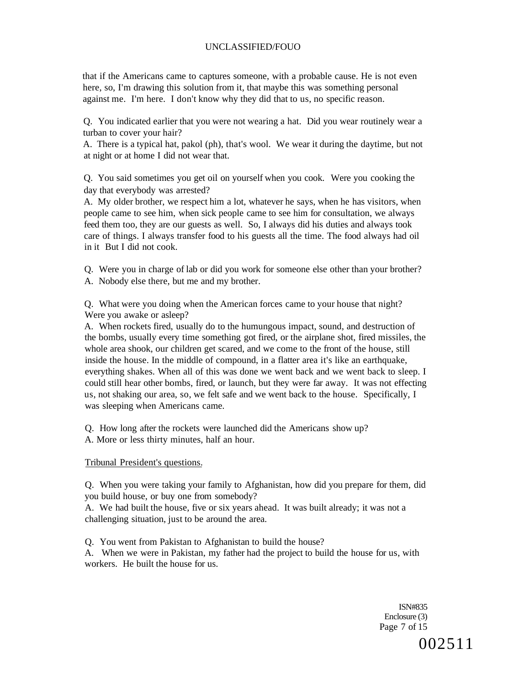that if the Americans came to captures someone, with a probable cause. He is not even here, so, I'm drawing this solution from it, that maybe this was something personal against me. I'm here. I don't know why they did that to us, no specific reason.

Q. You indicated earlier that you were not wearing a hat. Did you wear routinely wear a turban to cover your hair?

A. There is a typical hat, pakol (ph), that's wool. We wear it during the daytime, but not at night or at home I did not wear that.

Q. You said sometimes you get oil on yourself when you cook. Were you cooking the day that everybody was arrested?

A. My older brother, we respect him a lot, whatever he says, when he has visitors, when people came to see him, when sick people came to see him for consultation, we always feed them too, they are our guests as well. So, I always did his duties and always took care of things. I always transfer food to his guests all the time. The food always had oil in it But I did not cook.

Q. Were you in charge of lab or did you work for someone else other than your brother?

A. Nobody else there, but me and my brother.

Q. What were you doing when the American forces came to your house that night? Were you awake or asleep?

A. When rockets fired, usually do to the humungous impact, sound, and destruction of the bombs, usually every time something got fired, or the airplane shot, fired missiles, the whole area shook, our children get scared, and we come to the front of the house, still inside the house. In the middle of compound, in a flatter area it's like an earthquake, everything shakes. When all of this was done we went back and we went back to sleep. I could still hear other bombs, fired, or launch, but they were far away. It was not effecting us, not shaking our area, so, we felt safe and we went back to the house. Specifically, I was sleeping when Americans came.

Q. How long after the rockets were launched did the Americans show up?

A. More or less thirty minutes, half an hour.

Tribunal President's questions.

Q. When you were taking your family to Afghanistan, how did you prepare for them, did you build house, or buy one from somebody?

A. We had built the house, five or six years ahead. It was built already; it was not a challenging situation, just to be around the area.

Q. You went from Pakistan to Afghanistan to build the house?

A. When we were in Pakistan, my father had the project to build the house for us, with workers. He built the house for us.

> ISN#835 Enclosure (3) Page 7 of 15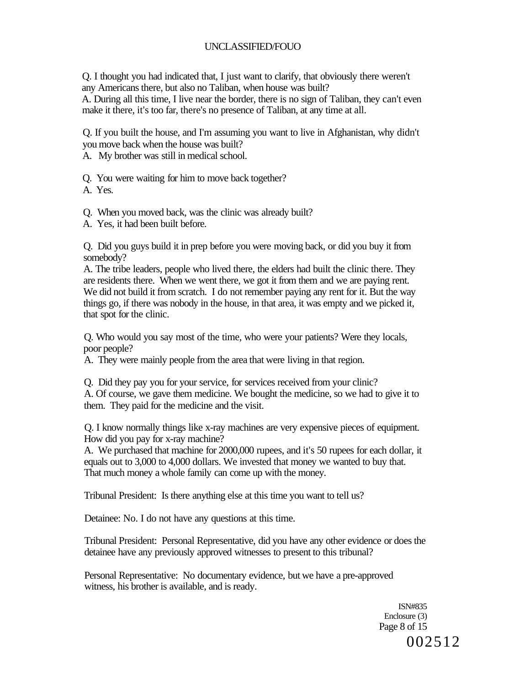Q. I thought you had indicated that, I just want to clarify, that obviously there weren't any Americans there, but also no Taliban, when house was built?

A. During all this time, I live near the border, there is no sign of Taliban, they can't even make it there, it's too far, there's no presence of Taliban, at any time at all.

Q. If you built the house, and I'm assuming you want to live in Afghanistan, why didn't you move back when the house was built?

A. My brother was still in medical school.

Q. You were waiting for him to move back together?

A. Yes.

Q. When you moved back, was the clinic was already built?

A. Yes, it had been built before.

Q. Did you guys build it in prep before you were moving back, or did you buy it from somebody?

A. The tribe leaders, people who lived there, the elders had built the clinic there. They are residents there. When we went there, we got it from them and we are paying rent. We did not build it from scratch. I do not remember paying any rent for it. But the way things go, if there was nobody in the house, in that area, it was empty and we picked it, that spot for the clinic.

Q. Who would you say most of the time, who were your patients? Were they locals, poor people?

A. They were mainly people from the area that were living in that region.

Q. Did they pay you for your service, for services received from your clinic? A. Of course, we gave them medicine. We bought the medicine, so we had to give it to them. They paid for the medicine and the visit.

Q. I know normally things like x-ray machines are very expensive pieces of equipment. How did you pay for x-ray machine?

A. We purchased that machine for 2000,000 rupees, and it's 50 rupees for each dollar, it equals out to 3,000 to 4,000 dollars. We invested that money we wanted to buy that. That much money a whole family can come up with the money.

Tribunal President: Is there anything else at this time you want to tell us?

Detainee: No. I do not have any questions at this time.

Tribunal President: Personal Representative, did you have any other evidence or does the detainee have any previously approved witnesses to present to this tribunal?

Personal Representative: No documentary evidence, but we have a pre-approved witness, his brother is available, and is ready.

> ISN#835 Enclosure (3) Page 8 of 15 002512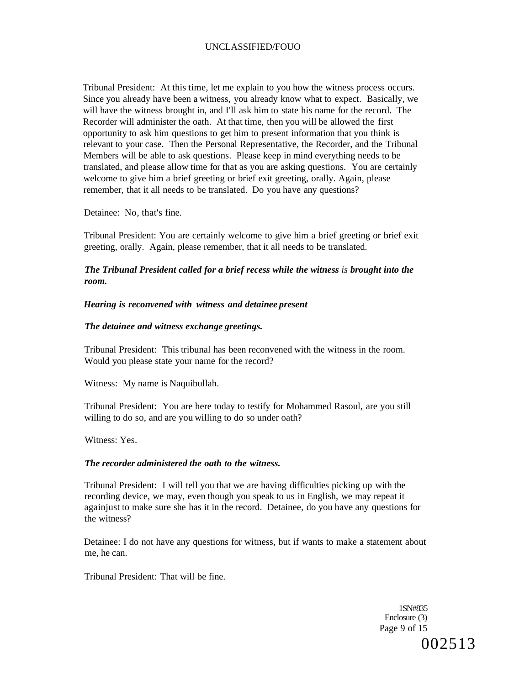Tribunal President: At this time, let me explain to you how the witness process occurs. Since you already have been a witness, you already know what to expect. Basically, we will have the witness brought in, and I'll ask him to state his name for the record. The Recorder will administer the oath. At that time, then you will be allowed the first opportunity to ask him questions to get him to present information that you think is relevant to your case. Then the Personal Representative, the Recorder, and the Tribunal Members will be able to ask questions. Please keep in mind everything needs to be translated, and please allow time for that as you are asking questions. You are certainly welcome to give him a brief greeting or brief exit greeting, orally. Again, please remember, that it all needs to be translated. Do you have any questions?

Detainee: No, that's fine.

Tribunal President: You are certainly welcome to give him a brief greeting or brief exit greeting, orally. Again, please remember, that it all needs to be translated.

*The Tribunal President called for a brief recess while the witness is brought into the room.* 

#### *Hearing is reconvened with witness and detainee present*

#### *The detainee and witness exchange greetings.*

Tribunal President: This tribunal has been reconvened with the witness in the room. Would you please state your name for the record?

Witness: My name is Naquibullah.

Tribunal President: You are here today to testify for Mohammed Rasoul, are you still willing to do so, and are you willing to do so under oath?

Witness: Yes.

#### *The recorder administered the oath to the witness.*

Tribunal President: I will tell you that we are having difficulties picking up with the recording device, we may, even though you speak to us in English, we may repeat it againjust to make sure she has it in the record. Detainee, do you have any questions for the witness?

Detainee: I do not have any questions for witness, but if wants to make a statement about me, he can.

Tribunal President: That will be fine.

1SN#835 Enclosure (3) Page 9 of 15 002513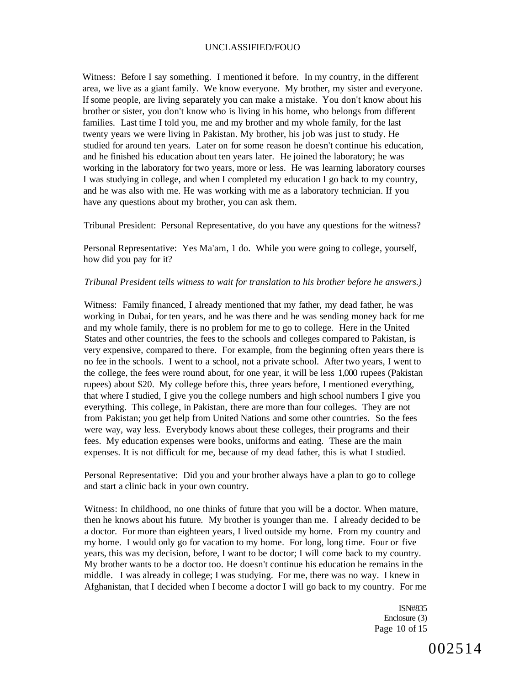Witness: Before I say something. I mentioned it before. In my country, in the different area, we live as a giant family. We know everyone. My brother, my sister and everyone. If some people, are living separately you can make a mistake. You don't know about his brother or sister, you don't know who is living in his home, who belongs from different families. Last time I told you, me and my brother and my whole family, for the last twenty years we were living in Pakistan. My brother, his job was just to study. He studied for around ten years. Later on for some reason he doesn't continue his education, and he finished his education about ten years later. He joined the laboratory; he was working in the laboratory for two years, more or less. He was learning laboratory courses I was studying in college, and when I completed my education I go back to my country, and he was also with me. He was working with me as a laboratory technician. If you have any questions about my brother, you can ask them.

Tribunal President: Personal Representative, do you have any questions for the witness?

Personal Representative: Yes Ma'am, 1 do. While you were going to college, yourself, how did you pay for it?

#### *Tribunal President tells witness to wait for translation to his brother before he answers.)*

Witness: Family financed, I already mentioned that my father, my dead father, he was working in Dubai, for ten years, and he was there and he was sending money back for me and my whole family, there is no problem for me to go to college. Here in the United States and other countries, the fees to the schools and colleges compared to Pakistan, is very expensive, compared to there. For example, from the beginning often years there is no fee in the schools. I went to a school, not a private school. After two years, I went to the college, the fees were round about, for one year, it will be less 1,000 rupees (Pakistan rupees) about \$20. My college before this, three years before, I mentioned everything, that where I studied, I give you the college numbers and high school numbers I give you everything. This college, in Pakistan, there are more than four colleges. They are not from Pakistan; you get help from United Nations and some other countries. So the fees were way, way less. Everybody knows about these colleges, their programs and their fees. My education expenses were books, uniforms and eating. These are the main expenses. It is not difficult for me, because of my dead father, this is what I studied.

Personal Representative: Did you and your brother always have a plan to go to college and start a clinic back in your own country.

Witness: In childhood, no one thinks of future that you will be a doctor. When mature, then he knows about his future. My brother is younger than me. I already decided to be a doctor. For more than eighteen years, I lived outside my home. From my country and my home. I would only go for vacation to my home. For long, long time. Four or five years, this was my decision, before, I want to be doctor; I will come back to my country. My brother wants to be a doctor too. He doesn't continue his education he remains in the middle. I was already in college; I was studying. For me, there was no way. I knew in Afghanistan, that I decided when I become a doctor I will go back to my country. For me

> ISN#835 Enclosure (3) Page 10 of 15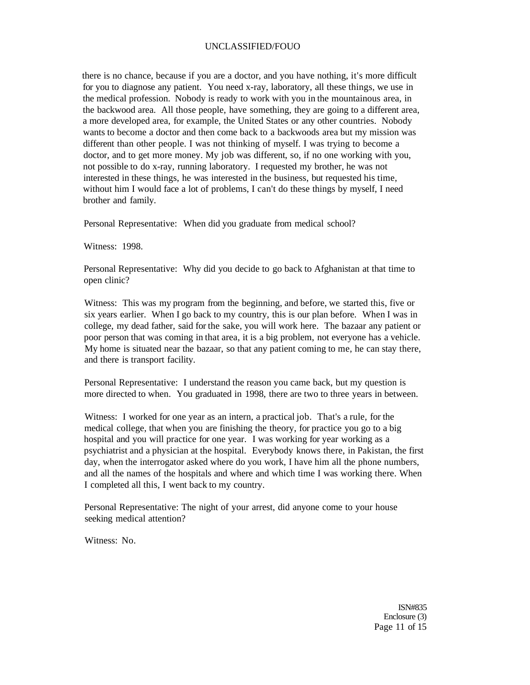there is no chance, because if you are a doctor, and you have nothing, it's more difficult for you to diagnose any patient. You need x-ray, laboratory, all these things, we use in the medical profession. Nobody is ready to work with you in the mountainous area, in the backwood area. All those people, have something, they are going to a different area, a more developed area, for example, the United States or any other countries. Nobody wants to become a doctor and then come back to a backwoods area but my mission was different than other people. I was not thinking of myself. I was trying to become a doctor, and to get more money. My job was different, so, if no one working with you, not possible to do x-ray, running laboratory. I requested my brother, he was not interested in these things, he was interested in the business, but requested his time, without him I would face a lot of problems, I can't do these things by myself, I need brother and family.

Personal Representative: When did you graduate from medical school?

Witness: 1998.

Personal Representative: Why did you decide to go back to Afghanistan at that time to open clinic?

Witness: This was my program from the beginning, and before, we started this, five or six years earlier. When I go back to my country, this is our plan before. When I was in college, my dead father, said for the sake, you will work here. The bazaar any patient or poor person that was coming in that area, it is a big problem, not everyone has a vehicle. My home is situated near the bazaar, so that any patient coming to me, he can stay there, and there is transport facility.

Personal Representative: I understand the reason you came back, but my question is more directed to when. You graduated in 1998, there are two to three years in between.

Witness: I worked for one year as an intern, a practical job. That's a rule, for the medical college, that when you are finishing the theory, for practice you go to a big hospital and you will practice for one year. I was working for year working as a psychiatrist and a physician at the hospital. Everybody knows there, in Pakistan, the first day, when the interrogator asked where do you work, I have him all the phone numbers, and all the names of the hospitals and where and which time I was working there. When I completed all this, I went back to my country.

Personal Representative: The night of your arrest, did anyone come to your house seeking medical attention?

Witness: No.

ISN#835 Enclosure (3) Page 11 of 15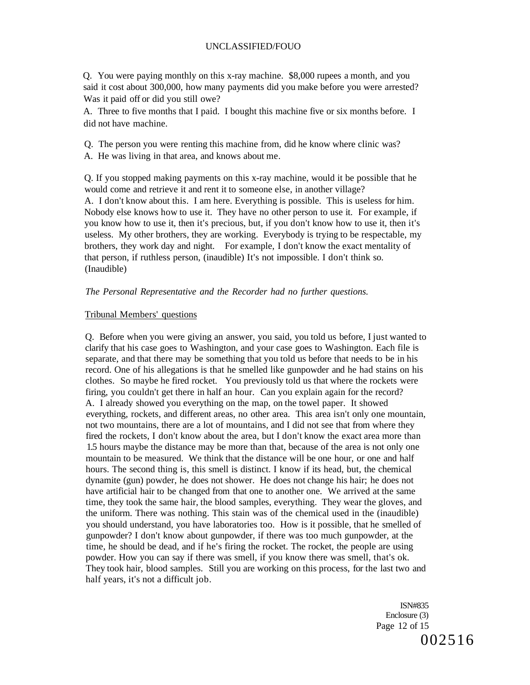Q. You were paying monthly on this x-ray machine. \$8,000 rupees a month, and you said it cost about 300,000, how many payments did you make before you were arrested? Was it paid off or did you still owe?

A. Three to five months that I paid. I bought this machine five or six months before. I did not have machine.

Q. The person you were renting this machine from, did he know where clinic was? A. He was living in that area, and knows about me.

Q. If you stopped making payments on this x-ray machine, would it be possible that he would come and retrieve it and rent it to someone else, in another village? A. I don't know about this. I am here. Everything is possible. This is useless for him. Nobody else knows how to use it. They have no other person to use it. For example, if you know how to use it, then it's precious, but, if you don't know how to use it, then it's useless. My other brothers, they are working. Everybody is trying to be respectable, my brothers, they work day and night. For example, I don't know the exact mentality of that person, if ruthless person, (inaudible) It's not impossible. I don't think so. (Inaudible)

#### *The Personal Representative and the Recorder had no further questions.*

#### Tribunal Members' questions

Q. Before when you were giving an answer, you said, you told us before, I just wanted to clarify that his case goes to Washington, and your case goes to Washington. Each file is separate, and that there may be something that you told us before that needs to be in his record. One of his allegations is that he smelled like gunpowder and he had stains on his clothes. So maybe he fired rocket. You previously told us that where the rockets were firing, you couldn't get there in half an hour. Can you explain again for the record? A. I already showed you everything on the map, on the towel paper. It showed everything, rockets, and different areas, no other area. This area isn't only one mountain, not two mountains, there are a lot of mountains, and I did not see that from where they fired the rockets, I don't know about the area, but I don't know the exact area more than 1.5 hours maybe the distance may be more than that, because of the area is not only one mountain to be measured. We think that the distance will be one hour, or one and half hours. The second thing is, this smell is distinct. I know if its head, but, the chemical dynamite (gun) powder, he does not shower. He does not change his hair; he does not have artificial hair to be changed from that one to another one. We arrived at the same time, they took the same hair, the blood samples, everything. They wear the gloves, and the uniform. There was nothing. This stain was of the chemical used in the (inaudible) you should understand, you have laboratories too. How is it possible, that he smelled of gunpowder? I don't know about gunpowder, if there was too much gunpowder, at the time, he should be dead, and if he's firing the rocket. The rocket, the people are using powder. How you can say if there was smell, if you know there was smell, that's ok. They took hair, blood samples. Still you are working on this process, for the last two and half years, it's not a difficult job.

> ISN#835 Enclosure (3) Page 12 of 15 002516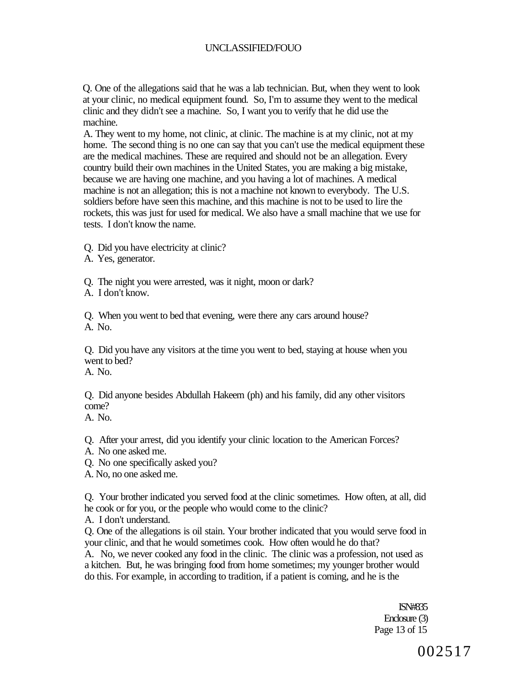Q. One of the allegations said that he was a lab technician. But, when they went to look at your clinic, no medical equipment found. So, I'm to assume they went to the medical clinic and they didn't see a machine. So, I want you to verify that he did use the machine.

A. They went to my home, not clinic, at clinic. The machine is at my clinic, not at my home. The second thing is no one can say that you can't use the medical equipment these are the medical machines. These are required and should not be an allegation. Every country build their own machines in the United States, you are making a big mistake, because we are having one machine, and you having a lot of machines. A medical machine is not an allegation; this is not a machine not known to everybody. The U.S. soldiers before have seen this machine, and this machine is not to be used to lire the rockets, this was just for used for medical. We also have a small machine that we use for tests. I don't know the name.

- Q. Did you have electricity at clinic?
- A. Yes, generator.
- Q. The night you were arrested, was it night, moon or dark?
- A. I don't know.

Q. When you went to bed that evening, were there any cars around house? A. No.

Q. Did you have any visitors at the time you went to bed, staying at house when you went to bed?

A. No.

Q. Did anyone besides Abdullah Hakeem (ph) and his family, did any other visitors come?

A. No.

Q. After your arrest, did you identify your clinic location to the American Forces?

- A. No one asked me.
- Q. No one specifically asked you?
- A. No, no one asked me.

Q. Your brother indicated you served food at the clinic sometimes. How often, at all, did he cook or for you, or the people who would come to the clinic?

A. I don't understand.

Q. One of the allegations is oil stain. Your brother indicated that you would serve food in your clinic, and that he would sometimes cook. How often would he do that?

A. No, we never cooked any food in the clinic. The clinic was a profession, not used as a kitchen. But, he was bringing food from home sometimes; my younger brother would do this. For example, in according to tradition, if a patient is coming, and he is the

> ISN#835 Enclosure (3) Page 13 of 15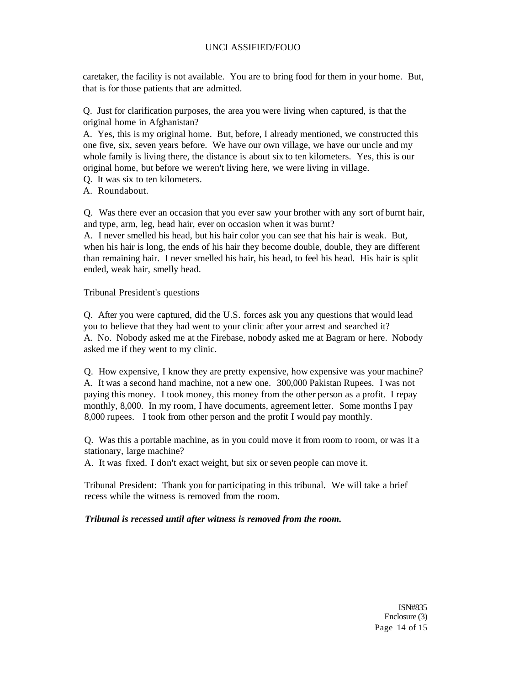caretaker, the facility is not available. You are to bring food for them in your home. But, that is for those patients that are admitted.

Q. Just for clarification purposes, the area you were living when captured, is that the original home in Afghanistan?

A. Yes, this is my original home. But, before, I already mentioned, we constructed this one five, six, seven years before. We have our own village, we have our uncle and my whole family is living there, the distance is about six to ten kilometers. Yes, this is our original home, but before we weren't living here, we were living in village.

Q. It was six to ten kilometers.

A. Roundabout.

Q. Was there ever an occasion that you ever saw your brother with any sort of burnt hair, and type, arm, leg, head hair, ever on occasion when it was burnt?

A. I never smelled his head, but his hair color you can see that his hair is weak. But, when his hair is long, the ends of his hair they become double, double, they are different than remaining hair. I never smelled his hair, his head, to feel his head. His hair is split ended, weak hair, smelly head.

### Tribunal President's questions

Q. After you were captured, did the U.S. forces ask you any questions that would lead you to believe that they had went to your clinic after your arrest and searched it? A. No. Nobody asked me at the Firebase, nobody asked me at Bagram or here. Nobody asked me if they went to my clinic.

Q. How expensive, I know they are pretty expensive, how expensive was your machine? A. It was a second hand machine, not a new one. 300,000 Pakistan Rupees. I was not paying this money. I took money, this money from the other person as a profit. I repay monthly, 8,000. In my room, I have documents, agreement letter. Some months I pay 8,000 rupees. I took from other person and the profit I would pay monthly.

Q. Was this a portable machine, as in you could move it from room to room, or was it a stationary, large machine?

A. It was fixed. I don't exact weight, but six or seven people can move it.

Tribunal President: Thank you for participating in this tribunal. We will take a brief recess while the witness is removed from the room.

### *Tribunal is recessed until after witness is removed from the room.*

ISN#835 Enclosure (3) Page 14 of 15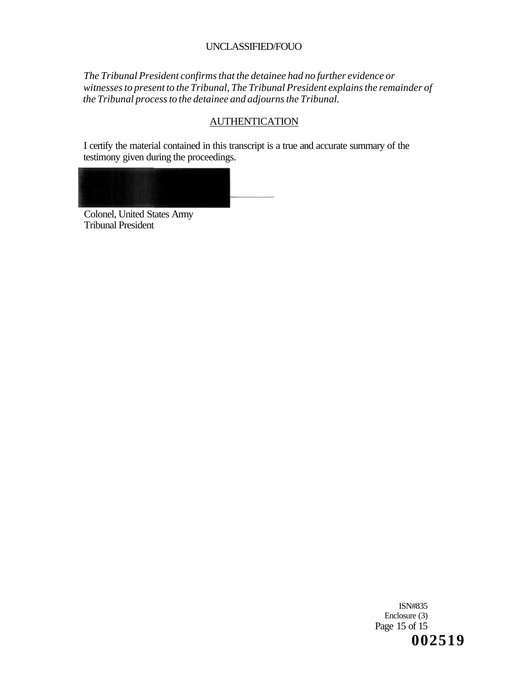*The Tribunal President confirms that the detainee had no further evidence or witnesses to present to the Tribunal, The Tribunal President explains the remainder of the Tribunal process to the detainee and adjourns the Tribunal.* 

## **AUTHENTICATION**

I certify the material contained in this transcript is a true and accurate summary of the testimony given during the proceedings.



Colonel, United States Army Tribunal President

> ISN#835 Enclosure (3) Page 15 of 15 **002519**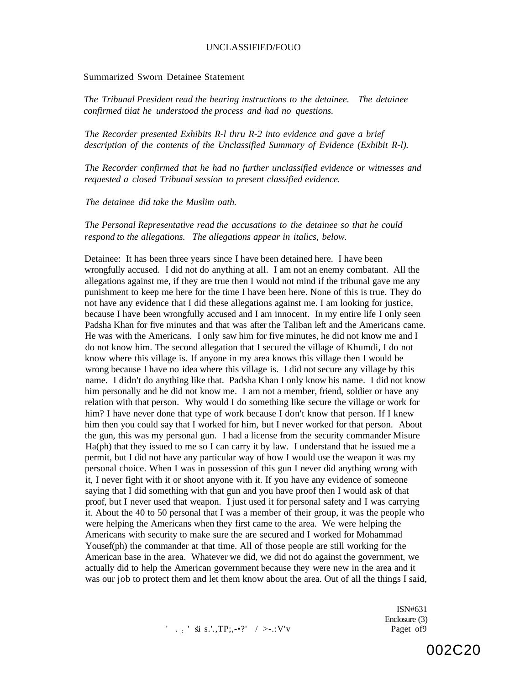#### Summarized Sworn Detainee Statement

*The Tribunal President read the hearing instructions to the detainee. The detainee confirmed tiiat he understood the process and had no questions.* 

*The Recorder presented Exhibits R-l thru R-2 into evidence and gave a brief description of the contents of the Unclassified Summary of Evidence (Exhibit R-l).* 

*The Recorder confirmed that he had no further unclassified evidence or witnesses and requested a closed Tribunal session to present classified evidence.* 

*The detainee did take the Muslim oath.* 

*The Personal Representative read the accusations to the detainee so that he could respond to the allegations. The allegations appear in italics, below.* 

Detainee: It has been three years since I have been detained here. I have been wrongfully accused. I did not do anything at all. I am not an enemy combatant. All the allegations against me, if they are true then I would not mind if the tribunal gave me any punishment to keep me here for the time I have been here. None of this is true. They do not have any evidence that I did these allegations against me. I am looking for justice, because I have been wrongfully accused and I am innocent. In my entire life I only seen Padsha Khan for five minutes and that was after the Taliban left and the Americans came. He was with the Americans. I only saw him for five minutes, he did not know me and I do not know him. The second allegation that I secured the village of Khumdi, I do not know where this village is. If anyone in my area knows this village then I would be wrong because I have no idea where this village is. I did not secure any village by this name. I didn't do anything like that. Padsha Khan I only know his name. I did not know him personally and he did not know me. I am not a member, friend, soldier or have any relation with that person. Why would I do something like secure the village or work for him? I have never done that type of work because I don't know that person. If I knew him then you could say that I worked for him, but I never worked for that person. About the gun, this was my personal gun. I had a license from the security commander Misure Ha(ph) that they issued to me so I can carry it by law. I understand that he issued me a permit, but I did not have any particular way of how I would use the weapon it was my personal choice. When I was in possession of this gun I never did anything wrong with it, I never fight with it or shoot anyone with it. If you have any evidence of someone saying that I did something with that gun and you have proof then I would ask of that proof, but I never used that weapon. I just used it for personal safety and I was carrying it. About the 40 to 50 personal that I was a member of their group, it was the people who were helping the Americans when they first came to the area. We were helping the Americans with security to make sure the are secured and I worked for Mohammad Yousef(ph) the commander at that time. All of those people are still working for the American base in the area. Whatever we did, we did not do against the government, we actually did to help the American government because they were new in the area and it was our job to protect them and let them know about the area. Out of all the things I said,

> ISN#631 Enclosure (3)

' . : ' s'.i s.'.,TP;,-•?' / >-.:V'v Paget of9

002C20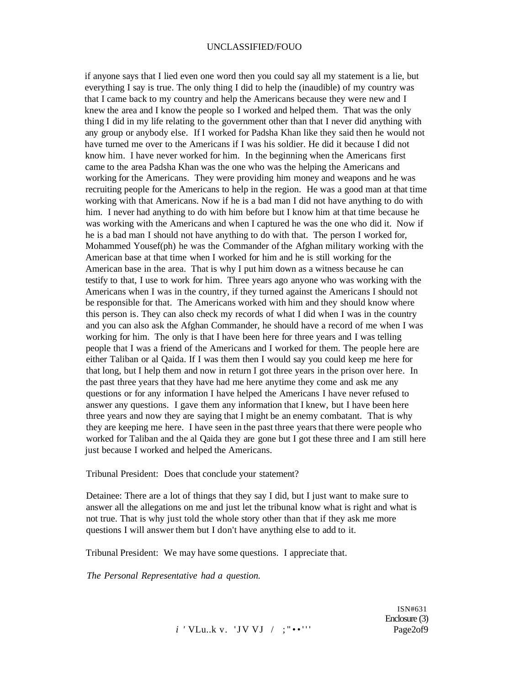if anyone says that I lied even one word then you could say all my statement is a lie, but everything I say is true. The only thing I did to help the (inaudible) of my country was that I came back to my country and help the Americans because they were new and I knew the area and I know the people so I worked and helped them. That was the only thing I did in my life relating to the government other than that I never did anything with any group or anybody else. If I worked for Padsha Khan like they said then he would not have turned me over to the Americans if I was his soldier. He did it because I did not know him. I have never worked for him. In the beginning when the Americans first came to the area Padsha Khan was the one who was the helping the Americans and working for the Americans. They were providing him money and weapons and he was recruiting people for the Americans to help in the region. He was a good man at that time working with that Americans. Now if he is a bad man I did not have anything to do with him. I never had anything to do with him before but I know him at that time because he was working with the Americans and when I captured he was the one who did it. Now if he is a bad man I should not have anything to do with that. The person I worked for, Mohammed Yousef(ph) he was the Commander of the Afghan military working with the American base at that time when I worked for him and he is still working for the American base in the area. That is why I put him down as a witness because he can testify to that, I use to work for him. Three years ago anyone who was working with the Americans when I was in the country, if they turned against the Americans I should not be responsible for that. The Americans worked with him and they should know where this person is. They can also check my records of what I did when I was in the country and you can also ask the Afghan Commander, he should have a record of me when I was working for him. The only is that I have been here for three years and I was telling people that I was a friend of the Americans and I worked for them. The people here are either Taliban or al Qaida. If I was them then I would say you could keep me here for that long, but I help them and now in return I got three years in the prison over here. In the past three years that they have had me here anytime they come and ask me any questions or for any information I have helped the Americans I have never refused to answer any questions. I gave them any information that I knew, but I have been here three years and now they are saying that I might be an enemy combatant. That is why they are keeping me here. I have seen in the past three years that there were people who worked for Taliban and the al Qaida they are gone but I got these three and I am still here just because I worked and helped the Americans.

Tribunal President: Does that conclude your statement?

Detainee: There are a lot of things that they say I did, but I just want to make sure to answer all the allegations on me and just let the tribunal know what is right and what is not true. That is why just told the whole story other than that if they ask me more questions I will answer them but I don't have anything else to add to it.

Tribunal President: We may have some questions. I appreciate that.

*The Personal Representative had a question.* 

*i* 'VLu..k v. 'JV VJ / ; "••''' Page2of9

ISN#631 Enclosure (3)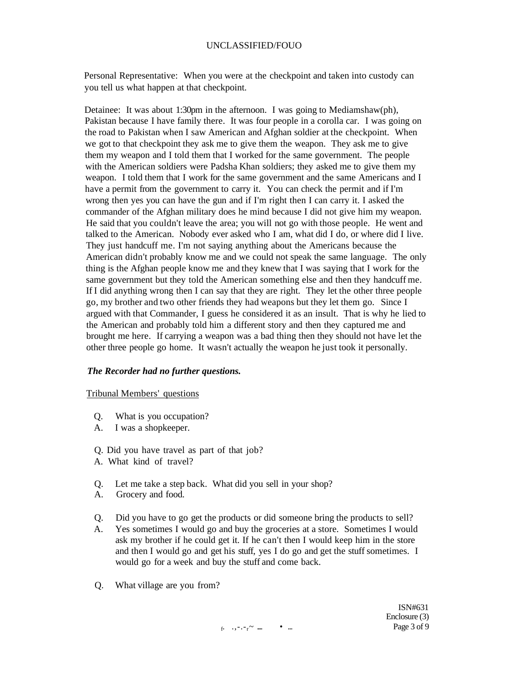Personal Representative: When you were at the checkpoint and taken into custody can you tell us what happen at that checkpoint.

Detainee: It was about 1:30pm in the afternoon. I was going to Mediamshaw(ph), Pakistan because I have family there. It was four people in a corolla car. I was going on the road to Pakistan when I saw American and Afghan soldier at the checkpoint. When we got to that checkpoint they ask me to give them the weapon. They ask me to give them my weapon and I told them that I worked for the same government. The people with the American soldiers were Padsha Khan soldiers; they asked me to give them my weapon. I told them that I work for the same government and the same Americans and I have a permit from the government to carry it. You can check the permit and if I'm wrong then yes you can have the gun and if I'm right then I can carry it. I asked the commander of the Afghan military does he mind because I did not give him my weapon. He said that you couldn't leave the area; you will not go with those people. He went and talked to the American. Nobody ever asked who I am, what did I do, or where did I live. They just handcuff me. I'm not saying anything about the Americans because the American didn't probably know me and we could not speak the same language. The only thing is the Afghan people know me and they knew that I was saying that I work for the same government but they told the American something else and then they handcuff me. If I did anything wrong then I can say that they are right. They let the other three people go, my brother and two other friends they had weapons but they let them go. Since I argued with that Commander, I guess he considered it as an insult. That is why he lied to the American and probably told him a different story and then they captured me and brought me here. If carrying a weapon was a bad thing then they should not have let the other three people go home. It wasn't actually the weapon he just took it personally.

#### *The Recorder had no further questions.*

#### Tribunal Members' questions

- Q. What is you occupation?
- A. I was a shopkeeper.
- Q. Did you have travel as part of that job?
- A. What kind of travel?
- Q. Let me take a step back. What did you sell in your shop?
- A. Grocery and food.
- Q. Did you have to go get the products or did someone bring the products to sell?
- A. Yes sometimes I would go and buy the groceries at a store. Sometimes I would ask my brother if he could get it. If he can't then I would keep him in the store and then I would go and get his stuff, yes I do go and get the stuff sometimes. I would go for a week and buy the stuff and come back.
- Q. What village are you from?

ISN#631 Enclosure (3)

f . .,-.-r~ .... • ... Page 3 of 9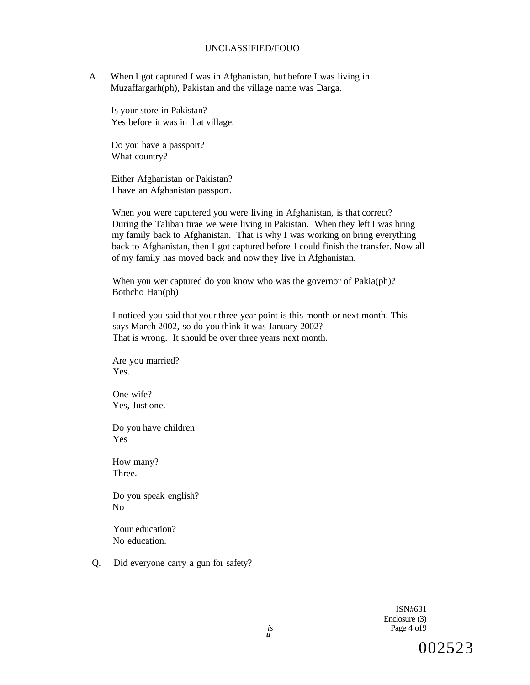A. When I got captured I was in Afghanistan, but before I was living in Muzaffargarh(ph), Pakistan and the village name was Darga.

Is your store in Pakistan? Yes before it was in that village.

Do you have a passport? What country?

Either Afghanistan or Pakistan? I have an Afghanistan passport.

When you were caputered you were living in Afghanistan, is that correct? During the Taliban tirae we were living in Pakistan. When they left I was bring my family back to Afghanistan. That is why I was working on bring everything back to Afghanistan, then I got captured before I could finish the transfer. Now all of my family has moved back and now they live in Afghanistan.

When you wer captured do you know who was the governor of Pakia(ph)? Bothcho Han(ph)

I noticed you said that your three year point is this month or next month. This says March 2002, so do you think it was January 2002? That is wrong. It should be over three years next month.

Are you married? Yes.

One wife? Yes, Just one.

Do you have children Yes

How many? Three.

Do you speak english? No

Your education? No education.

Q. Did everyone carry a gun for safety?

ISN#631 Enclosure (3) Page 4 of9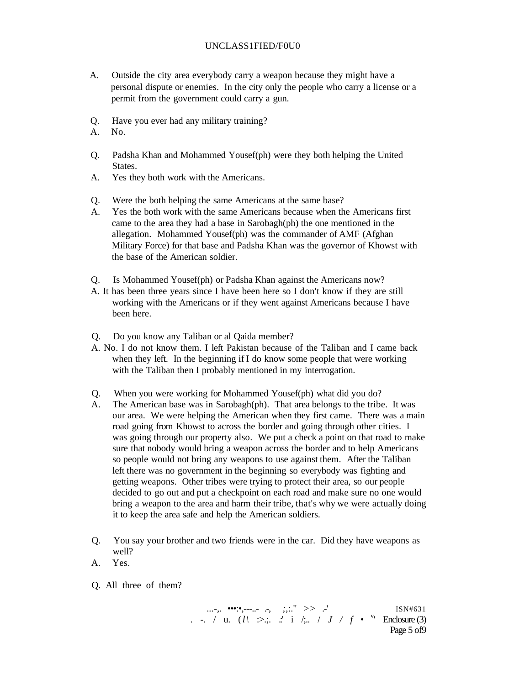#### UNCLASS1FIED/F0U0

- A. Outside the city area everybody carry a weapon because they might have a personal dispute or enemies. In the city only the people who carry a license or a permit from the government could carry a gun.
- Q. Have you ever had any military training?
- A. No.
- Q. Padsha Khan and Mohammed Yousef(ph) were they both helping the United States.
- A. Yes they both work with the Americans.
- Q. Were the both helping the same Americans at the same base?
- A. Yes the both work with the same Americans because when the Americans first came to the area they had a base in Sarobagh(ph) the one mentioned in the allegation. Mohammed Yousef(ph) was the commander of AMF (Afghan Military Force) for that base and Padsha Khan was the governor of Khowst with the base of the American soldier.
- Q. Is Mohammed Yousef(ph) or Padsha Khan against the Americans now?
- A. It has been three years since I have been here so I don't know if they are still working with the Americans or if they went against Americans because I have been here.
- Q. Do you know any Taliban or al Qaida member?
- A. No. I do not know them. I left Pakistan because of the Taliban and I came back when they left. In the beginning if I do know some people that were working with the Taliban then I probably mentioned in my interrogation.
- Q. When you were working for Mohammed Yousef(ph) what did you do?
- A. The American base was in Sarobagh(ph). That area belongs to the tribe. It was our area. We were helping the American when they first came. There was a main road going from Khowst to across the border and going through other cities. I was going through our property also. We put a check a point on that road to make sure that nobody would bring a weapon across the border and to help Americans so people would not bring any weapons to use against them. After the Taliban left there was no government in the beginning so everybody was fighting and getting weapons. Other tribes were trying to protect their area, so our people decided to go out and put a checkpoint on each road and make sure no one would bring a weapon to the area and harm their tribe, that's why we were actually doing it to keep the area safe and help the American soldiers.
- Q. You say your brother and two friends were in the car. Did they have weapons as well?
- A. Yes.
- Q. All three of them?

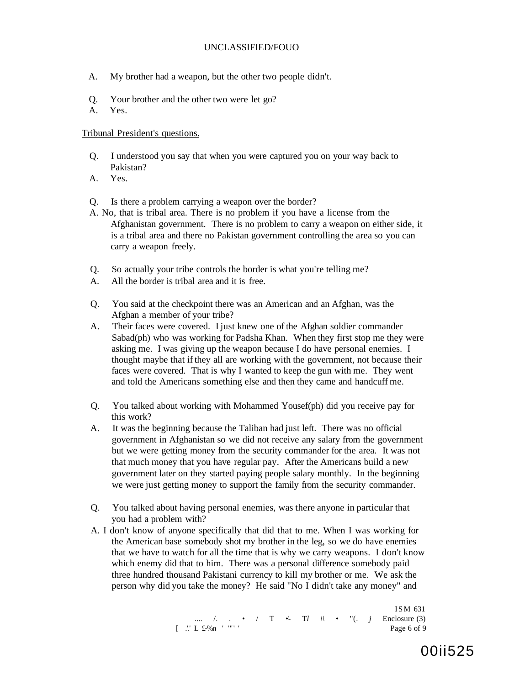- A. My brother had a weapon, but the other two people didn't.
- Q. Your brother and the other two were let go?
- A. Yes.

Tribunal President's questions.

- Q. I understood you say that when you were captured you on your way back to Pakistan?
- A. Yes.

Q. Is there a problem carrying a weapon over the border?

- A. No, that is tribal area. There is no problem if you have a license from the Afghanistan government. There is no problem to carry a weapon on either side, it is a tribal area and there no Pakistan government controlling the area so you can carry a weapon freely.
- Q. So actually your tribe controls the border is what you're telling me?
- A. All the border is tribal area and it is free.
- Q. You said at the checkpoint there was an American and an Afghan, was the Afghan a member of your tribe?
- A. Their faces were covered. I just knew one of the Afghan soldier commander Sabad(ph) who was working for Padsha Khan. When they first stop me they were asking me. I was giving up the weapon because I do have personal enemies. I thought maybe that if they all are working with the government, not because their faces were covered. That is why I wanted to keep the gun with me. They went and told the Americans something else and then they came and handcuff me.
- Q. You talked about working with Mohammed Yousef(ph) did you receive pay for this work?
- A. It was the beginning because the Taliban had just left. There was no official government in Afghanistan so we did not receive any salary from the government but we were getting money from the security commander for the area. It was not that much money that you have regular pay. After the Americans build a new government later on they started paying people salary monthly. In the beginning we were just getting money to support the family from the security commander.
- Q. You talked about having personal enemies, was there anyone in particular that you had a problem with?
- A. I don't know of anyone specifically that did that to me. When I was working for the American base somebody shot my brother in the leg, so we do have enemies that we have to watch for all the time that is why we carry weapons. I don't know which enemy did that to him. There was a personal difference somebody paid three hundred thousand Pakistani currency to kill my brother or me. We ask the person why did you take the money? He said "No I didn't take any money" and

ISM 631 .... /. . • / T • T*l* \\ • "(. *j* Enclosure (3) [ .'.' L £-%n ' '"' ' Page 6 of 9

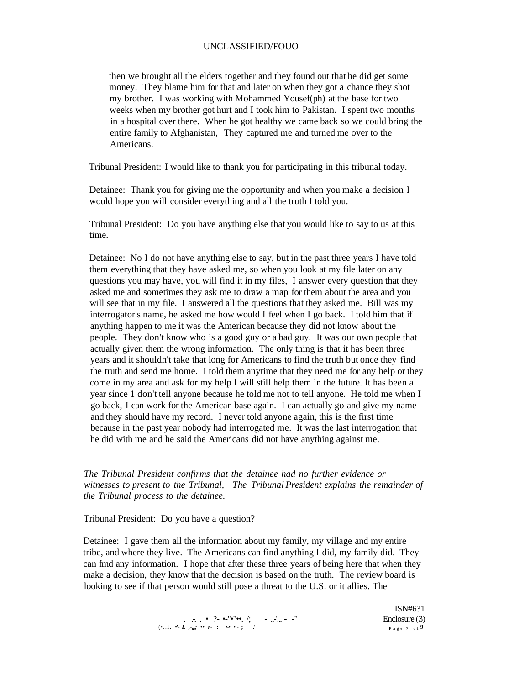then we brought all the elders together and they found out that he did get some money. They blame him for that and later on when they got a chance they shot my brother. I was working with Mohammed Yousef(ph) at the base for two weeks when my brother got hurt and I took him to Pakistan. I spent two months in a hospital over there. When he got healthy we came back so we could bring the entire family to Afghanistan, They captured me and turned me over to the Americans.

Tribunal President: I would like to thank you for participating in this tribunal today.

Detainee: Thank you for giving me the opportunity and when you make a decision I would hope you will consider everything and all the truth I told you.

Tribunal President: Do you have anything else that you would like to say to us at this time.

Detainee: No I do not have anything else to say, but in the past three years I have told them everything that they have asked me, so when you look at my file later on any questions you may have, you will find it in my files, I answer every question that they asked me and sometimes they ask me to draw a map for them about the area and you will see that in my file. I answered all the questions that they asked me. Bill was my interrogator's name, he asked me how would I feel when I go back. I told him that if anything happen to me it was the American because they did not know about the people. They don't know who is a good guy or a bad guy. It was our own people that actually given them the wrong information. The only thing is that it has been three years and it shouldn't take that long for Americans to find the truth but once they find the truth and send me home. I told them anytime that they need me for any help or they come in my area and ask for my help I will still help them in the future. It has been a year since 1 don't tell anyone because he told me not to tell anyone. He told me when I go back, I can work for the American base again. I can actually go and give my name and they should have my record. I never told anyone again, this is the first time because in the past year nobody had interrogated me. It was the last interrogation that he did with me and he said the Americans did not have anything against me.

*The Tribunal President confirms that the detainee had no further evidence or witnesses to present to the Tribunal, The Tribunal President explains the remainder of the Tribunal process to the detainee.* 

Tribunal President: Do you have a question?

Detainee: I gave them all the information about my family, my village and my entire tribe, and where they live. The Americans can find anything I did, my family did. They can fmd any information. I hope that after these three years of being here that when they make a decision, they know that the decision is based on the truth. The review board is looking to see if that person would still pose a threat to the U.S. or it allies. The

|                                                                                                                                                                              | ISN#031       |
|------------------------------------------------------------------------------------------------------------------------------------------------------------------------------|---------------|
| $\ldots$ , $\ldots$ . $\bullet$ $\ ?$ $\bullet$ $\cdot$ $\cdot$ $\bullet$ $\cdot$ $\cdot$ $\circ$ $\ldots$ $\cdot$ $\ldots$ $\cdot$ $\ldots$ $\cdot$ $\cdot$ $\cdot$ $\cdot$ | Enclosure (3) |
| $(\cdot \ldots \mathbf{I}, \ \cdot \cdot \mathbf{L}, \cdot \mathbf{m}; \ \cdots \ r \cdot \mathbf{I}, \ \cdots \cdot \mathbf{L}, \cdot \mathbf{L})$                          | Page 7 of 9   |

 $T(T)$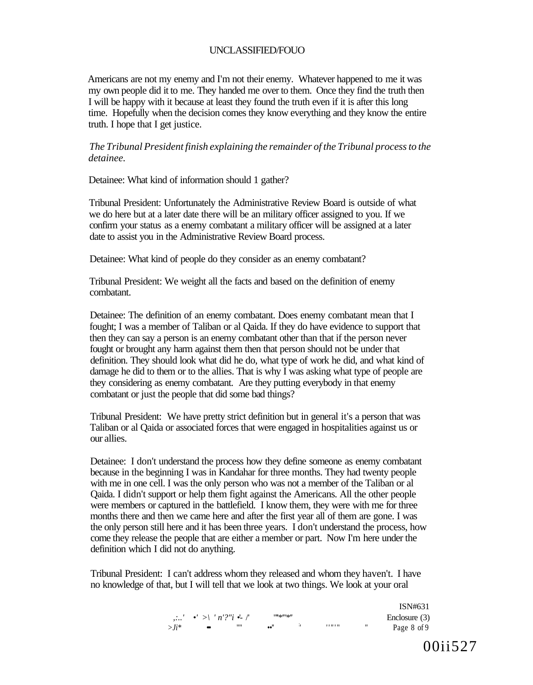Americans are not my enemy and I'm not their enemy. Whatever happened to me it was my own people did it to me. They handed me over to them. Once they find the truth then I will be happy with it because at least they found the truth even if it is after this long time. Hopefully when the decision comes they know everything and they know the entire truth. I hope that I get justice.

### *The Tribunal President finish explaining the remainder of the Tribunal process to the detainee.*

Detainee: What kind of information should 1 gather?

Tribunal President: Unfortunately the Administrative Review Board is outside of what we do here but at a later date there will be an military officer assigned to you. If we confirm your status as a enemy combatant a military officer will be assigned at a later date to assist you in the Administrative Review Board process.

Detainee: What kind of people do they consider as an enemy combatant?

Tribunal President: We weight all the facts and based on the definition of enemy combatant.

Detainee: The definition of an enemy combatant. Does enemy combatant mean that I fought; I was a member of Taliban or al Qaida. If they do have evidence to support that then they can say a person is an enemy combatant other than that if the person never fought or brought any harm against them then that person should not be under that definition. They should look what did he do, what type of work he did, and what kind of damage he did to them or to the allies. That is why I was asking what type of people are they considering as enemy combatant. Are they putting everybody in that enemy combatant or just the people that did some bad things?

Tribunal President: We have pretty strict definition but in general it's a person that was Taliban or al Qaida or associated forces that were engaged in hospitalities against us or our allies.

Detainee: I don't understand the process how they define someone as enemy combatant because in the beginning I was in Kandahar for three months. They had twenty people with me in one cell. I was the only person who was not a member of the Taliban or al Qaida. I didn't support or help them fight against the Americans. All the other people were members or captured in the battlefield. I know them, they were with me for three months there and then we came here and after the first year all of them are gone. I was the only person still here and it has been three years. I don't understand the process, how come they release the people that are either a member or part. Now I'm here under the definition which I did not do anything.

Tribunal President: I can't address whom they released and whom they haven't. I have no knowledge of that, but I will tell that we look at two things. We look at your oral

|          |                                                          |      |                                                       |        |   | ISN#631       |
|----------|----------------------------------------------------------|------|-------------------------------------------------------|--------|---|---------------|
|          | $\ldots'$ $\bullet'$ > $\mid'$ $n'$ ?" $i$ $\bullet'$ /" |      | $\frac{118}{118}$ $\frac{118}{118}$ $\frac{118}{118}$ |        |   | Enclosure (3) |
| $> Ii^*$ |                                                          | ,,,, | ••"                                                   | ,,,,,, | " | Page 8 of 9   |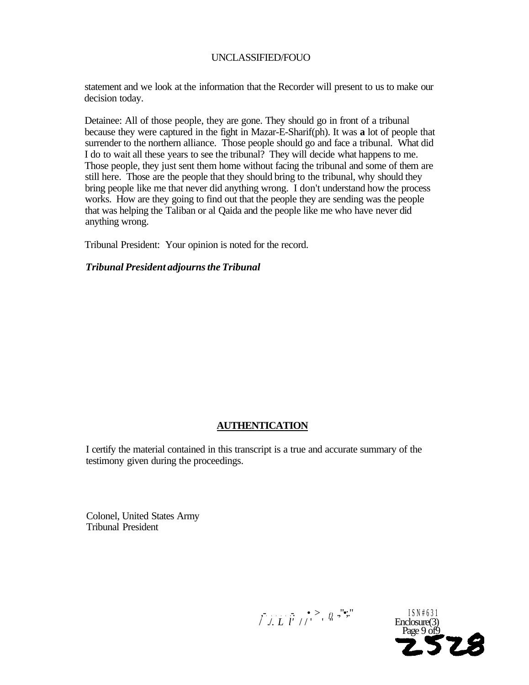statement and we look at the information that the Recorder will present to us to make our decision today.

Detainee: All of those people, they are gone. They should go in front of a tribunal because they were captured in the fight in Mazar-E-Sharif(ph). It was **a** lot of people that surrender to the northern alliance. Those people should go and face a tribunal. What did I do to wait all these years to see the tribunal? They will decide what happens to me. Those people, they just sent them home without facing the tribunal and some of them are still here. Those are the people that they should bring to the tribunal, why should they bring people like me that never did anything wrong. I don't understand how the process works. How are they going to find out that the people they are sending was the people that was helping the Taliban or al Qaida and the people like me who have never did anything wrong.

Tribunal President: Your opinion is noted for the record.

## *Tribunal President adjourns the Tribunal*

# **AUTHENTICATION**

I certify the material contained in this transcript is a true and accurate summary of the testimony given during the proceedings.

Colonel, United States Army Tribunal President

> $, -$ .  $, -$ .  $, -$ .  $, f/$ .  $, -$ .  $, -$ . ISN#631 / ./. *L l'* // ' ' " Enclosure(3)

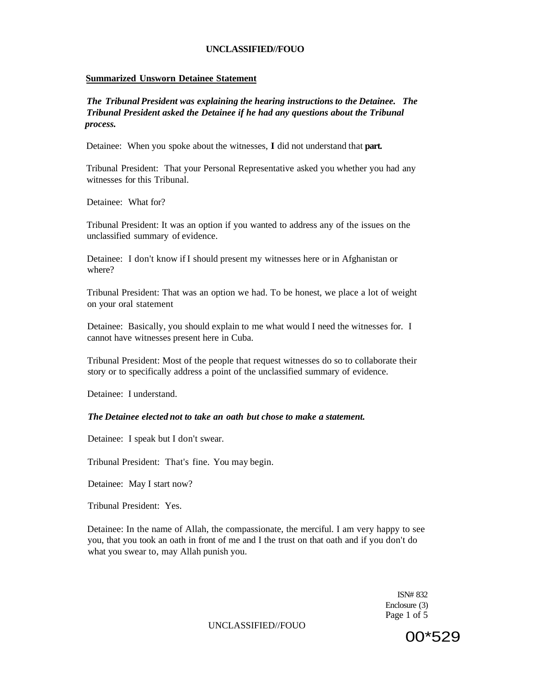#### **Summarized Unsworn Detainee Statement**

*The Tribunal President was explaining the hearing instructions to the Detainee. The Tribunal President asked the Detainee if he had any questions about the Tribunal process.* 

Detainee: When you spoke about the witnesses, **I** did not understand that **part.** 

Tribunal President: That your Personal Representative asked you whether you had any witnesses for this Tribunal.

Detainee: What for?

Tribunal President: It was an option if you wanted to address any of the issues on the unclassified summary of evidence.

Detainee: I don't know if I should present my witnesses here or in Afghanistan or where?

Tribunal President: That was an option we had. To be honest, we place a lot of weight on your oral statement

Detainee: Basically, you should explain to me what would I need the witnesses for. I cannot have witnesses present here in Cuba.

Tribunal President: Most of the people that request witnesses do so to collaborate their story or to specifically address a point of the unclassified summary of evidence.

Detainee: I understand.

#### *The Detainee elected not to take an oath but chose to make a statement.*

Detainee: I speak but I don't swear.

Tribunal President: That's fine. You may begin.

Detainee: May I start now?

Tribunal President: Yes.

Detainee: In the name of Allah, the compassionate, the merciful. I am very happy to see you, that you took an oath in front of me and I the trust on that oath and if you don't do what you swear to, may Allah punish you.

> ISN# 832 Enclosure (3) Page 1 of 5

UNCLASSIFIED//FOUO

00\*529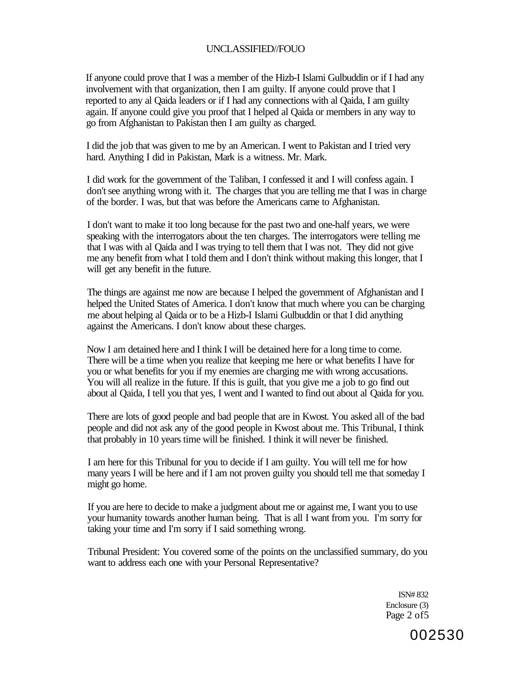If anyone could prove that I was a member of the Hizb-I Islami Gulbuddin or if I had any involvement with that organization, then I am guilty. If anyone could prove that I reported to any al Qaida leaders or if I had any connections with al Qaida, I am guilty again. If anyone could give you proof that I helped al Qaida or members in any way to go from Afghanistan to Pakistan then I am guilty as charged.

I did the job that was given to me by an American. I went to Pakistan and I tried very hard. Anything I did in Pakistan, Mark is a witness. Mr. Mark.

I did work for the government of the Taliban, I confessed it and I will confess again. I don't see anything wrong with it. The charges that you are telling me that I was in charge of the border. I was, but that was before the Americans came to Afghanistan.

I don't want to make it too long because for the past two and one-half years, we were speaking with the interrogators about the ten charges. The interrogators were telling me that I was with al Qaida and I was trying to tell them that I was not. They did not give me any benefit from what I told them and I don't think without making this longer, that I will get any benefit in the future.

The things are against me now are because I helped the government of Afghanistan and I helped the United States of America. I don't know that much where you can be charging me about helping al Qaida or to be a Hizb-I Islami Gulbuddin or that I did anything against the Americans. I don't know about these charges.

Now I am detained here and I think I will be detained here for a long time to come. There will be a time when you realize that keeping me here or what benefits I have for you or what benefits for you if my enemies are charging me with wrong accusations. You will all realize in the future. If this is guilt, that you give me a job to go find out about al Qaida, I tell you that yes, I went and I wanted to find out about al Qaida for you.

There are lots of good people and bad people that are in Kwost. You asked all of the bad people and did not ask any of the good people in Kwost about me. This Tribunal, I think that probably in 10 years time will be finished. I think it will never be finished.

I am here for this Tribunal for you to decide if I am guilty. You will tell me for how many years I will be here and if I am not proven guilty you should tell me that someday I might go home.

If you are here to decide to make a judgment about me or against me, I want you to use your humanity towards another human being. That is all I want from you. I'm sorry for taking your time and I'm sorry if I said something wrong.

Tribunal President: You covered some of the points on the unclassified summary, do you want to address each one with your Personal Representative?

> ISN# 832 Enclosure (3) Page 2 of5

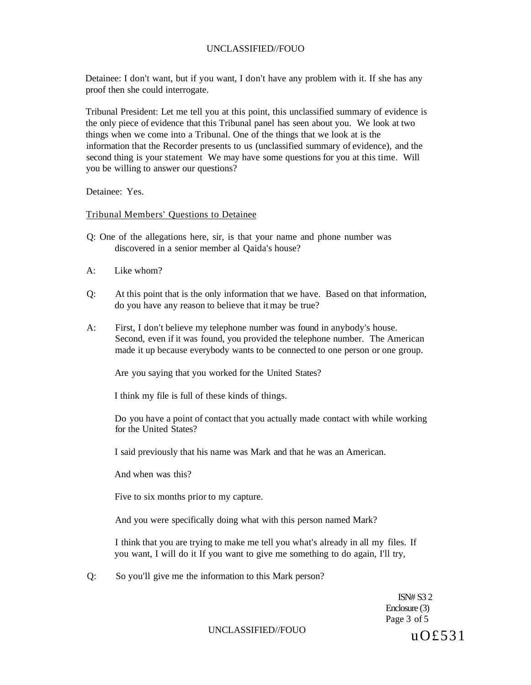Detainee: I don't want, but if you want, I don't have any problem with it. If she has any proof then she could interrogate.

Tribunal President: Let me tell you at this point, this unclassified summary of evidence is the only piece of evidence that this Tribunal panel has seen about you. We look at two things when we come into a Tribunal. One of the things that we look at is the information that the Recorder presents to us (unclassified summary of evidence), and the second thing is your statement We may have some questions for you at this time. Will you be willing to answer our questions?

Detainee: Yes.

Tribunal Members' Questions to Detainee

- Q: One of the allegations here, sir, is that your name and phone number was discovered in a senior member al Qaida's house?
- $A^{\dagger}$  Like whom?
- Q: At this point that is the only information that we have. Based on that information, do you have any reason to believe that it may be true?
- A: First, I don't believe my telephone number was found in anybody's house. Second, even if it was found, you provided the telephone number. The American made it up because everybody wants to be connected to one person or one group.

Are you saying that you worked for the United States?

I think my file is full of these kinds of things.

Do you have a point of contact that you actually made contact with while working for the United States?

I said previously that his name was Mark and that he was an American.

And when was this?

Five to six months prior to my capture.

And you were specifically doing what with this person named Mark?

I think that you are trying to make me tell you what's already in all my files. If you want, I will do it If you want to give me something to do again, I'll try,

Q: So you'll give me the information to this Mark person?

ISN# S3 2 Enclosure (3) Page 3 of 5

# UNCLASSIFIED//FOUO  $U O £531$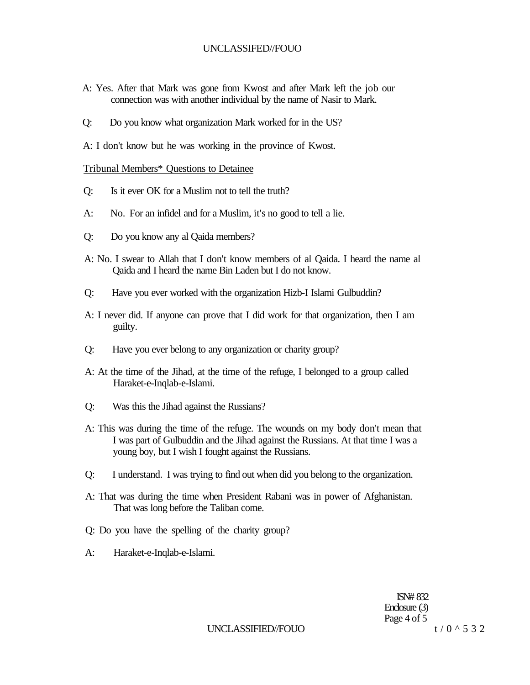- A: Yes. After that Mark was gone from Kwost and after Mark left the job our connection was with another individual by the name of Nasir to Mark.
- Q: Do you know what organization Mark worked for in the US?

A: I don't know but he was working in the province of Kwost.

#### Tribunal Members\* Questions to Detainee

- Q: Is it ever OK for a Muslim not to tell the truth?
- A: No. For an infidel and for a Muslim, it's no good to tell a lie.
- Q: Do you know any al Qaida members?
- A: No. I swear to Allah that I don't know members of al Qaida. I heard the name al Qaida and I heard the name Bin Laden but I do not know.
- Q: Have you ever worked with the organization Hizb-I Islami Gulbuddin?
- A: I never did. If anyone can prove that I did work for that organization, then I am guilty.
- Q: Have you ever belong to any organization or charity group?
- A: At the time of the Jihad, at the time of the refuge, I belonged to a group called Haraket-e-Inqlab-e-Islami.
- Q: Was this the Jihad against the Russians?
- A: This was during the time of the refuge. The wounds on my body don't mean that I was part of Gulbuddin and the Jihad against the Russians. At that time I was a young boy, but I wish I fought against the Russians.
- Q: I understand. I was trying to find out when did you belong to the organization.
- A: That was during the time when President Rabani was in power of Afghanistan. That was long before the Taliban come.
- Q: Do you have the spelling of the charity group?
- A: Haraket-e-Inqlab-e-Islami.

ISN# 832 Enclosure (3) Page 4 of 5

UNCLASSIFIED//FOUO  $t/0$  ^ 5 3 2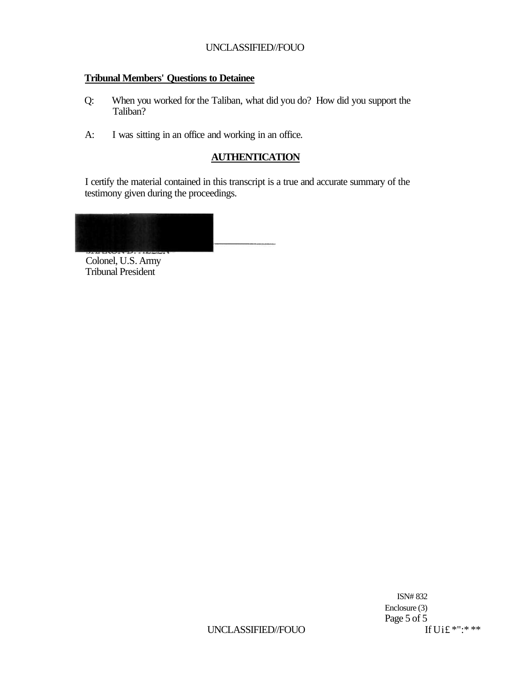## **Tribunal Members' Questions to Detainee**

- Q: When you worked for the Taliban, what did you do? How did you support the Taliban?
- A: I was sitting in an office and working in an office.

## **AUTHENTICATION**

I certify the material contained in this transcript is a true and accurate summary of the testimony given during the proceedings.

Colonel, U.S. Army Tribunal President

> ISN# 832 Enclosure (3) Page 5 of 5<br>If Ui£ \*":\* \*\*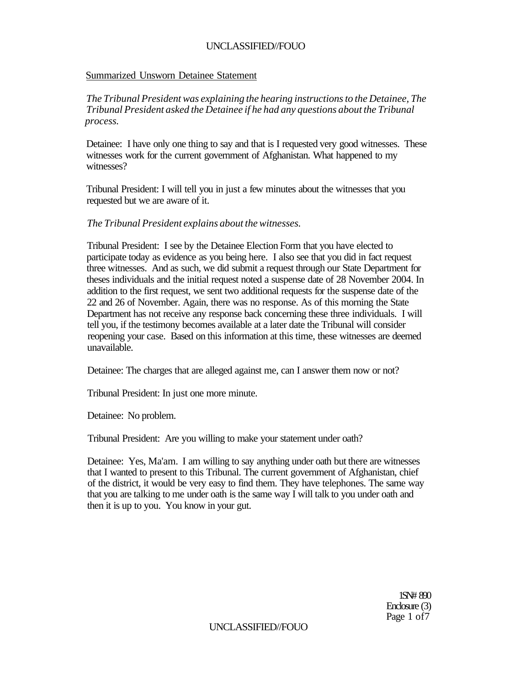## Summarized Unsworn Detainee Statement

*The Tribunal President was explaining the hearing instructions to the Detainee, The Tribunal President asked the Detainee if he had any questions about the Tribunal process.* 

Detainee: I have only one thing to say and that is I requested very good witnesses. These witnesses work for the current government of Afghanistan. What happened to my witnesses?

Tribunal President: I will tell you in just a few minutes about the witnesses that you requested but we are aware of it.

## *The Tribunal President explains about the witnesses.*

Tribunal President: I see by the Detainee Election Form that you have elected to participate today as evidence as you being here. I also see that you did in fact request three witnesses. And as such, we did submit a request through our State Department for theses individuals and the initial request noted a suspense date of 28 November 2004. In addition to the first request, we sent two additional requests for the suspense date of the 22 and 26 of November. Again, there was no response. As of this morning the State Department has not receive any response back concerning these three individuals. I will tell you, if the testimony becomes available at a later date the Tribunal will consider reopening your case. Based on this information at this time, these witnesses are deemed unavailable.

Detainee: The charges that are alleged against me, can I answer them now or not?

Tribunal President: In just one more minute.

Detainee: No problem.

Tribunal President: Are you willing to make your statement under oath?

Detainee: Yes, Ma'am. I am willing to say anything under oath but there are witnesses that I wanted to present to this Tribunal. The current government of Afghanistan, chief of the district, it would be very easy to find them. They have telephones. The same way that you are talking to me under oath is the same way I will talk to you under oath and then it is up to you. You know in your gut.

> 1SN# 890 Enclosure (3) Page 1 of7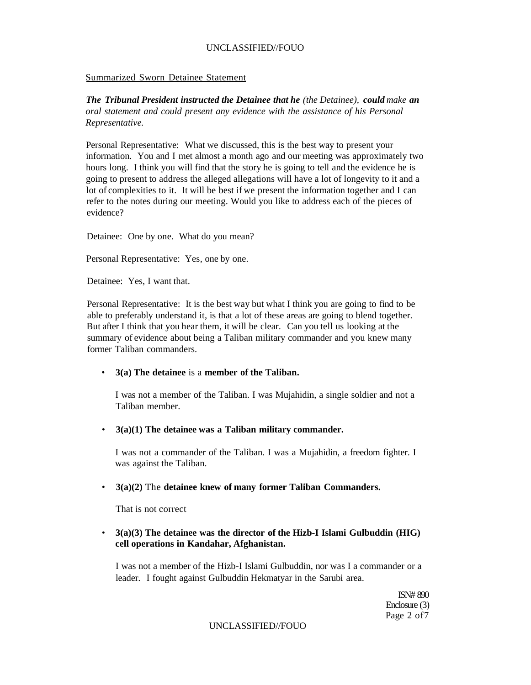#### Summarized Sworn Detainee Statement

*The Tribunal President instructed the Detainee that he (the Detainee), could make an oral statement and could present any evidence with the assistance of his Personal Representative.* 

Personal Representative: What we discussed, this is the best way to present your information. You and I met almost a month ago and our meeting was approximately two hours long. I think you will find that the story he is going to tell and the evidence he is going to present to address the alleged allegations will have a lot of longevity to it and a lot of complexities to it. It will be best if we present the information together and I can refer to the notes during our meeting. Would you like to address each of the pieces of evidence?

Detainee: One by one. What do you mean?

Personal Representative: Yes, one by one.

Detainee: Yes, I want that.

Personal Representative: It is the best way but what I think you are going to find to be able to preferably understand it, is that a lot of these areas are going to blend together. But after I think that you hear them, it will be clear. Can you tell us looking at the summary of evidence about being a Taliban military commander and you knew many former Taliban commanders.

#### • **3(a) The detainee** is a **member of the Taliban.**

I was not a member of the Taliban. I was Mujahidin, a single soldier and not a Taliban member.

• **3(a)(1) The detainee was a Taliban military commander.** 

I was not a commander of the Taliban. I was a Mujahidin, a freedom fighter. I was against the Taliban.

#### • **3(a)(2)** The **detainee knew of many former Taliban Commanders.**

That is not correct

## • **3(a)(3) The detainee was the director of the Hizb-I Islami Gulbuddin (HIG) cell operations in Kandahar, Afghanistan.**

I was not a member of the Hizb-I Islami Gulbuddin, nor was I a commander or a leader. I fought against Gulbuddin Hekmatyar in the Sarubi area.

> ISN# 890 Enclosure (3) Page 2 of7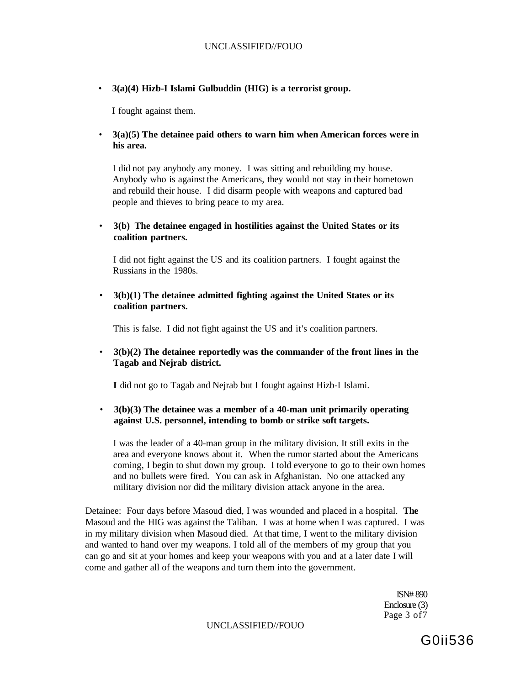• **3(a)(4) Hizb-I Islami Gulbuddin (HIG) is a terrorist group.** 

I fought against them.

• **3(a)(5) The detainee paid others to warn him when American forces were in his area.** 

I did not pay anybody any money. I was sitting and rebuilding my house. Anybody who is against the Americans, they would not stay in their hometown and rebuild their house. I did disarm people with weapons and captured bad people and thieves to bring peace to my area.

• **3(b) The detainee engaged in hostilities against the United States or its coalition partners.** 

I did not fight against the US and its coalition partners. I fought against the Russians in the 1980s.

• **3(b)(1) The detainee admitted fighting against the United States or its coalition partners.** 

This is false. I did not fight against the US and it's coalition partners.

• **3(b)(2) The detainee reportedly was the commander of the front lines in the Tagab and Nejrab district.** 

**I** did not go to Tagab and Nejrab but I fought against Hizb-I Islami.

• **3(b)(3) The detainee was a member of a 40-man unit primarily operating against U.S. personnel, intending to bomb or strike soft targets.** 

I was the leader of a 40-man group in the military division. It still exits in the area and everyone knows about it. When the rumor started about the Americans coming, I begin to shut down my group. I told everyone to go to their own homes and no bullets were fired. You can ask in Afghanistan. No one attacked any military division nor did the military division attack anyone in the area.

Detainee: Four days before Masoud died, I was wounded and placed in a hospital. **The**  Masoud and the HIG was against the Taliban. I was at home when I was captured. I was in my military division when Masoud died. At that time, I went to the military division and wanted to hand over my weapons. I told all of the members of my group that you can go and sit at your homes and keep your weapons with you and at a later date I will come and gather all of the weapons and turn them into the government.

> ISN# 890 Enclosure (3) Page 3 of7

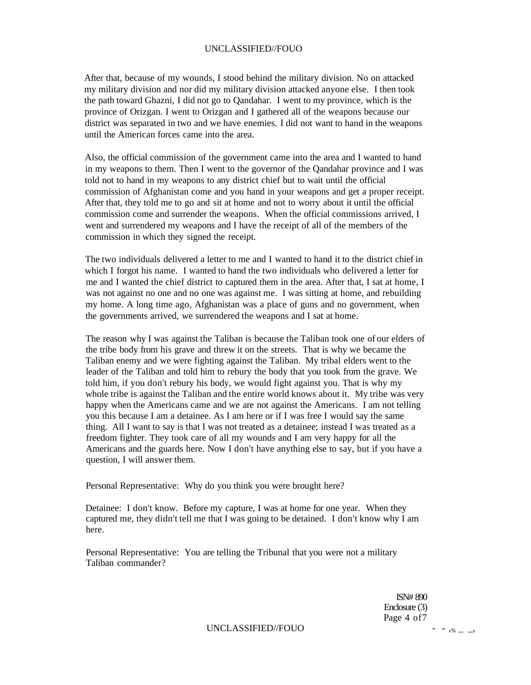After that, because of my wounds, I stood behind the military division. No on attacked my military division and nor did my military division attacked anyone else. I then took the path toward Ghazni, I did not go to Qandahar. I went to my province, which is the province of Orizgan. I went to Orizgan and I gathered all of the weapons because our district was separated in two and we have enemies. I did not want to hand in the weapons until the American forces came into the area.

Also, the official commission of the government came into the area and I wanted to hand in my weapons to them. Then I went to the governor of the Qandahar province and I was told not to hand in my weapons to any district chief but to wait until the official commission of Afghanistan come and you hand in your weapons and get a proper receipt. After that, they told me to go and sit at home and not to worry about it until the official commission come and surrender the weapons. When the official commissions arrived, I went and surrendered my weapons and I have the receipt of all of the members of the commission in which they signed the receipt.

The two individuals delivered a letter to me and I wanted to hand it to the district chief in which I forgot his name. I wanted to hand the two individuals who delivered a letter for me and I wanted the chief district to captured them in the area. After that, I sat at home, I was not against no one and no one was against me. I was sitting at home, and rebuilding my home. A long time ago, Afghanistan was a place of guns and no government, when the governments arrived, we surrendered the weapons and I sat at home.

The reason why I was against the Taliban is because the Taliban took one of our elders of the tribe body from his grave and threw it on the streets. That is why we became the Taliban enemy and we were fighting against the Taliban. My tribal elders went to the leader of the Taliban and told him to rebury the body that you took from the grave. We told him, if you don't rebury his body, we would fight against you. That is why my whole tribe is against the Taliban and the entire world knows about it. My tribe was very happy when the Americans came and we are not against the Americans. I am not telling you this because I am a detainee. As I am here or if I was free I would say the same thing. All I want to say is that I was not treated as a detainee; instead I was treated as a freedom fighter. They took care of all my wounds and I am very happy for all the Americans and the guards here. Now I don't have anything else to say, but if you have a question, I will answer them.

Personal Representative: Why do you think you were brought here?

Detainee: I don't know. Before my capture, I was at home for one year. When they captured me, they didn't tell me that I was going to be detained. I don't know why I am here.

Personal Representative: You are telling the Tribunal that you were not a military Taliban commander?

> ISN# 890 Enclosure (3) Page 4 of7

UNCLASSIFIED//FOUO - -,  $\frac{6}{5}$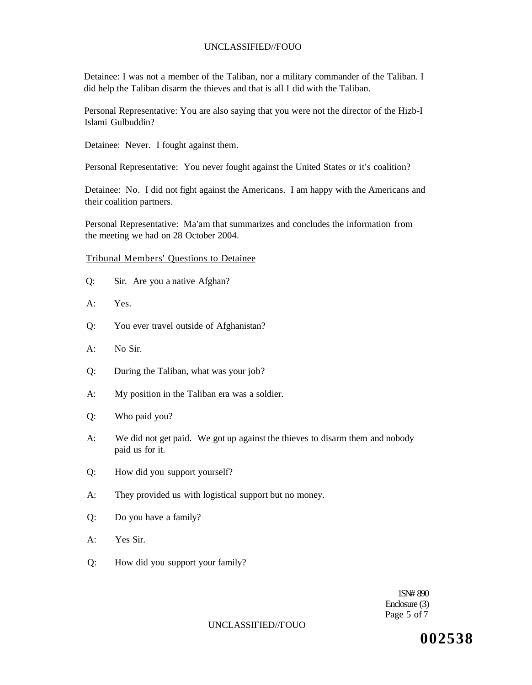Detainee: I was not a member of the Taliban, nor a military commander of the Taliban. I did help the Taliban disarm the thieves and that is all I did with the Taliban.

Personal Representative: You are also saying that you were not the director of the Hizb-I Islami Gulbuddin?

Detainee: Never. I fought against them.

Personal Representative: You never fought against the United States or it's coalition?

Detainee: No. I did not fight against the Americans. I am happy with the Americans and their coalition partners.

Personal Representative: Ma'am that summarizes and concludes the information from the meeting we had on 28 October 2004.

#### Tribunal Members' Questions to Detainee

- Q: Sir. Are you a native Afghan?
- A: Yes.
- Q: You ever travel outside of Afghanistan?
- A: No Sir.
- Q: During the Taliban, what was your job?
- A: My position in the Taliban era was a soldier.
- Q: Who paid you?
- A: We did not get paid. We got up against the thieves to disarm them and nobody paid us for it.
- Q: How did you support yourself?
- A: They provided us with logistical support but no money.
- Q: Do you have a family?
- A: Yes Sir.
- Q: How did you support your family?

1SN# 890 Enclosure (3) Page 5 of 7

#### UNCLASSIFIED//FOUO

**002538**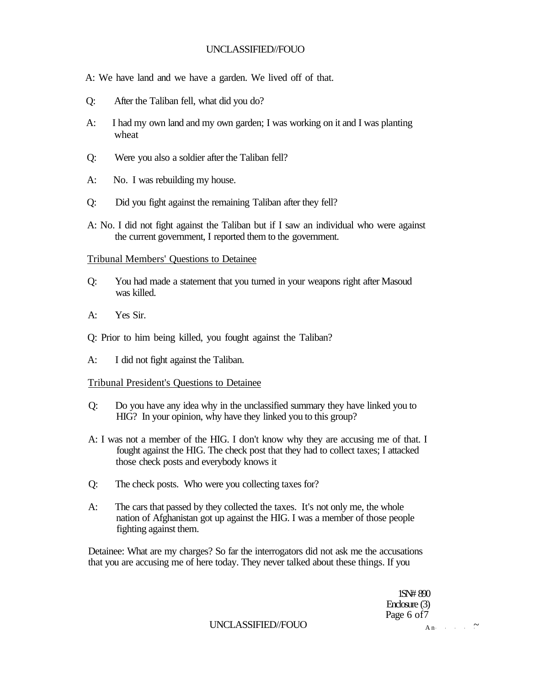A: We have land and we have a garden. We lived off of that.

- Q: After the Taliban fell, what did you do?
- A: I had my own land and my own garden; I was working on it and I was planting wheat
- Q: Were you also a soldier after the Taliban fell?
- A: No. I was rebuilding my house.
- Q: Did you fight against the remaining Taliban after they fell?
- A: No. I did not fight against the Taliban but if I saw an individual who were against the current government, I reported them to the government.

#### Tribunal Members' Questions to Detainee

- Q: You had made a statement that you turned in your weapons right after Masoud was killed.
- A: Yes Sir.
- Q: Prior to him being killed, you fought against the Taliban?
- A: I did not fight against the Taliban.

## Tribunal President's Questions to Detainee

- Q: Do you have any idea why in the unclassified summary they have linked you to HIG? In your opinion, why have they linked you to this group?
- A: I was not a member of the HIG. I don't know why they are accusing me of that. I fought against the HIG. The check post that they had to collect taxes; I attacked those check posts and everybody knows it
- Q: The check posts. Who were you collecting taxes for?
- A: The cars that passed by they collected the taxes. It's not only me, the whole nation of Afghanistan got up against the HIG. I was a member of those people fighting against them.

Detainee: What are my charges? So far the interrogators did not ask me the accusations that you are accusing me of here today. They never talked about these things. If you

> 1SN# 890 Enclosure (3) Page 6 of7

UNCLASSIFIED//FOUO  $_{\text{An}}$   $\sim$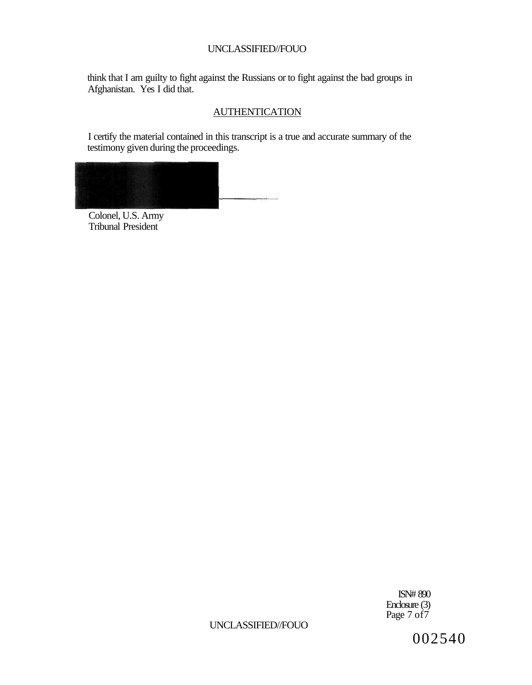think that I am guilty to fight against the Russians or to fight against the bad groups in Afghanistan. Yes I did that.

## **AUTHENTICATION**

I certify the material contained in this transcript is a true and accurate summary of the testimony given during the proceedings.



Colonel, U.S. Army Tribunal President

> ISN# 890 Enclosure (3) Page 7 of7

UNCLASSIFIED//FOUO

002540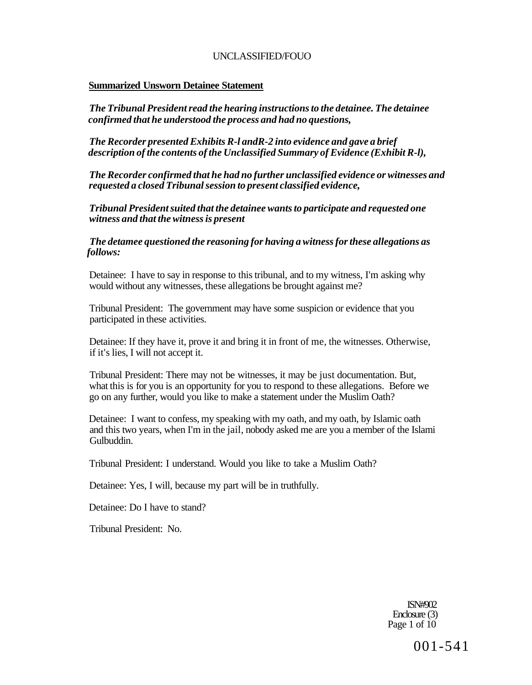## **Summarized Unsworn Detainee Statement**

*The Tribunal President read the hearing instructions to the detainee. The detainee confirmed that he understood the process and had no questions,* 

*The Recorder presented Exhibits R-l andR-2 into evidence and gave a brief description of the contents of the Unclassified Summary of Evidence (Exhibit R-l),* 

*The Recorder confirmed that he had no further unclassified evidence or witnesses and requested a closed Tribunal session to present classified evidence,* 

*Tribunal President suited that the detainee wants to participate and requested one witness and that the witness is present* 

*The detamee questioned the reasoning for having a witness for these allegations as follows:* 

Detainee: I have to say in response to this tribunal, and to my witness, I'm asking why would without any witnesses, these allegations be brought against me?

Tribunal President: The government may have some suspicion or evidence that you participated in these activities.

Detainee: If they have it, prove it and bring it in front of me, the witnesses. Otherwise, if it's lies, I will not accept it.

Tribunal President: There may not be witnesses, it may be just documentation. But, what this is for you is an opportunity for you to respond to these allegations. Before we go on any further, would you like to make a statement under the Muslim Oath?

Detainee: I want to confess, my speaking with my oath, and my oath, by Islamic oath and this two years, when I'm in the jail, nobody asked me are you a member of the Islami Gulbuddin.

Tribunal President: I understand. Would you like to take a Muslim Oath?

Detainee: Yes, I will, because my part will be in truthfully.

Detainee: Do I have to stand?

Tribunal President: No.

ISN#902 Enclosure (3) Page 1 of 10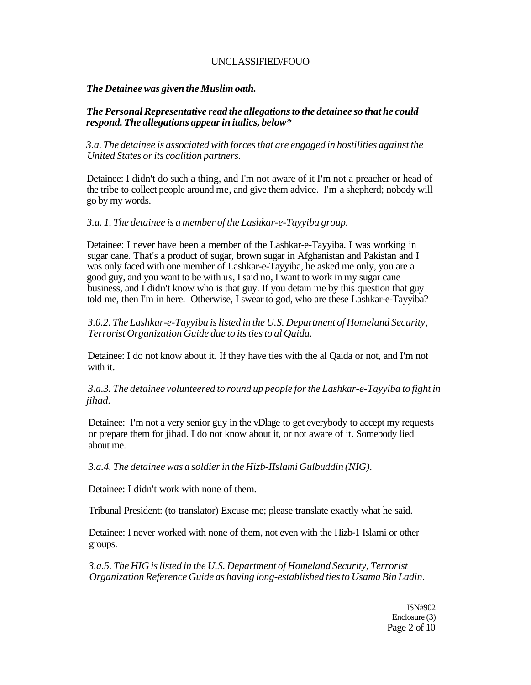## *The Detainee was given the Muslim oath.*

## *The Personal Representative read the allegations to the detainee so that he could respond. The allegations appear in italics, below\**

*3.a. The detainee is associated with forces that are engaged in hostilities against the United States or its coalition partners.* 

Detainee: I didn't do such a thing, and I'm not aware of it I'm not a preacher or head of the tribe to collect people around me, and give them advice. I'm a shepherd; nobody will go by my words.

## *3.a. 1. The detainee is a member of the Lashkar-e-Tayyiba group.*

Detainee: I never have been a member of the Lashkar-e-Tayyiba. I was working in sugar cane. That's a product of sugar, brown sugar in Afghanistan and Pakistan and I was only faced with one member of Lashkar-e-Tayyiba, he asked me only, you are a good guy, and you want to be with us, I said no, I want to work in my sugar cane business, and I didn't know who is that guy. If you detain me by this question that guy told me, then I'm in here. Otherwise, I swear to god, who are these Lashkar-e-Tayyiba?

*3.0.2. The Lashkar-e-Tayyiba is listed in the U.S. Department of Homeland Security, Terrorist Organization Guide due to its ties to al Qaida.* 

Detainee: I do not know about it. If they have ties with the al Qaida or not, and I'm not with it.

*3.a.3. The detainee volunteered to round up people for the Lashkar-e-Tayyiba to fight in jihad.* 

Detainee: I'm not a very senior guy in the vDlage to get everybody to accept my requests or prepare them for jihad. I do not know about it, or not aware of it. Somebody lied about me.

*3.a.4. The detainee was a soldier in the Hizb-IIslami Gulbuddin (NIG).* 

Detainee: I didn't work with none of them.

Tribunal President: (to translator) Excuse me; please translate exactly what he said.

Detainee: I never worked with none of them, not even with the Hizb-1 Islami or other groups.

*3.a.5. The HIG is listed in the U.S. Department of Homeland Security, Terrorist Organization Reference Guide as having long-established ties to Usama Bin Ladin.* 

> ISN#902 Enclosure (3) Page 2 of 10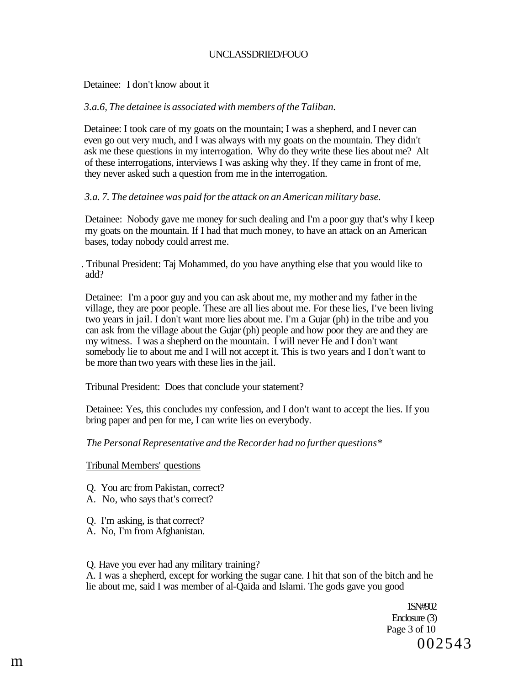## UNCLASSDRIED/FOUO

Detainee: I don't know about it

#### *3.a.6, The detainee is associated with members of the Taliban.*

Detainee: I took care of my goats on the mountain; I was a shepherd, and I never can even go out very much, and I was always with my goats on the mountain. They didn't ask me these questions in my interrogation. Why do they write these lies about me? Alt of these interrogations, interviews I was asking why they. If they came in front of me, they never asked such a question from me in the interrogation.

### *3.a. 7. The detainee was paid for the attack on an American military base.*

Detainee: Nobody gave me money for such dealing and I'm a poor guy that's why I keep my goats on the mountain. If I had that much money, to have an attack on an American bases, today nobody could arrest me.

. Tribunal President: Taj Mohammed, do you have anything else that you would like to add?

Detainee: I'm a poor guy and you can ask about me, my mother and my father in the village, they are poor people. These are all lies about me. For these lies, I've been living two years in jail. I don't want more lies about me. I'm a Gujar (ph) in the tribe and you can ask from the village about the Gujar (ph) people and how poor they are and they are my witness. I was a shepherd on the mountain. I will never He and I don't want somebody lie to about me and I will not accept it. This is two years and I don't want to be more than two years with these lies in the jail.

Tribunal President: Does that conclude your statement?

Detainee: Yes, this concludes my confession, and I don't want to accept the lies. If you bring paper and pen for me, I can write lies on everybody.

### *The Personal Representative and the Recorder had no further questions\**

Tribunal Members' questions

- Q. You arc from Pakistan, correct?
- A. No, who says that's correct?
- Q. I'm asking, is that correct?
- A. No, I'm from Afghanistan.

#### Q. Have you ever had any military training?

A. I was a shepherd, except for working the sugar cane. I hit that son of the bitch and he lie about me, said I was member of al-Qaida and Islami. The gods gave you good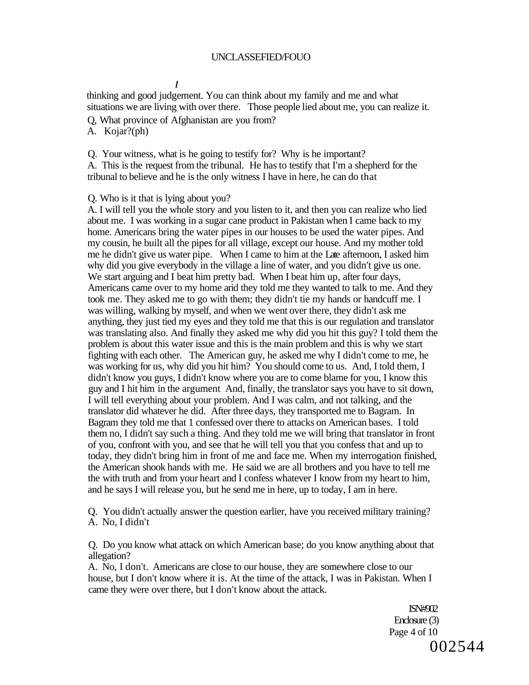#### **/**

thinking and good judgement. You can think about my family and me and what situations we are living with over there. Those people lied about me, you can realize it.

Q, What province of Afghanistan are you from?

A. Kojar?(ph)

Q. Your witness, what is he going to testify for? Why is he important?

A. This is the request from the tribunal. He has to testify that I'm a shepherd for the tribunal to believe and he is the only witness I have in here, he can do that

Q. Who is it that is lying about you?

A. I will tell you the whole story and you listen to it, and then you can realize who lied about me. I was working in a sugar cane product in Pakistan when I came back to my home. Americans bring the water pipes in our houses to be used the water pipes. And my cousin, he built all the pipes for all village, except our house. And my mother told me he didn't give us water pipe. When I came to him at the Late afternoon, I asked him why did you give everybody in the village a line of water, and you didn't give us one. We start arguing and I beat him pretty bad. When I beat him up, after four days, Americans came over to my home arid they told me they wanted to talk to me. And they took me. They asked me to go with them; they didn't tie my hands or handcuff me. I was willing, walking by myself, and when we went over there, they didn't ask me anything, they just tied my eyes and they told me that this is our regulation and translator was translating also. And finally they asked me why did you hit this guy? I told them the problem is about this water issue and this is the main problem and this is why we start fighting with each other. The American guy, he asked me why I didn't come to me, he was working for us, why did you hit him? You should come to us. And, I told them, I didn't know you guys, I didn't know where you are to come blame for you, I know this guy and I hit him in the argument And, finally, the translator says you have to sit down, I will tell everything about your problem. And I was calm, and not talking, and the translator did whatever he did. After three days, they transported me to Bagram. In Bagram they told me that 1 confessed over there to attacks on American bases. I told them no, I didn't say such a thing. And they told me we will bring that translator in front of you, confront with you, and see that he will tell you that you confess that and up to today, they didn't bring him in front of me and face me. When my interrogation finished, the American shook hands with me. He said we are all brothers and you have to tell me the with truth and from your heart and I confess whatever I know from my heart to him, and he says I will release you, but he send me in here, up to today, I am in here.

Q. You didn't actually answer the question earlier, have you received military training? A. No, I didn't

Q. Do you know what attack on which American base; do you know anything about that allegation?

A. No, I don't. Americans are close to our house, they are somewhere close to our house, but I don't know where it is. At the time of the attack, I was in Pakistan. When I came they were over there, but I don't know about the attack.

> ISN#902 Enclosure (3) Page 4 of 10 002544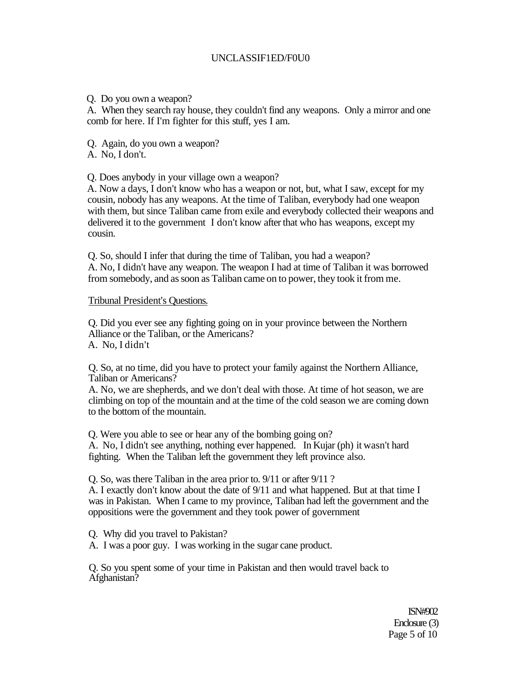## UNCLASSIF1ED/F0U0

## Q. Do you own a weapon?

A. When they search ray house, they couldn't find any weapons. Only a mirror and one comb for here. If I'm fighter for this stuff, yes I am.

Q. Again, do you own a weapon?

A. No, I don't.

Q. Does anybody in your village own a weapon?

A. Now a days, I don't know who has a weapon or not, but, what I saw, except for my cousin, nobody has any weapons. At the time of Taliban, everybody had one weapon with them, but since Taliban came from exile and everybody collected their weapons and delivered it to the government I don't know after that who has weapons, except my cousin.

Q. So, should I infer that during the time of Taliban, you had a weapon? A. No, I didn't have any weapon. The weapon I had at time of Taliban it was borrowed from somebody, and as soon as Taliban came on to power, they took it from me.

## Tribunal President's Questions.

Q. Did you ever see any fighting going on in your province between the Northern Alliance or the Taliban, or the Americans? A. No, I didn't

Q. So, at no time, did you have to protect your family against the Northern Alliance, Taliban or Americans?

A. No, we are shepherds, and we don't deal with those. At time of hot season, we are climbing on top of the mountain and at the time of the cold season we are coming down to the bottom of the mountain.

Q. Were you able to see or hear any of the bombing going on? A. No, I didn't see anything, nothing ever happened. In Kujar (ph) it wasn't hard fighting. When the Taliban left the government they left province also.

Q. So, was there Taliban in the area prior to. 9/11 or after 9/11 ?

A. I exactly don't know about the date of 9/11 and what happened. But at that time I was in Pakistan. When I came to my province, Taliban had left the government and the oppositions were the government and they took power of government

Q. Why did you travel to Pakistan?

A. I was a poor guy. I was working in the sugar cane product.

Q. So you spent some of your time in Pakistan and then would travel back to Afghanistan?

> ISN#902 Enclosure (3) Page 5 of 10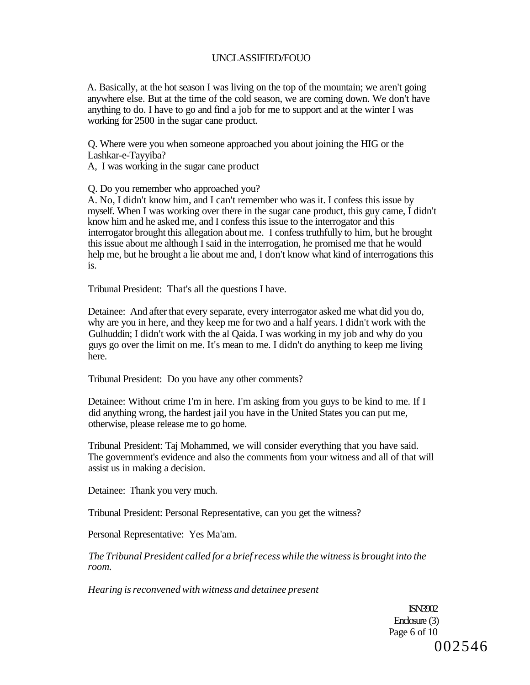A. Basically, at the hot season I was living on the top of the mountain; we aren't going anywhere else. But at the time of the cold season, we are coming down. We don't have anything to do. I have to go and find a job for me to support and at the winter I was working for 2500 in the sugar cane product.

Q. Where were you when someone approached you about joining the HIG or the Lashkar-e-Tayyiba?

A, I was working in the sugar cane product

Q. Do you remember who approached you?

A. No, I didn't know him, and I can't remember who was it. I confess this issue by myself. When I was working over there in the sugar cane product, this guy came, I didn't know him and he asked me, and I confess this issue to the interrogator and this interrogator brought this allegation about me. I confess truthfully to him, but he brought this issue about me although I said in the interrogation, he promised me that he would help me, but he brought a lie about me and, I don't know what kind of interrogations this is.

Tribunal President: That's all the questions I have.

Detainee: And after that every separate, every interrogator asked me what did you do, why are you in here, and they keep me for two and a half years. I didn't work with the Gulhuddin; I didn't work with the al Qaida. I was working in my job and why do you guys go over the limit on me. It's mean to me. I didn't do anything to keep me living here.

Tribunal President: Do you have any other comments?

Detainee: Without crime I'm in here. I'm asking from you guys to be kind to me. If I did anything wrong, the hardest jail you have in the United States you can put me, otherwise, please release me to go home.

Tribunal President: Taj Mohammed, we will consider everything that you have said. The government's evidence and also the comments from your witness and all of that will assist us in making a decision.

Detainee: Thank you very much.

Tribunal President: Personal Representative, can you get the witness?

Personal Representative: Yes Ma'am.

*The Tribunal President called for a brief recess while the witness is brought into the room.* 

*Hearing is reconvened with witness and detainee present* 

ISN3902 Enclosure (3) Page 6 of 10 002546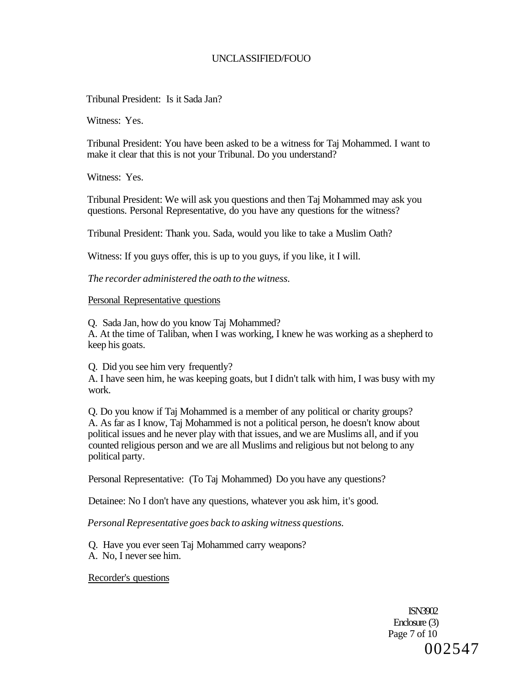Tribunal President: Is it Sada Jan?

Witness: Yes.

Tribunal President: You have been asked to be a witness for Taj Mohammed. I want to make it clear that this is not your Tribunal. Do you understand?

Witness: Yes.

Tribunal President: We will ask you questions and then Taj Mohammed may ask you questions. Personal Representative, do you have any questions for the witness?

Tribunal President: Thank you. Sada, would you like to take a Muslim Oath?

Witness: If you guys offer, this is up to you guys, if you like, it I will.

*The recorder administered the oath to the witness.* 

#### Personal Representative questions

Q. Sada Jan, how do you know Taj Mohammed? A. At the time of Taliban, when I was working, I knew he was working as a shepherd to keep his goats.

Q. Did you see him very frequently?

A. I have seen him, he was keeping goats, but I didn't talk with him, I was busy with my work.

Q. Do you know if Taj Mohammed is a member of any political or charity groups? A. As far as I know, Taj Mohammed is not a political person, he doesn't know about political issues and he never play with that issues, and we are Muslims all, and if you counted religious person and we are all Muslims and religious but not belong to any political party.

Personal Representative: (To Taj Mohammed) Do you have any questions?

Detainee: No I don't have any questions, whatever you ask him, it's good.

*Personal Representative goes back to asking witness questions.* 

Q. Have you ever seen Taj Mohammed carry weapons? A. No, I never see him.

Recorder's questions

ISN3902 Enclosure (3) Page 7 of 10 002547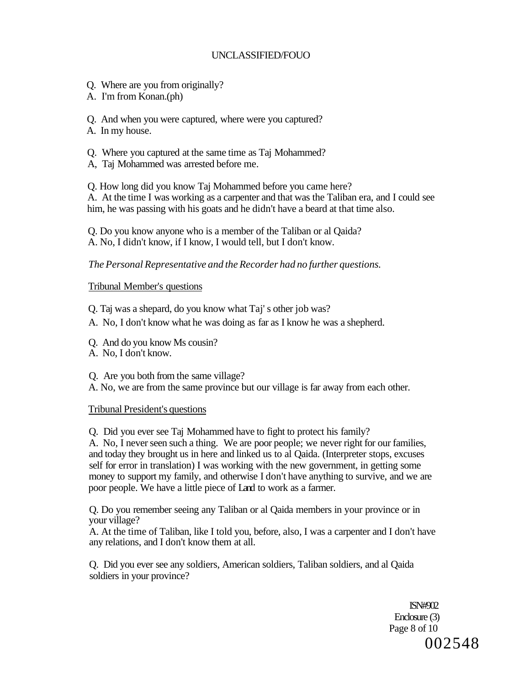- Q. Where are you from originally?
- A. I'm from Konan.(ph)

Q. And when you were captured, where were you captured?

- A. In my house.
- Q. Where you captured at the same time as Taj Mohammed?
- A, Taj Mohammed was arrested before me.

Q. How long did you know Taj Mohammed before you came here? A. At the time I was working as a carpenter and that was the Taliban era, and I could see him, he was passing with his goats and he didn't have a beard at that time also.

Q. Do you know anyone who is a member of the Taliban or al Qaida? A. No, I didn't know, if I know, I would tell, but I don't know.

## *The Personal Representative and the Recorder had no further questions.*

## Tribunal Member's questions

Q. Taj was a shepard, do you know what Taj' s other job was?

- A. No, I don't know what he was doing as far as I know he was a shepherd.
- Q. And do you know Ms cousin?
- A. No, I don't know.

Q. Are you both from the same village?

A. No, we are from the same province but our village is far away from each other.

## Tribunal President's questions

Q. Did you ever see Taj Mohammed have to fight to protect his family?

A. No, I never seen such a thing. We are poor people; we never right for our families, and today they brought us in here and linked us to al Qaida. (Interpreter stops, excuses self for error in translation) I was working with the new government, in getting some money to support my family, and otherwise I don't have anything to survive, and we are poor people. We have a little piece of Land to work as a farmer.

Q. Do you remember seeing any Taliban or al Qaida members in your province or in your village?

A. At the time of Taliban, like I told you, before, also, I was a carpenter and I don't have any relations, and I don't know them at all.

Q. Did you ever see any soldiers, American soldiers, Taliban soldiers, and al Qaida soldiers in your province?

> ISN#902 Enclosure (3) Page 8 of 10 002548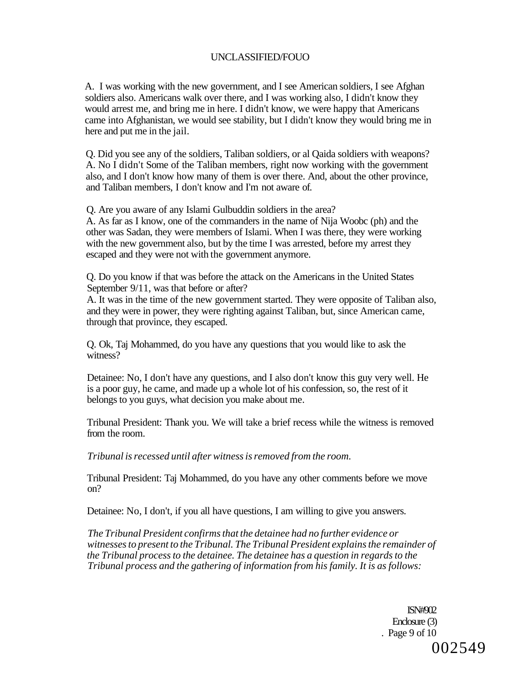A. I was working with the new government, and I see American soldiers, I see Afghan soldiers also. Americans walk over there, and I was working also, I didn't know they would arrest me, and bring me in here. I didn't know, we were happy that Americans came into Afghanistan, we would see stability, but I didn't know they would bring me in here and put me in the jail.

Q. Did you see any of the soldiers, Taliban soldiers, or al Qaida soldiers with weapons? A. No I didn't Some of the Taliban members, right now working with the government also, and I don't know how many of them is over there. And, about the other province, and Taliban members, I don't know and I'm not aware of.

Q. Are you aware of any Islami Gulbuddin soldiers in the area?

A. As far as I know, one of the commanders in the name of Nija Woobc (ph) and the other was Sadan, they were members of Islami. When I was there, they were working with the new government also, but by the time I was arrested, before my arrest they escaped and they were not with the government anymore.

Q. Do you know if that was before the attack on the Americans in the United States September 9/11, was that before or after?

A. It was in the time of the new government started. They were opposite of Taliban also, and they were in power, they were righting against Taliban, but, since American came, through that province, they escaped.

Q. Ok, Taj Mohammed, do you have any questions that you would like to ask the witness?

Detainee: No, I don't have any questions, and I also don't know this guy very well. He is a poor guy, he came, and made up a whole lot of his confession, so, the rest of it belongs to you guys, what decision you make about me.

Tribunal President: Thank you. We will take a brief recess while the witness is removed from the room.

*Tribunal is recessed until after witness is removed from the room.* 

Tribunal President: Taj Mohammed, do you have any other comments before we move on?

Detainee: No, I don't, if you all have questions, I am willing to give you answers.

*The Tribunal President confirms that the detainee had no further evidence or witnesses to present to the Tribunal. The Tribunal President explains the remainder of the Tribunal process to the detainee. The detainee has a question in regards to the Tribunal process and the gathering of information from his family. It is as follows:* 

> ISN#902 Enclosure (3) . Page 9 of 10 002549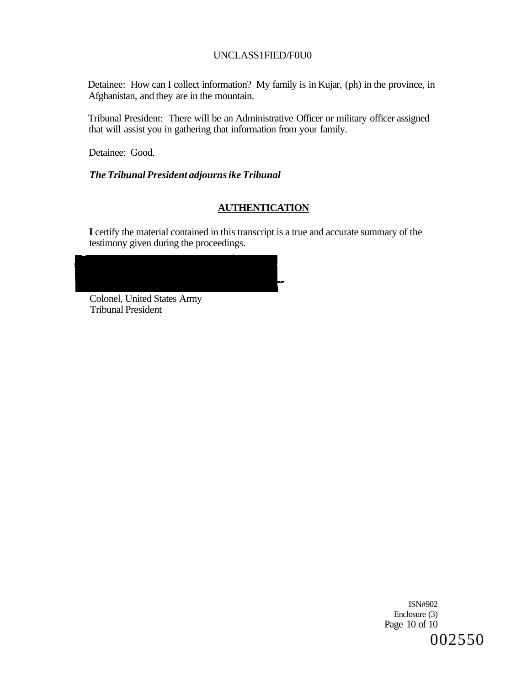## UNCLASS1FIED/F0U0

Detainee: How can I collect information? My family is in Kujar, (ph) in the province, in Afghanistan, and they are in the mountain.

Tribunal President: There will be an Administrative Officer or military officer assigned that will assist you in gathering that information from your family.

Detainee: Good.

*The Tribunal President adjourns ike Tribunal* 

## **AUTHENTICATION**

**I** certify the material contained in this transcript is a true and accurate summary of the testimony given during the proceedings.



Colonel, United States Army Tribunal President

> ISN#902 Enclosure (3) Page 10 of 10 002550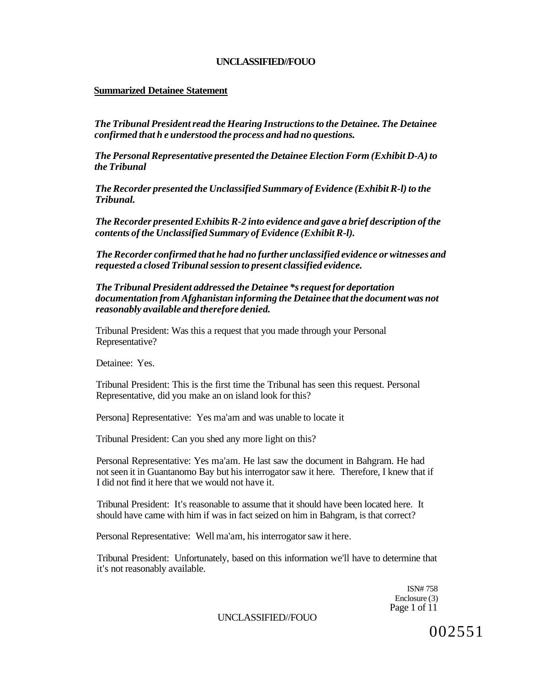## **Summarized Detainee Statement**

*The Tribunal President read the Hearing Instructions to the Detainee. The Detainee confirmed that h e understood the process and had no questions.* 

*The Personal Representative presented the Detainee Election Form (Exhibit D-A) to the Tribunal* 

*The Recorder presented the Unclassified Summary of Evidence (Exhibit R-l) to the Tribunal.* 

*The Recorder presented Exhibits R-2 into evidence and gave a brief description of the contents of the Unclassified Summary of Evidence (Exhibit R-l).* 

*The Recorder confirmed that he had no further unclassified evidence or witnesses and requested a closed Tribunal session to present classified evidence.* 

*The Tribunal President addressed the Detainee \*s request for deportation documentation from Afghanistan informing the Detainee that the document was not reasonably available and therefore denied.* 

Tribunal President: Was this a request that you made through your Personal Representative?

Detainee: Yes.

Tribunal President: This is the first time the Tribunal has seen this request. Personal Representative, did you make an on island look for this?

Persona] Representative: Yes ma'am and was unable to locate it

Tribunal President: Can you shed any more light on this?

Personal Representative: Yes ma'am. He last saw the document in Bahgram. He had not seen it in Guantanomo Bay but his interrogator saw it here. Therefore, I knew that if I did not find it here that we would not have it.

Tribunal President: It's reasonable to assume that it should have been located here. It should have came with him if was in fact seized on him in Bahgram, is that correct?

Personal Representative: Well ma'am, his interrogator saw it here.

Tribunal President: Unfortunately, based on this information we'll have to determine that it's not reasonably available.

> ISN# 758 Enclosure (3) Page 1 of 11

UNCLASSIFIED//FOUO

002551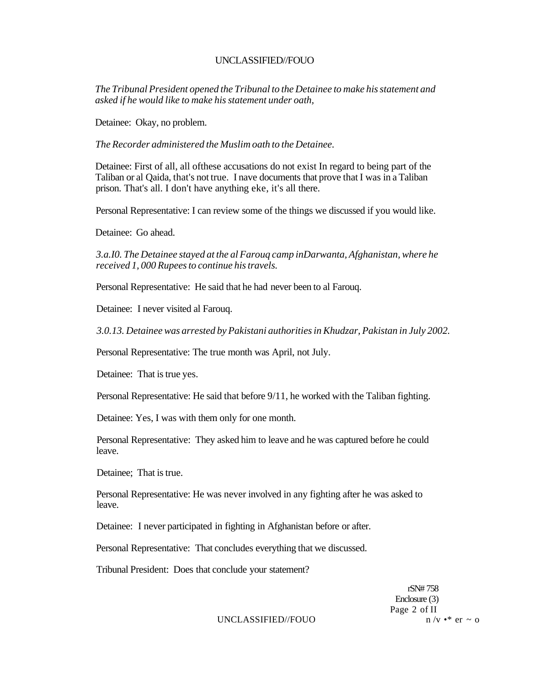*The Tribunal President opened the Tribunal to the Detainee to make his statement and asked if he would like to make his statement under oath,* 

Detainee: Okay, no problem.

*The Recorder administered the Muslim oath to the Detainee.* 

Detainee: First of all, all ofthese accusations do not exist In regard to being part of the Taliban or al Qaida, that's not true. I nave documents that prove that I was in a Taliban prison. That's all. I don't have anything eke, it's all there.

Personal Representative: I can review some of the things we discussed if you would like.

Detainee: Go ahead.

*3.a.I0. The Detainee stayed at the al Farouq camp inDarwanta, Afghanistan, where he received 1, 000 Rupees to continue his travels.* 

Personal Representative: He said that he had never been to al Farouq.

Detainee: I never visited al Farouq.

*3.0.13. Detainee was arrested by Pakistani authorities in Khudzar, Pakistan in July 2002.* 

Personal Representative: The true month was April, not July.

Detainee: That is true yes.

Personal Representative: He said that before 9/11, he worked with the Taliban fighting.

Detainee: Yes, I was with them only for one month.

Personal Representative: They asked him to leave and he was captured before he could leave.

Detainee; That is true.

Personal Representative: He was never involved in any fighting after he was asked to leave.

Detainee: I never participated in fighting in Afghanistan before or after.

Personal Representative: That concludes everything that we discussed.

Tribunal President: Does that conclude your statement?

rSN# 758 Enclosure (3) Page 2 of II UNCLASSIFIED//FOUO  $n / v \cdot * \text{er } \sim 0$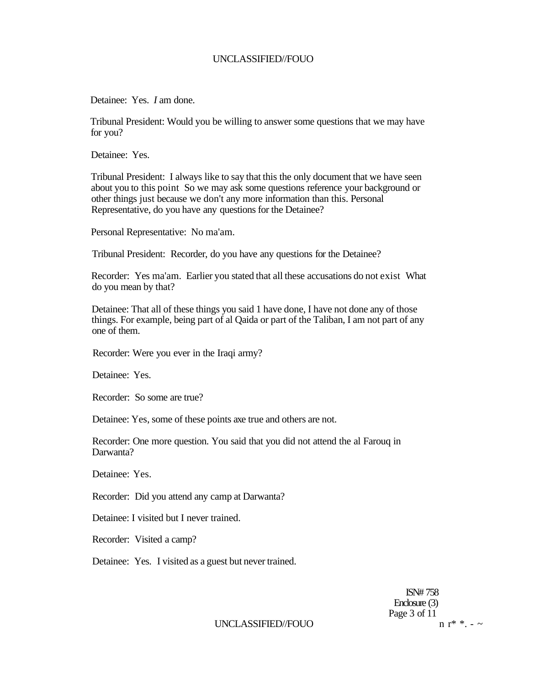Detainee: Yes. *I* am done.

Tribunal President: Would you be willing to answer some questions that we may have for you?

Detainee: Yes.

Tribunal President: I always like to say that this the only document that we have seen about you to this point So we may ask some questions reference your background or other things just because we don't any more information than this. Personal Representative, do you have any questions for the Detainee?

Personal Representative: No ma'am.

Tribunal President: Recorder, do you have any questions for the Detainee?

Recorder: Yes ma'am. Earlier you stated that all these accusations do not exist What do you mean by that?

Detainee: That all of these things you said 1 have done, I have not done any of those things. For example, being part of al Qaida or part of the Taliban, I am not part of any one of them.

Recorder: Were you ever in the Iraqi army?

Detainee: Yes.

Recorder: So some are true?

Detainee: Yes, some of these points axe true and others are not.

Recorder: One more question. You said that you did not attend the al Farouq in Darwanta?

Detainee: Yes.

Recorder: Did you attend any camp at Darwanta?

Detainee: I visited but I never trained.

Recorder: Visited a camp?

Detainee: Yes. I visited as a guest but never trained.

ISN# 758 Enclosure (3) Page 3 of 11<br>n r<sup>\*</sup> \* - ~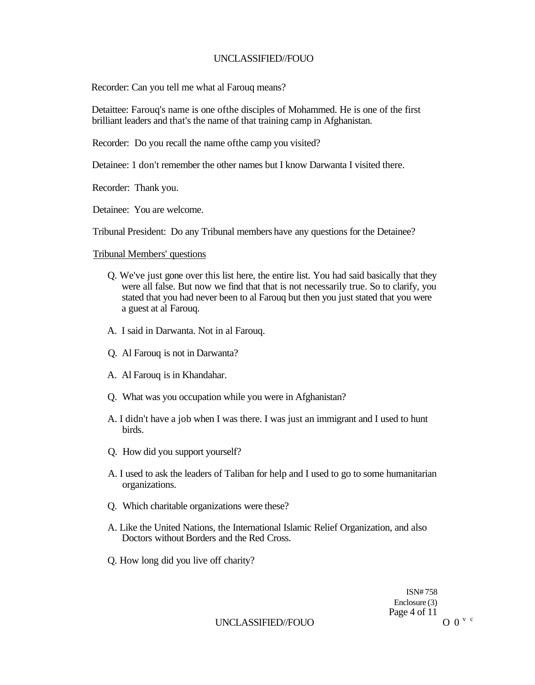Recorder: Can you tell me what al Farouq means?

Detaittee: Farouq's name is one ofthe disciples of Mohammed. He is one of the first brilliant leaders and that's the name of that training camp in Afghanistan.

Recorder: Do you recall the name ofthe camp you visited?

Detainee: 1 don't remember the other names but I know Darwanta I visited there.

Recorder: Thank you.

Detainee: You are welcome.

Tribunal President: Do any Tribunal members have any questions for the Detainee?

Tribunal Members' questions

- Q. We've just gone over this list here, the entire list. You had said basically that they were all false. But now we find that that is not necessarily true. So to clarify, you stated that you had never been to al Farouq but then you just stated that you were a guest at al Farouq.
- A. I said in Darwanta. Not in al Farouq.
- Q. Al Farouq is not in Darwanta?
- A. Al Farouq is in Khandahar.
- Q. What was you occupation while you were in Afghanistan?
- A. I didn't have a job when I was there. I was just an immigrant and I used to hunt birds.
- Q. How did you support yourself?
- A. I used to ask the leaders of Taliban for help and I used to go to some humanitarian organizations.
- Q. Which charitable organizations were these?
- A. Like the United Nations, the International Islamic Relief Organization, and also Doctors without Borders and the Red Cross.
- Q. How long did you live off charity?

ISN# 758 Enclosure (3) Page 4 of 11

UNCLASSIFIED//FOUO  $0^{\nu c}$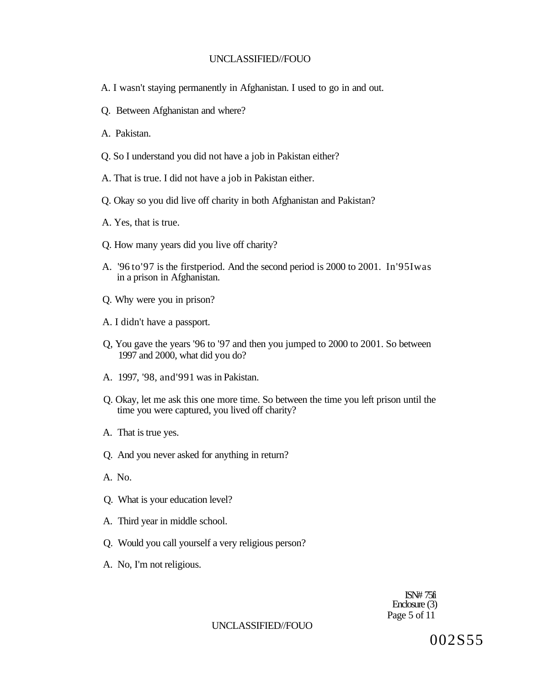- A. I wasn't staying permanently in Afghanistan. I used to go in and out.
- Q. Between Afghanistan and where?
- A. Pakistan.
- Q. So I understand you did not have a job in Pakistan either?
- A. That is true. I did not have a job in Pakistan either.
- Q. Okay so you did live off charity in both Afghanistan and Pakistan?
- A. Yes, that is true.
- Q. How many years did you live off charity?
- A. '96 to'97 is the firstperiod. And the second period is 2000 to 2001. In'95Iwas in a prison in Afghanistan.
- Q. Why were you in prison?
- A. I didn't have a passport.
- Q, You gave the years '96 to '97 and then you jumped to 2000 to 2001. So between 1997 and 2000, what did you do?
- A. 1997, '98, and'991 was in Pakistan.
- Q. Okay, let me ask this one more time. So between the time you left prison until the time you were captured, you lived off charity?
- A. That is true yes.
- Q. And you never asked for anything in return?
- A. No.
- Q. What is your education level?
- A. Third year in middle school.
- Q. Would you call yourself a very religious person?
- A. No, I'm not religious.

ISN# 75fi Enclosure (3) Page 5 of 11

## UNCLASSIFIED//FOUO

002S55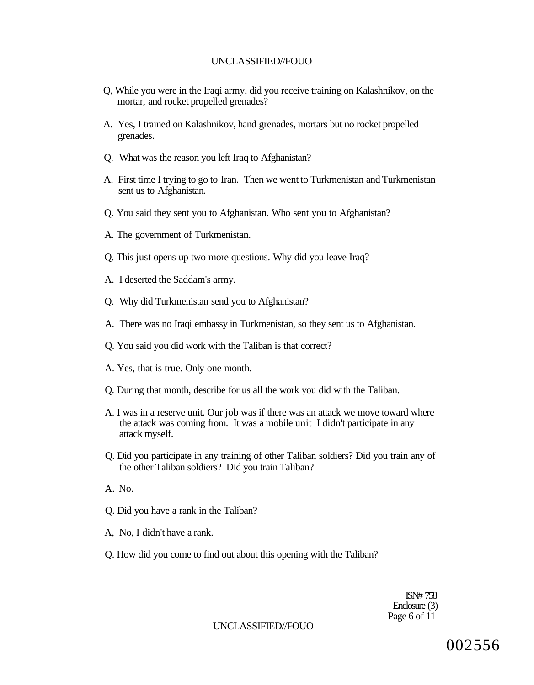- Q, While you were in the Iraqi army, did you receive training on Kalashnikov, on the mortar, and rocket propelled grenades?
- A. Yes, I trained on Kalashnikov, hand grenades, mortars but no rocket propelled grenades.
- Q. What was the reason you left Iraq to Afghanistan?
- A. First time I trying to go to Iran. Then we went to Turkmenistan and Turkmenistan sent us to Afghanistan.
- Q. You said they sent you to Afghanistan. Who sent you to Afghanistan?
- A. The government of Turkmenistan.
- Q. This just opens up two more questions. Why did you leave Iraq?
- A. I deserted the Saddam's army.
- Q. Why did Turkmenistan send you to Afghanistan?
- A. There was no Iraqi embassy in Turkmenistan, so they sent us to Afghanistan.
- Q. You said you did work with the Taliban is that correct?
- A. Yes, that is true. Only one month.
- Q. During that month, describe for us all the work you did with the Taliban.
- A. I was in a reserve unit. Our job was if there was an attack we move toward where the attack was coming from. It was a mobile unit I didn't participate in any attack myself.
- Q. Did you participate in any training of other Taliban soldiers? Did you train any of the other Taliban soldiers? Did you train Taliban?
- A. No.
- Q. Did you have a rank in the Taliban?
- A, No, I didn't have a rank.
- Q. How did you come to find out about this opening with the Taliban?

ISN# 758 Enclosure (3) Page 6 of 11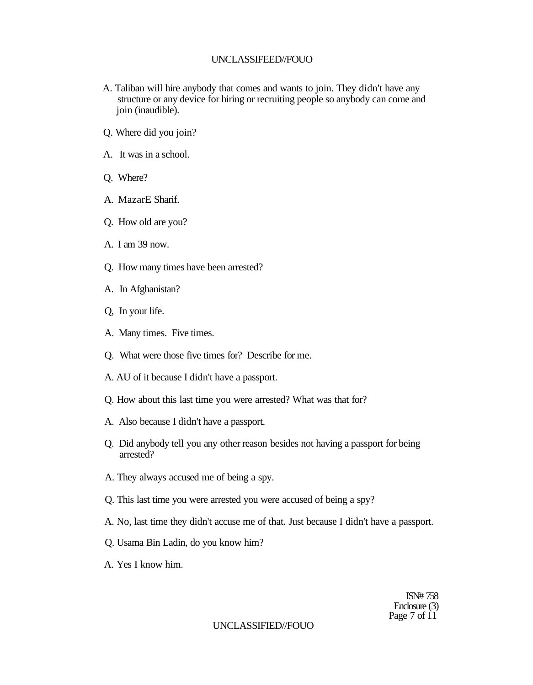- A. Taliban will hire anybody that comes and wants to join. They didn't have any structure or any device for hiring or recruiting people so anybody can come and join (inaudible).
- Q. Where did you join?
- A. It was in a school.
- Q. Where?
- A. MazarE Sharif.
- Q. How old are you?
- A. I am 39 now.
- Q. How many times have been arrested?
- A. In Afghanistan?
- Q, In your life.
- A. Many times. Five times.
- Q. What were those five times for? Describe for me.
- A. AU of it because I didn't have a passport.
- Q. How about this last time you were arrested? What was that for?
- A. Also because I didn't have a passport.
- Q. Did anybody tell you any other reason besides not having a passport for being arrested?
- A. They always accused me of being a spy.
- Q. This last time you were arrested you were accused of being a spy?
- A. No, last time they didn't accuse me of that. Just because I didn't have a passport.
- Q. Usama Bin Ladin, do you know him?
- A. Yes I know him.

ISN# 758 Enclosure (3) Page 7 of 11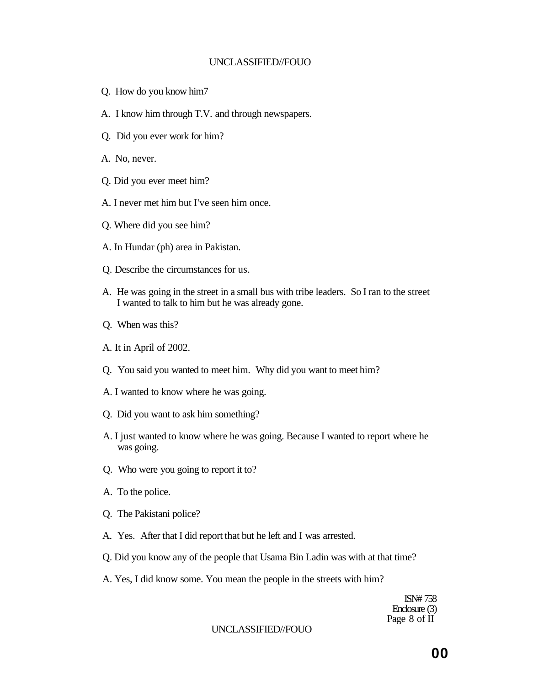- Q. How do you know him7
- A. I know him through T.V. and through newspapers.
- Q. Did you ever work for him?
- A. No, never.
- Q. Did you ever meet him?
- A. I never met him but I've seen him once.
- Q. Where did you see him?
- A. In Hundar (ph) area in Pakistan.
- Q. Describe the circumstances for us.
- A. He was going in the street in a small bus with tribe leaders. So I ran to the street I wanted to talk to him but he was already gone.
- Q. When was this?
- A. It in April of 2002.
- Q. You said you wanted to meet him. Why did you want to meet him?
- A. I wanted to know where he was going.
- Q. Did you want to ask him something?
- A. I just wanted to know where he was going. Because I wanted to report where he was going.
- Q. Who were you going to report it to?
- A. To the police.
- Q. The Pakistani police?
- A. Yes. After that I did report that but he left and I was arrested.
- Q. Did you know any of the people that Usama Bin Ladin was with at that time?
- A. Yes, I did know some. You mean the people in the streets with him?

ISN# 758 Enclosure (3) Page 8 of II

#### UNCLASSIFIED//FOUO

**00**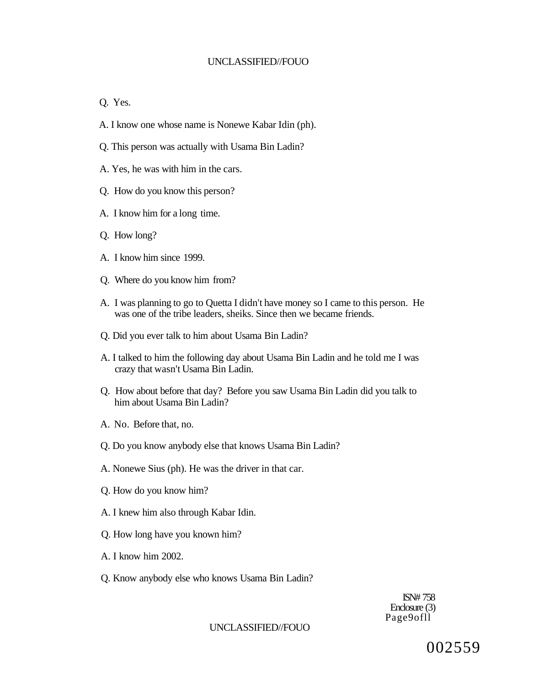Q. Yes.

- A. I know one whose name is Nonewe Kabar Idin (ph).
- Q. This person was actually with Usama Bin Ladin?
- A. Yes, he was with him in the cars.
- Q. How do you know this person?
- A. I know him for a long time.
- Q. How long?
- A. I know him since 1999.
- Q. Where do you know him from?
- A. I was planning to go to Quetta I didn't have money so I came to this person. He was one of the tribe leaders, sheiks. Since then we became friends.
- Q. Did you ever talk to him about Usama Bin Ladin?
- A. I talked to him the following day about Usama Bin Ladin and he told me I was crazy that wasn't Usama Bin Ladin.
- Q. How about before that day? Before you saw Usama Bin Ladin did you talk to him about Usama Bin Ladin?
- A. No. Before that, no.
- Q. Do you know anybody else that knows Usama Bin Ladin?
- A. Nonewe Sius (ph). He was the driver in that car.
- Q. How do you know him?
- A. I knew him also through Kabar Idin.
- Q. How long have you known him?
- A. I know him 2002.
- Q. Know anybody else who knows Usama Bin Ladin?

ISN# 758 Enclosure (3) Page9ofll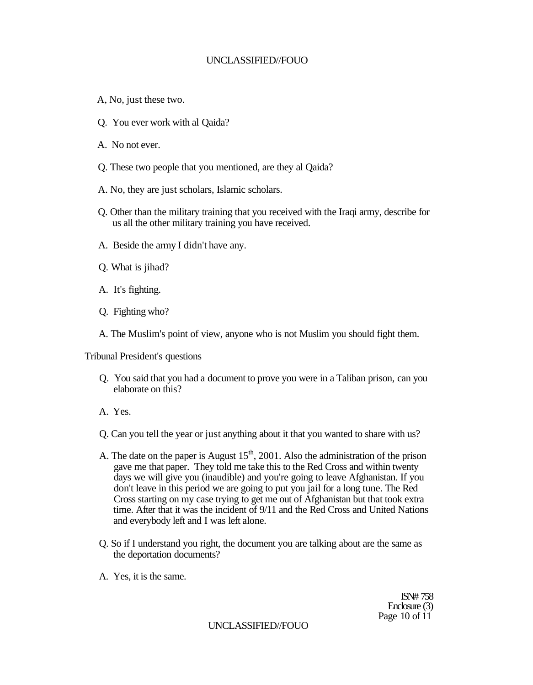- A, No, just these two.
- Q. You ever work with al Qaida?
- A. No not ever.
- Q. These two people that you mentioned, are they al Qaida?
- A. No, they are just scholars, Islamic scholars.
- Q. Other than the military training that you received with the Iraqi army, describe for us all the other military training you have received.
- A. Beside the army I didn't have any.
- Q. What is jihad?
- A. It's fighting.
- Q. Fighting who?
- A. The Muslim's point of view, anyone who is not Muslim you should fight them.

#### Tribunal President's questions

- Q. You said that you had a document to prove you were in a Taliban prison, can you elaborate on this?
- A. Yes.
- Q. Can you tell the year or just anything about it that you wanted to share with us?
- A. The date on the paper is August  $15<sup>th</sup>$ , 2001. Also the administration of the prison gave me that paper. They told me take this to the Red Cross and within twenty days we will give you (inaudible) and you're going to leave Afghanistan. If you don't leave in this period we are going to put you jail for a long tune. The Red Cross starting on my case trying to get me out of Afghanistan but that took extra time. After that it was the incident of 9/11 and the Red Cross and United Nations and everybody left and I was left alone.
- Q. So if I understand you right, the document you are talking about are the same as the deportation documents?
- A. Yes, it is the same.

ISN# 758 Enclosure (3) Page 10 of 11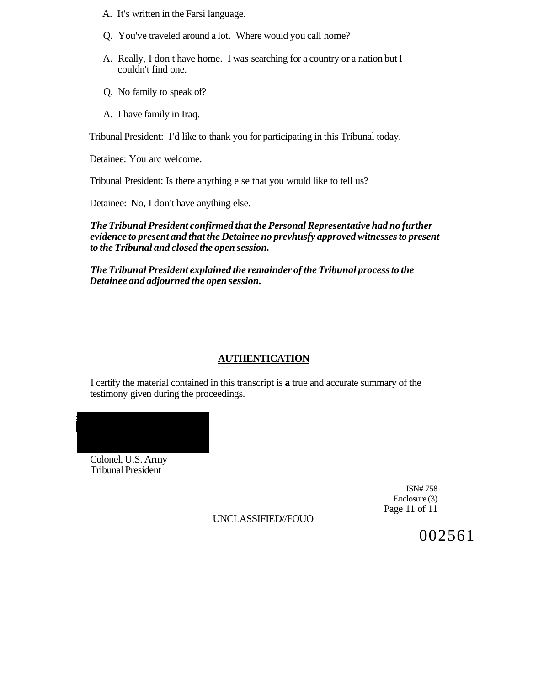- A. It's written in the Farsi language.
- Q. You've traveled around a lot. Where would you call home?
- A. Really, I don't have home. I was searching for a country or a nation but I couldn't find one.
- Q. No family to speak of?
- A. I have family in Iraq.

Tribunal President: I'd like to thank you for participating in this Tribunal today.

Detainee: You arc welcome.

Tribunal President: Is there anything else that you would like to tell us?

Detainee: No, I don't have anything else.

*The Tribunal President confirmed that the Personal Representative had no further evidence to present and that the Detainee no prevhusfy approved witnesses to present to the Tribunal and closed the open session.* 

*The Tribunal President explained the remainder of the Tribunal process to the Detainee and adjourned the open session.* 

#### **AUTHENTICATION**

I certify the material contained in this transcript is **a** true and accurate summary of the testimony given during the proceedings.



Colonel, U.S. Army Tribunal President

> ISN# 758 Enclosure (3) Page 11 of 11

UNCLASSIFIED//FOUO

002561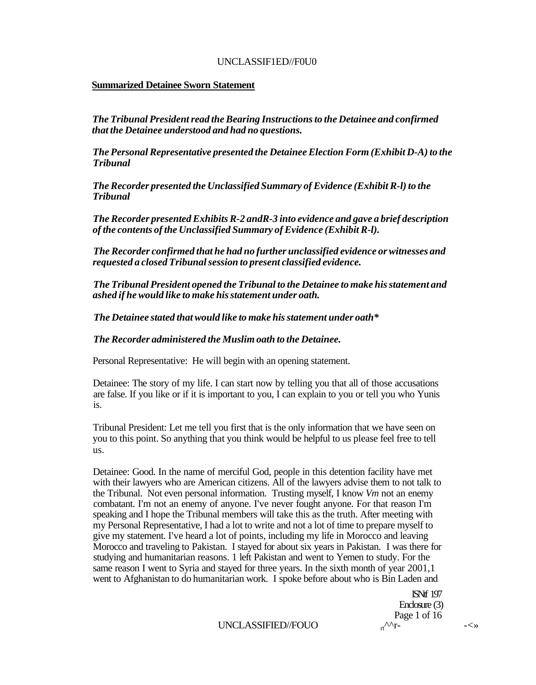## UNCLASSIF1ED//F0U0

## **Summarized Detainee Sworn Statement**

*The Tribunal President read the Bearing Instructions to the Detainee and confirmed that the Detainee understood and had no questions.* 

*The Personal Representative presented the Detainee Election Form (Exhibit D-A) to the Tribunal* 

*The Recorder presented the Unclassified Summary of Evidence (Exhibit R-l) to the Tribunal* 

*The Recorder presented Exhibits R-2 andR-3 into evidence and gave a brief description of the contents of the Unclassified Summary of Evidence (Exhibit R-l).* 

*The Recorder confirmed that he had no further unclassified evidence or witnesses and requested a closed Tribunal session to present classified evidence.* 

*The Tribunal President opened the Tribunal to the Detainee to make his statement and ashed if he would like to make his statement under oath.* 

*The Detainee stated that would like to make his statement under oath\** 

## *The Recorder administered the Muslim oath to the Detainee.*

Personal Representative: He will begin with an opening statement.

Detainee: The story of my life. I can start now by telling you that all of those accusations are false. If you like or if it is important to you, I can explain to you or tell you who Yunis is.

Tribunal President: Let me tell you first that is the only information that we have seen on you to this point. So anything that you think would be helpful to us please feel free to tell us.

Detainee: Good. In the name of merciful God, people in this detention facility have met with their lawyers who are American citizens. All of the lawyers advise them to not talk to the Tribunal. Not even personal information. Trusting myself, I know *Vm* not an enemy combatant. I'm not an enemy of anyone. I've never fought anyone. For that reason I'm speaking and I hope the Tribunal members will take this as the truth. After meeting with my Personal Representative, I had a lot to write and not a lot of time to prepare myself to give my statement. I've heard a lot of points, including my life in Morocco and leaving Morocco and traveling to Pakistan. I stayed for about six years in Pakistan. I was there for studying and humanitarian reasons. 1 left Pakistan and went to Yemen to study. For the same reason I went to Syria and stayed for three years. In the sixth month of year 2001,1 went to Afghanistan to do humanitarian work. I spoke before about who is Bin Laden and

> ISNtf 197 Enclosure (3) Page 1 of 16<br> $n^{\Lambda\Lambda}r$ -

 $UNCLASSFIED/FOUO$   $_{rt}^{\Lambda\Lambda}r$ -  $\leftarrow$   $\rightarrow$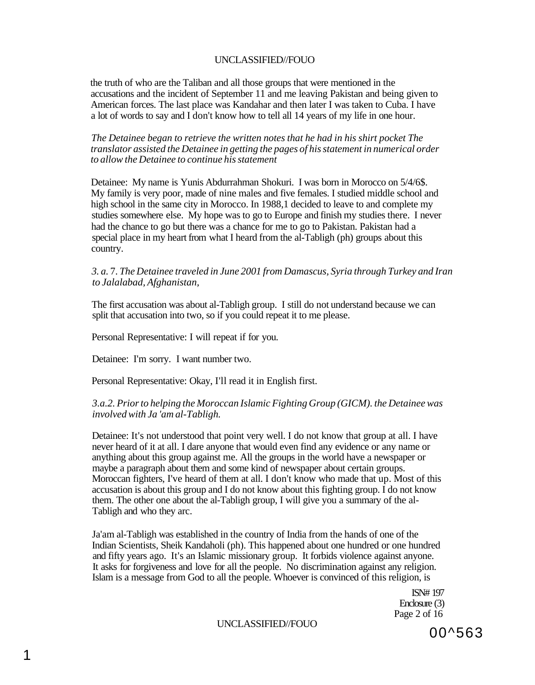the truth of who are the Taliban and all those groups that were mentioned in the accusations and the incident of September 11 and me leaving Pakistan and being given to American forces. The last place was Kandahar and then later I was taken to Cuba. I have a lot of words to say and I don't know how to tell all 14 years of my life in one hour.

*The Detainee began to retrieve the written notes that he had in his shirt pocket The translator assisted the Detainee in getting the pages of his statement in numerical order to allow the Detainee to continue his statement* 

Detainee: My name is Yunis Abdurrahman Shokuri. I was born in Morocco on 5/4/6\$. My family is very poor, made of nine males and five females. I studied middle school and high school in the same city in Morocco. In 1988,1 decided to leave to and complete my studies somewhere else. My hope was to go to Europe and finish my studies there. I never had the chance to go but there was a chance for me to go to Pakistan. Pakistan had a special place in my heart from what I heard from the al-Tabligh (ph) groups about this country.

## *3. a.* 7. *The Detainee traveled in June 2001 from Damascus, Syria through Turkey and Iran to Jalalabad, Afghanistan,*

The first accusation was about al-Tabligh group. I still do not understand because we can split that accusation into two, so if you could repeat it to me please.

Personal Representative: I will repeat if for you.

Detainee: I'm sorry. I want number two.

Personal Representative: Okay, I'll read it in English first.

## *3.a.2. Prior to helping the Moroccan Islamic Fighting Group (GICM). the Detainee was involved with Ja 'am al-Tabligh.*

Detainee: It's not understood that point very well. I do not know that group at all. I have never heard of it at all. I dare anyone that would even find any evidence or any name or anything about this group against me. All the groups in the world have a newspaper or maybe a paragraph about them and some kind of newspaper about certain groups. Moroccan fighters, I've heard of them at all. I don't know who made that up. Most of this accusation is about this group and I do not know about this fighting group. I do not know them. The other one about the al-Tabligh group, I will give you a summary of the al-Tabligh and who they arc.

Ja'am al-Tabligh was established in the country of India from the hands of one of the Indian Scientists, Sheik Kandaholi (ph). This happened about one hundred or one hundred and fifty years ago. It's an Islamic missionary group. It forbids violence against anyone. It asks for forgiveness and love for all the people. No discrimination against any religion. Islam is a message from God to all the people. Whoever is convinced of this religion, is

> ISN# 197 Enclosure (3) Page 2 of 16

UNCLASSIFIED//FOUO

00^563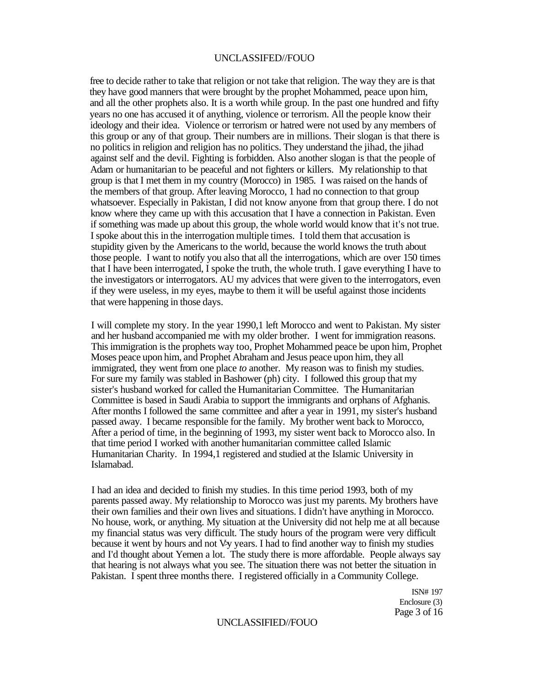free to decide rather to take that religion or not take that religion. The way they are is that they have good manners that were brought by the prophet Mohammed, peace upon him, and all the other prophets also. It is a worth while group. In the past one hundred and fifty years no one has accused it of anything, violence or terrorism. All the people know their ideology and their idea. Violence or terrorism or hatred were not used by any members of this group or any of that group. Their numbers are in millions. Their slogan is that there is no politics in religion and religion has no politics. They understand the jihad, the jihad against self and the devil. Fighting is forbidden. Also another slogan is that the people of Adam or humanitarian to be peaceful and not fighters or killers. My relationship to that group is that I met them in my country (Morocco) in 1985. I was raised on the hands of the members of that group. After leaving Morocco, 1 had no connection to that group whatsoever. Especially in Pakistan, I did not know anyone from that group there. I do not know where they came up with this accusation that I have a connection in Pakistan. Even if something was made up about this group, the whole world would know that it's not true. I spoke about this in the interrogation multiple times. I told them that accusation is stupidity given by the Americans to the world, because the world knows the truth about those people. I want to notify you also that all the interrogations, which are over 150 times that I have been interrogated, I spoke the truth, the whole truth. I gave everything I have to the investigators or interrogators. AU my advices that were given to the interrogators, even if they were useless, in my eyes, maybe to them it will be useful against those incidents that were happening in those days.

I will complete my story. In the year 1990,1 left Morocco and went to Pakistan. My sister and her husband accompanied me with my older brother. I went for immigration reasons. This immigration is the prophets way too, Prophet Mohammed peace be upon him, Prophet Moses peace upon him, and Prophet Abraham and Jesus peace upon him, they all immigrated, they went from one place *to* another. My reason was to finish my studies. For sure my family was stabled in Bashower (ph) city. I followed this group that my sister's husband worked for called the Humanitarian Committee. The Humanitarian Committee is based in Saudi Arabia to support the immigrants and orphans of Afghanis. After months I followed the same committee and after a year in 1991, my sister's husband passed away. I became responsible for the family. My brother went back to Morocco, After a period of time, in the beginning of 1993, my sister went back to Morocco also. In that time period I worked with another humanitarian committee called Islamic Humanitarian Charity. In 1994,1 registered and studied at the Islamic University in Islamabad.

I had an idea and decided to finish my studies. In this time period 1993, both of my parents passed away. My relationship to Morocco was just my parents. My brothers have their own families and their own lives and situations. I didn't have anything in Morocco. No house, work, or anything. My situation at the University did not help me at all because my financial status was very difficult. The study hours of the program were very difficult because it went by hours and not V<sub>i</sub> years. I had to find another way to finish my studies and I'd thought about Yemen a lot. The study there is more affordable. People always say that hearing is not always what you see. The situation there was not better the situation in Pakistan. I spent three months there. I registered officially in a Community College.

> ISN# 197 Enclosure (3) Page 3 of 16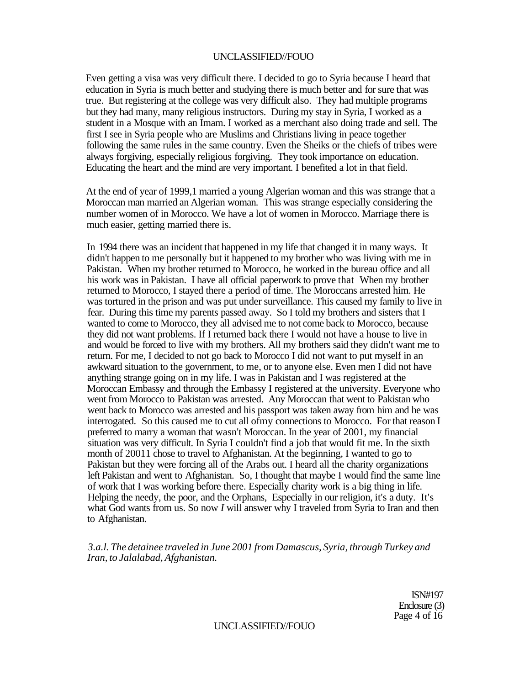Even getting a visa was very difficult there. I decided to go to Syria because I heard that education in Syria is much better and studying there is much better and for sure that was true. But registering at the college was very difficult also. They had multiple programs but they had many, many religious instructors. During my stay in Syria, I worked as a student in a Mosque with an Imam. I worked as a merchant also doing trade and sell. The first I see in Syria people who are Muslims and Christians living in peace together following the same rules in the same country. Even the Sheiks or the chiefs of tribes were always forgiving, especially religious forgiving. They took importance on education. Educating the heart and the mind are very important. I benefited a lot in that field.

At the end of year of 1999,1 married a young Algerian woman and this was strange that a Moroccan man married an Algerian woman. This was strange especially considering the number women of in Morocco. We have a lot of women in Morocco. Marriage there is much easier, getting married there is.

In 1994 there was an incident that happened in my life that changed it in many ways. It didn't happen to me personally but it happened to my brother who was living with me in Pakistan. When my brother returned to Morocco, he worked in the bureau office and all his work was in Pakistan. I have all official paperwork to prove that When my brother returned to Morocco, I stayed there a period of time. The Moroccans arrested him. He was tortured in the prison and was put under surveillance. This caused my family to live in fear. During this time my parents passed away. So I told my brothers and sisters that I wanted to come to Morocco, they all advised me to not come back to Morocco, because they did not want problems. If I returned back there I would not have a house to live in and would be forced to live with my brothers. All my brothers said they didn't want me to return. For me, I decided to not go back to Morocco I did not want to put myself in an awkward situation to the government, to me, or to anyone else. Even men I did not have anything strange going on in my life. I was in Pakistan and I was registered at the Moroccan Embassy and through the Embassy I registered at the university. Everyone who went from Morocco to Pakistan was arrested. Any Moroccan that went to Pakistan who went back to Morocco was arrested and his passport was taken away from him and he was interrogated. So this caused me to cut all ofmy connections to Morocco. For that reason I preferred to marry a woman that wasn't Moroccan. In the year of 2001, my financial situation was very difficult. In Syria I couldn't find a job that would fit me. In the sixth month of 20011 chose to travel to Afghanistan. At the beginning, I wanted to go to Pakistan but they were forcing all of the Arabs out. I heard all the charity organizations left Pakistan and went to Afghanistan. So, I thought that maybe I would find the same line of work that I was working before there. Especially charity work is a big thing in life. Helping the needy, the poor, and the Orphans, Especially in our religion, it's a duty. It's what God wants from us. So now *I* will answer why I traveled from Syria to Iran and then to Afghanistan.

*3.a.l. The detainee traveled in June 2001 from Damascus, Syria, through Turkey and Iran, to Jalalabad, Afghanistan.* 

> ISN#197 Enclosure (3) Page 4 of 16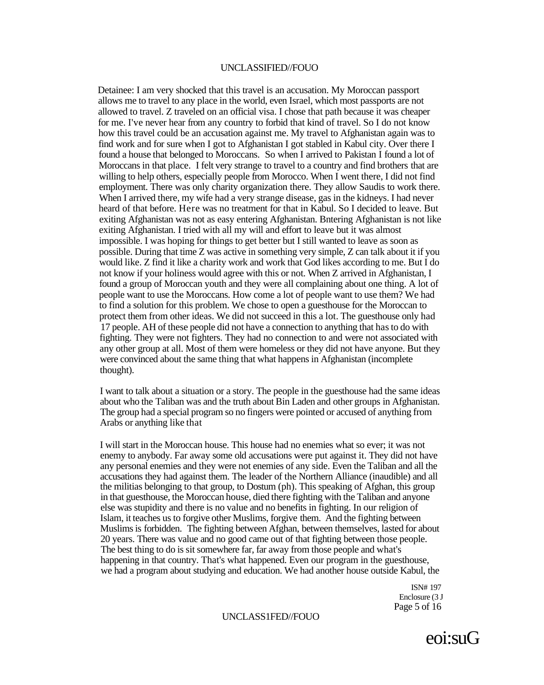Detainee: I am very shocked that this travel is an accusation. My Moroccan passport allows me to travel to any place in the world, even Israel, which most passports are not allowed to travel. Z traveled on an official visa. I chose that path because it was cheaper for me. I've never hear from any country to forbid that kind of travel. So I do not know how this travel could be an accusation against me. My travel to Afghanistan again was to find work and for sure when I got to Afghanistan I got stabled in Kabul city. Over there I found a house that belonged to Moroccans. So when I arrived to Pakistan I found a lot of Moroccans in that place. I felt very strange to travel to a country and find brothers that are willing to help others, especially people from Morocco. When I went there, I did not find employment. There was only charity organization there. They allow Saudis to work there. When I arrived there, my wife had a very strange disease, gas in the kidneys. I had never heard of that before. Here was no treatment for that in Kabul. So I decided to leave. But exiting Afghanistan was not as easy entering Afghanistan. Bntering Afghanistan is not like exiting Afghanistan. I tried with all my will and effort to leave but it was almost impossible. I was hoping for things to get better but I still wanted to leave as soon as possible. During that time Z was active in something very simple, Z can talk about it if you would like. Z find it like a charity work and work that God likes according to me. But I do not know if your holiness would agree with this or not. When Z arrived in Afghanistan, I found a group of Moroccan youth and they were all complaining about one thing. A lot of people want to use the Moroccans. How come a lot of people want to use them? We had to find a solution for this problem. We chose to open a guesthouse for the Moroccan to protect them from other ideas. We did not succeed in this a lot. The guesthouse only had 17 people. AH of these people did not have a connection to anything that has to do with fighting. They were not fighters. They had no connection to and were not associated with any other group at all. Most of them were homeless or they did not have anyone. But they were convinced about the same thing that what happens in Afghanistan (incomplete thought).

I want to talk about a situation or a story. The people in the guesthouse had the same ideas about who the Taliban was and the truth about Bin Laden and other groups in Afghanistan. The group had a special program so no fingers were pointed or accused of anything from Arabs or anything like that

I will start in the Moroccan house. This house had no enemies what so ever; it was not enemy to anybody. Far away some old accusations were put against it. They did not have any personal enemies and they were not enemies of any side. Even the Taliban and all the accusations they had against them. The leader of the Northern Alliance (inaudible) and all the militias belonging to that group, to Dostum (ph). This speaking of Afghan, this group in that guesthouse, the Moroccan house, died there fighting with the Taliban and anyone else was stupidity and there is no value and no benefits in fighting. In our religion of Islam, it teaches us to forgive other Muslims, forgive them. And the fighting between Muslims is forbidden. The fighting between Afghan, between themselves, lasted for about 20 years. There was value and no good came out of that fighting between those people. The best thing to do is sit somewhere far, far away from those people and what's happening in that country. That's what happened. Even our program in the guesthouse, we had a program about studying and education. We had another house outside Kabul, the

> ISN# 197 Enclosure (3 J Page 5 of 16

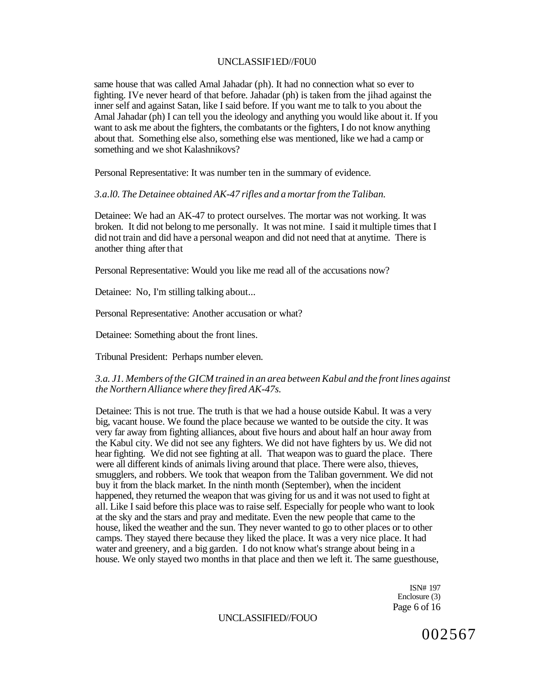### UNCLASSIF1ED//F0U0

same house that was called Amal Jahadar (ph). It had no connection what so ever to fighting. IVe never heard of that before. Jahadar (ph) is taken from the jihad against the inner self and against Satan, like I said before. If you want me to talk to you about the Amal Jahadar (ph) I can tell you the ideology and anything you would like about it. If you want to ask me about the fighters, the combatants or the fighters, I do not know anything about that. Something else also, something else was mentioned, like we had a camp or something and we shot Kalashnikovs?

Personal Representative: It was number ten in the summary of evidence.

#### *3.a.l0. The Detainee obtained AK-47 rifles and a mortar from the Taliban.*

Detainee: We had an AK-47 to protect ourselves. The mortar was not working. It was broken. It did not belong to me personally. It was not mine. I said it multiple times that I did not train and did have a personal weapon and did not need that at anytime. There is another thing after that

Personal Representative: Would you like me read all of the accusations now?

Detainee: No, I'm stilling talking about...

Personal Representative: Another accusation or what?

Detainee: Something about the front lines.

Tribunal President: Perhaps number eleven.

### *3.a. J1. Members of the GICM trained in an area between Kabul and the front lines against the Northern Alliance where they fired AK-47s.*

Detainee: This is not true. The truth is that we had a house outside Kabul. It was a very big, vacant house. We found the place because we wanted to be outside the city. It was very far away from fighting alliances, about five hours and about half an hour away from the Kabul city. We did not see any fighters. We did not have fighters by us. We did not hear fighting. We did not see fighting at all. That weapon was to guard the place. There were all different kinds of animals living around that place. There were also, thieves, smugglers, and robbers. We took that weapon from the Taliban government. We did not buy it from the black market. In the ninth month (September), when the incident happened, they returned the weapon that was giving for us and it was not used to fight at all. Like I said before this place was to raise self. Especially for people who want to look at the sky and the stars and pray and meditate. Even the new people that came to the house, liked the weather and the sun. They never wanted to go to other places or to other camps. They stayed there because they liked the place. It was a very nice place. It had water and greenery, and a big garden. I do not know what's strange about being in a house. We only stayed two months in that place and then we left it. The same guesthouse,

> ISN# 197 Enclosure (3) Page 6 of 16

# UNCLASSIFIED//FOUO

002567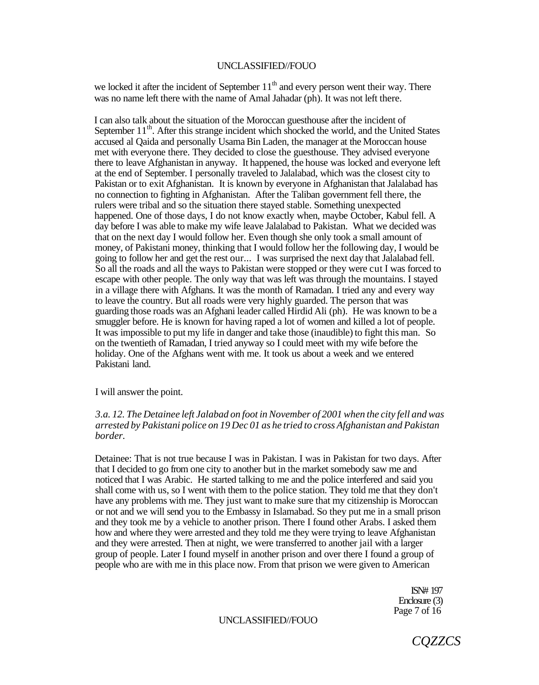we locked it after the incident of September  $11<sup>th</sup>$  and every person went their way. There was no name left there with the name of Amal Jahadar (ph). It was not left there.

I can also talk about the situation of the Moroccan guesthouse after the incident of September 11<sup>th</sup>. After this strange incident which shocked the world, and the United States accused al Qaida and personally Usama Bin Laden, the manager at the Moroccan house met with everyone there. They decided to close the guesthouse. They advised everyone there to leave Afghanistan in anyway. It happened, the house was locked and everyone left at the end of September. I personally traveled to Jalalabad, which was the closest city to Pakistan or to exit Afghanistan. It is known by everyone in Afghanistan that Jalalabad has no connection to fighting in Afghanistan. After the Taliban government fell there, the rulers were tribal and so the situation there stayed stable. Something unexpected happened. One of those days, I do not know exactly when, maybe October, Kabul fell. A day before I was able to make my wife leave Jalalabad to Pakistan. What we decided was that on the next day I would follow her. Even though she only took a small amount of money, of Pakistani money, thinking that I would follow her the following day, I would be going to follow her and get the rest our... I was surprised the next day that Jalalabad fell. So all the roads and all the ways to Pakistan were stopped or they were cut I was forced to escape with other people. The only way that was left was through the mountains. I stayed in a village there with Afghans. It was the month of Ramadan. I tried any and every way to leave the country. But all roads were very highly guarded. The person that was guarding those roads was an Afghani leader called Hirdid Ali (ph). He was known to be a smuggler before. He is known for having raped a lot of women and killed a lot of people. It was impossible to put my life in danger and take those (inaudible) to fight this man. So on the twentieth of Ramadan, I tried anyway so I could meet with my wife before the holiday. One of the Afghans went with me. It took us about a week and we entered Pakistani land.

I will answer the point.

### *3.a. 12. The Detainee left Jalabad on foot in November of 2001 when the city fell and was arrested by Pakistani police on 19 Dec 01 as he tried to cross Afghanistan and Pakistan border.*

Detainee: That is not true because I was in Pakistan. I was in Pakistan for two days. After that I decided to go from one city to another but in the market somebody saw me and noticed that I was Arabic. He started talking to me and the police interfered and said you shall come with us, so I went with them to the police station. They told me that they don't have any problems with me. They just want to make sure that my citizenship is Moroccan or not and we will send you to the Embassy in Islamabad. So they put me in a small prison and they took me by a vehicle to another prison. There I found other Arabs. I asked them how and where they were arrested and they told me they were trying to leave Afghanistan and they were arrested. Then at night, we were transferred to another jail with a larger group of people. Later I found myself in another prison and over there I found a group of people who are with me in this place now. From that prison we were given to American

> ISN# 197 Enclosure (3) Page 7 of 16

#### UNCLASSIFIED//FOUO

*CQZZCS*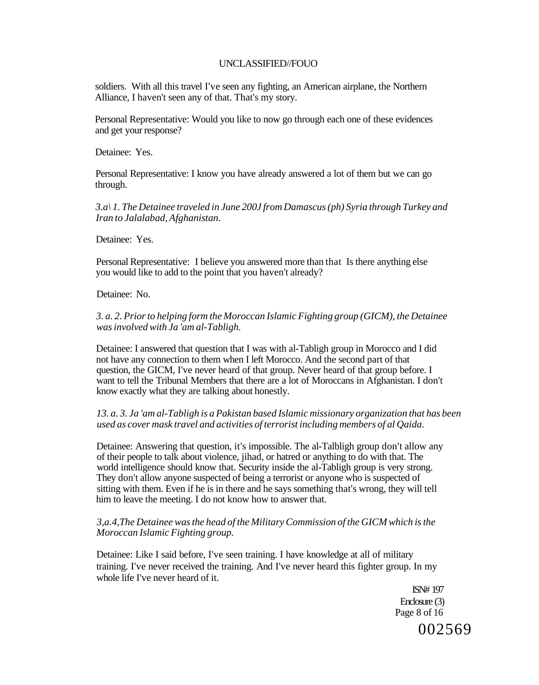soldiers. With all this travel I've seen any fighting, an American airplane, the Northern Alliance, I haven't seen any of that. That's my story.

Personal Representative: Would you like to now go through each one of these evidences and get your response?

Detainee: Yes.

Personal Representative: I know you have already answered a lot of them but we can go through.

*3.a\ 1. The Detainee traveled in June 200J from Damascus (ph) Syria through Turkey and Iran to Jalalabad, Afghanistan.* 

Detainee: Yes.

Personal Representative: I believe you answered more than that Is there anything else you would like to add to the point that you haven't already?

Detainee: No.

*3. a. 2. Prior to helping form the Moroccan Islamic Fighting group (GICM), the Detainee was involved with Ja 'am al-Tabligh.* 

Detainee: I answered that question that I was with al-Tabligh group in Morocco and I did not have any connection to them when I left Morocco. And the second part of that question, the GICM, I've never heard of that group. Never heard of that group before. I want to tell the Tribunal Members that there are a lot of Moroccans in Afghanistan. I don't know exactly what they are talking about honestly.

### *13. a. 3. Ja 'am al-Tabligh is a Pakistan based Islamic missionary organization that has been used as cover mask travel and activities of terrorist including members of al Qaida.*

Detainee: Answering that question, it's impossible. The al-Talbligh group don't allow any of their people to talk about violence, jihad, or hatred or anything to do with that. The world intelligence should know that. Security inside the al-Tabligh group is very strong. They don't allow anyone suspected of being a terrorist or anyone who is suspected of sitting with them. Even if he is in there and he says something that's wrong, they will tell him to leave the meeting. I do not know how to answer that.

### *3,a.4,The Detainee was the head of the Military Commission of the GICM which is the Moroccan Islamic Fighting group.*

Detainee: Like I said before, I've seen training. I have knowledge at all of military training. I've never received the training. And I've never heard this fighter group. In my whole life I've never heard of it.

> ISN# 197 Enclosure (3) Page 8 of 16

002569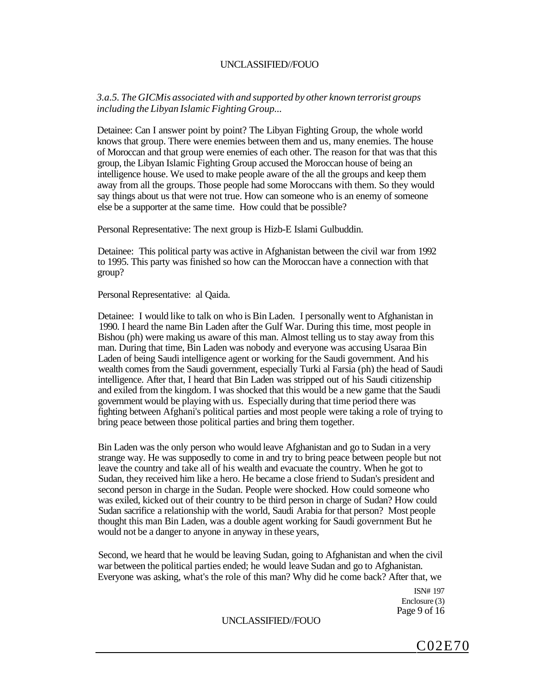*3.a.5. The GICMis associated with and supported by other known terrorist groups including the Libyan Islamic Fighting Group...* 

Detainee: Can I answer point by point? The Libyan Fighting Group, the whole world knows that group. There were enemies between them and us, many enemies. The house of Moroccan and that group were enemies of each other. The reason for that was that this group, the Libyan Islamic Fighting Group accused the Moroccan house of being an intelligence house. We used to make people aware of the all the groups and keep them away from all the groups. Those people had some Moroccans with them. So they would say things about us that were not true. How can someone who is an enemy of someone else be a supporter at the same time. How could that be possible?

Personal Representative: The next group is Hizb-E Islami Gulbuddin.

Detainee: This political party was active in Afghanistan between the civil war from 1992 to 1995. This party was finished so how can the Moroccan have a connection with that group?

Personal Representative: al Qaida.

Detainee: I would like to talk on who is Bin Laden. I personally went to Afghanistan in 1990. I heard the name Bin Laden after the Gulf War. During this time, most people in Bishou (ph) were making us aware of this man. Almost telling us to stay away from this man. During that time, Bin Laden was nobody and everyone was accusing Usaraa Bin Laden of being Saudi intelligence agent or working for the Saudi government. And his wealth comes from the Saudi government, especially Turki al Farsia (ph) the head of Saudi intelligence. After that, I heard that Bin Laden was stripped out of his Saudi citizenship and exiled from the kingdom. I was shocked that this would be a new game that the Saudi government would be playing with us. Especially during that time period there was fighting between Afghani's political parties and most people were taking a role of trying to bring peace between those political parties and bring them together.

Bin Laden was the only person who would leave Afghanistan and go to Sudan in a very strange way. He was supposedly to come in and try to bring peace between people but not leave the country and take all of his wealth and evacuate the country. When he got to Sudan, they received him like a hero. He became a close friend to Sudan's president and second person in charge in the Sudan. People were shocked. How could someone who was exiled, kicked out of their country to be third person in charge of Sudan? How could Sudan sacrifice a relationship with the world, Saudi Arabia for that person? Most people thought this man Bin Laden, was a double agent working for Saudi government But he would not be a danger to anyone in anyway in these years,

Second, we heard that he would be leaving Sudan, going to Afghanistan and when the civil war between the political parties ended; he would leave Sudan and go to Afghanistan. Everyone was asking, what's the role of this man? Why did he come back? After that, we

> ISN# 197 Enclosure (3) Page 9 of 16

#### UNCLASSIFIED//FOUO

C02E70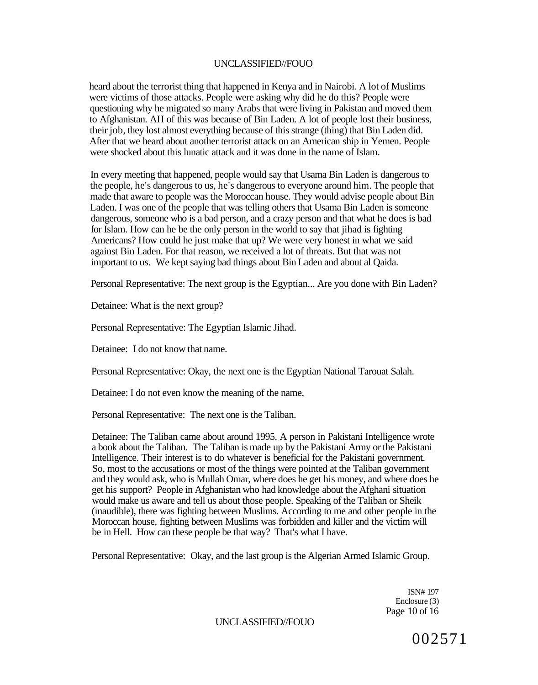heard about the terrorist thing that happened in Kenya and in Nairobi. A lot of Muslims were victims of those attacks. People were asking why did he do this? People were questioning why he migrated so many Arabs that were living in Pakistan and moved them to Afghanistan. AH of this was because of Bin Laden. A lot of people lost their business, their job, they lost almost everything because of this strange (thing) that Bin Laden did. After that we heard about another terrorist attack on an American ship in Yemen. People were shocked about this lunatic attack and it was done in the name of Islam.

In every meeting that happened, people would say that Usama Bin Laden is dangerous to the people, he's dangerous to us, he's dangerous to everyone around him. The people that made that aware to people was the Moroccan house. They would advise people about Bin Laden. I was one of the people that was telling others that Usama Bin Laden is someone dangerous, someone who is a bad person, and a crazy person and that what he does is bad for Islam. How can he be the only person in the world to say that jihad is fighting Americans? How could he just make that up? We were very honest in what we said against Bin Laden. For that reason, we received a lot of threats. But that was not important to us. We kept saying bad things about Bin Laden and about al Qaida.

Personal Representative: The next group is the Egyptian... Are you done with Bin Laden?

Detainee: What is the next group?

Personal Representative: The Egyptian Islamic Jihad.

Detainee: I do not know that name.

Personal Representative: Okay, the next one is the Egyptian National Tarouat Salah.

Detainee: I do not even know the meaning of the name,

Personal Representative: The next one is the Taliban.

Detainee: The Taliban came about around 1995. A person in Pakistani Intelligence wrote a book about the Taliban. The Taliban is made up by the Pakistani Army or the Pakistani Intelligence. Their interest is to do whatever is beneficial for the Pakistani government. So, most to the accusations or most of the things were pointed at the Taliban government and they would ask, who is Mullah Omar, where does he get his money, and where does he get his support? People in Afghanistan who had knowledge about the Afghani situation would make us aware and tell us about those people. Speaking of the Taliban or Sheik (inaudible), there was fighting between Muslims. According to me and other people in the Moroccan house, fighting between Muslims was forbidden and killer and the victim will be in Hell. How can these people be that way? That's what I have.

Personal Representative: Okay, and the last group is the Algerian Armed Islamic Group.

ISN# 197 Enclosure (3) Page 10 of 16

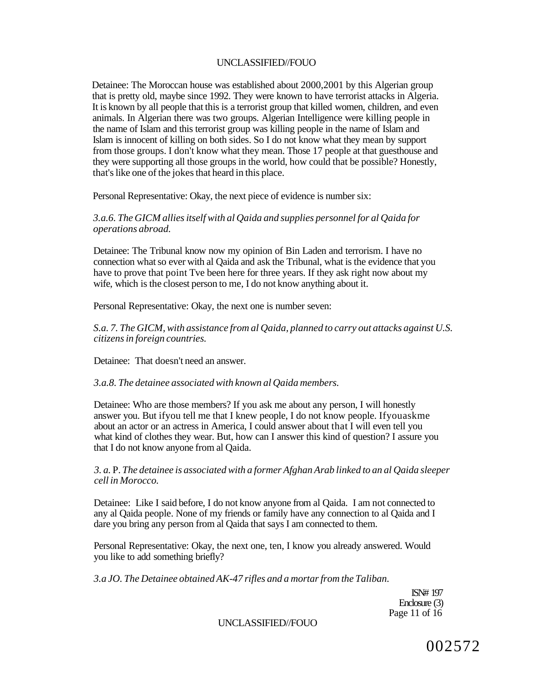Detainee: The Moroccan house was established about 2000,2001 by this Algerian group that is pretty old, maybe since 1992. They were known to have terrorist attacks in Algeria. It is known by all people that this is a terrorist group that killed women, children, and even animals. In Algerian there was two groups. Algerian Intelligence were killing people in the name of Islam and this terrorist group was killing people in the name of Islam and Islam is innocent of killing on both sides. So I do not know what they mean by support from those groups. I don't know what they mean. Those 17 people at that guesthouse and they were supporting all those groups in the world, how could that be possible? Honestly, that's like one of the jokes that heard in this place.

Personal Representative: Okay, the next piece of evidence is number six:

# *3.a.6. The GICM allies itself with al Qaida and supplies personnel for al Qaida for operations abroad.*

Detainee: The Tribunal know now my opinion of Bin Laden and terrorism. I have no connection what so ever with al Qaida and ask the Tribunal, what is the evidence that you have to prove that point Tve been here for three years. If they ask right now about my wife, which is the closest person to me, I do not know anything about it.

Personal Representative: Okay, the next one is number seven:

*S.a. 7. The GICM, with assistance from al Qaida, planned to carry out attacks against U.S. citizens in foreign countries.* 

Detainee: That doesn't need an answer.

### *3.a.8. The detainee associated with known al Qaida members.*

Detainee: Who are those members? If you ask me about any person, I will honestly answer you. But ifyou tell me that I knew people, I do not know people. Ifyouaskme about an actor or an actress in America, I could answer about that I will even tell you what kind of clothes they wear. But, how can I answer this kind of question? I assure you that I do not know anyone from al Qaida.

*3. a.* P. *The detainee is associated with a former Afghan Arab linked to an al Qaida sleeper cell in Morocco.* 

Detainee: Like I said before, I do not know anyone from al Qaida. I am not connected to any al Qaida people. None of my friends or family have any connection to al Qaida and I dare you bring any person from al Qaida that says I am connected to them.

Personal Representative: Okay, the next one, ten, I know you already answered. Would you like to add something briefly?

*3.a JO. The Detainee obtained AK-47 rifles and a mortar from the Taliban.* 

ISN# 197 Enclosure (3) Page 11 of 16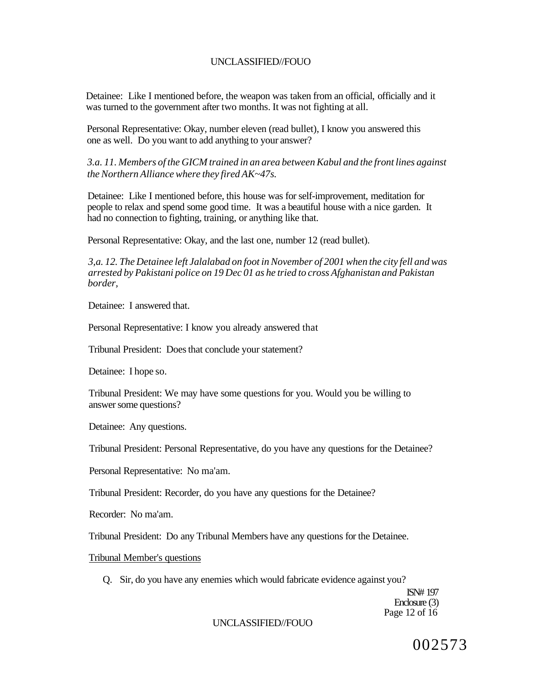Detainee: Like I mentioned before, the weapon was taken from an official, officially and it was turned to the government after two months. It was not fighting at all.

Personal Representative: Okay, number eleven (read bullet), I know you answered this one as well. Do you want to add anything to your answer?

*3.a. 11. Members of the GICM trained in an area between Kabul and the front lines against the Northern Alliance where they fired AK~47s.* 

Detainee: Like I mentioned before, this house was for self-improvement, meditation for people to relax and spend some good time. It was a beautiful house with a nice garden. It had no connection to fighting, training, or anything like that.

Personal Representative: Okay, and the last one, number 12 (read bullet).

*3,a. 12. The Detainee left Jalalabad on foot in November of 2001 when the city fell and was arrested by Pakistani police on 19 Dec 01 as he tried to cross Afghanistan and Pakistan border,* 

Detainee: I answered that.

Personal Representative: I know you already answered that

Tribunal President: Does that conclude your statement?

Detainee: I hope so.

Tribunal President: We may have some questions for you. Would you be willing to answer some questions?

Detainee: Any questions.

Tribunal President: Personal Representative, do you have any questions for the Detainee?

Personal Representative: No ma'am.

Tribunal President: Recorder, do you have any questions for the Detainee?

Recorder: No ma'am.

Tribunal President: Do any Tribunal Members have any questions for the Detainee.

#### Tribunal Member's questions

Q. Sir, do you have any enemies which would fabricate evidence against you?

ISN# 197 Enclosure (3) Page 12 of 16

### UNCLASSIFIED//FOUO

002573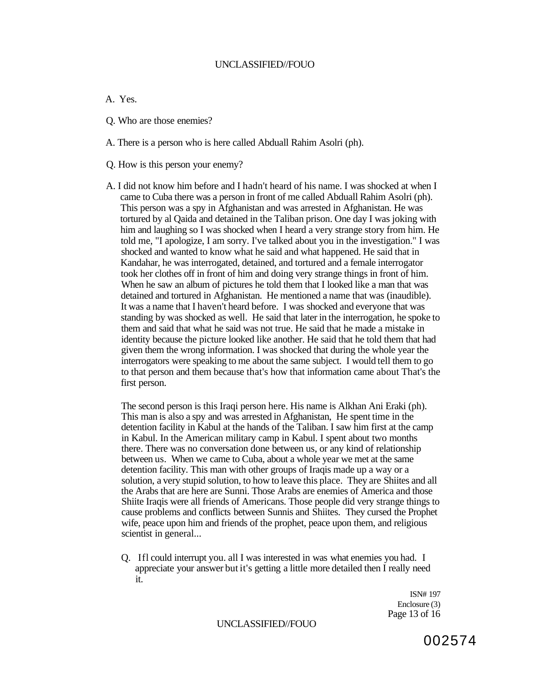A. Yes.

- Q. Who are those enemies?
- A. There is a person who is here called Abduall Rahim Asolri (ph).
- Q. How is this person your enemy?
- A. I did not know him before and I hadn't heard of his name. I was shocked at when I came to Cuba there was a person in front of me called Abduall Rahim Asolri (ph). This person was a spy in Afghanistan and was arrested in Afghanistan. He was tortured by al Qaida and detained in the Taliban prison. One day I was joking with him and laughing so I was shocked when I heard a very strange story from him. He told me, "I apologize, I am sorry. I've talked about you in the investigation." I was shocked and wanted to know what he said and what happened. He said that in Kandahar, he was interrogated, detained, and tortured and a female interrogator took her clothes off in front of him and doing very strange things in front of him. When he saw an album of pictures he told them that I looked like a man that was detained and tortured in Afghanistan. He mentioned a name that was (inaudible). It was a name that I haven't heard before. I was shocked and everyone that was standing by was shocked as well. He said that later in the interrogation, he spoke to them and said that what he said was not true. He said that he made a mistake in identity because the picture looked like another. He said that he told them that had given them the wrong information. I was shocked that during the whole year the interrogators were speaking to me about the same subject. I would tell them to go to that person and them because that's how that information came about That's the first person.

The second person is this Iraqi person here. His name is Alkhan Ani Eraki (ph). This man is also a spy and was arrested in Afghanistan, He spent time in the detention facility in Kabul at the hands of the Taliban. I saw him first at the camp in Kabul. In the American military camp in Kabul. I spent about two months there. There was no conversation done between us, or any kind of relationship between us. When we came to Cuba, about a whole year we met at the same detention facility. This man with other groups of Iraqis made up a way or a solution, a very stupid solution, to how to leave this place. They are Shiites and all the Arabs that are here are Sunni. Those Arabs are enemies of America and those Shiite Iraqis were all friends of Americans. Those people did very strange things to cause problems and conflicts between Sunnis and Shiites. They cursed the Prophet wife, peace upon him and friends of the prophet, peace upon them, and religious scientist in general...

Q. Ifl could interrupt you. all I was interested in was what enemies you had. I appreciate your answer but it's getting a little more detailed then I really need it.

> ISN# 197 Enclosure (3) Page 13 of 16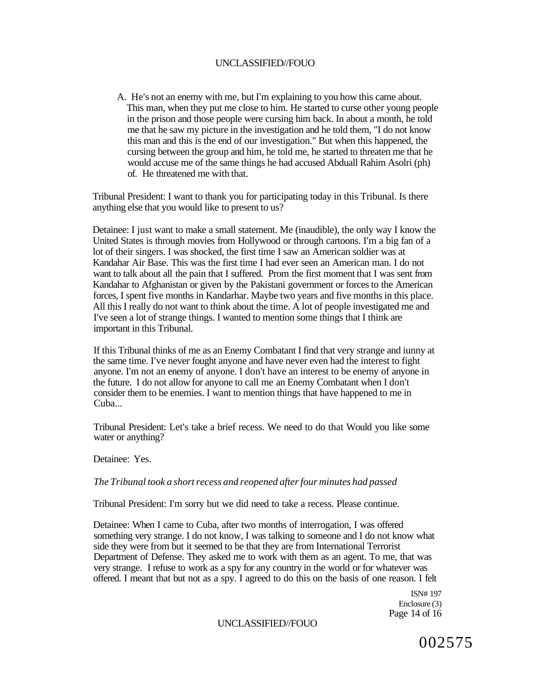A. He's not an enemy with me, but I'm explaining to you how this came about. This man, when they put me close to him. He started to curse other young people in the prison and those people were cursing him back. In about a month, he told me that he saw my picture in the investigation and he told them, "I do not know this man and this is the end of our investigation." But when this happened, the cursing between the group and him, he told me, he started to threaten me that he would accuse me of the same things he had accused Abduall Rahim Asolri (ph) of. He threatened me with that.

Tribunal President: I want to thank you for participating today in this Tribunal. Is there anything else that you would like to present to us?

Detainee: I just want to make a small statement. Me (inaudible), the only way I know the United States is through movies from Hollywood or through cartoons. I'm a big fan of a lot of their singers. I was shocked, the first time I saw an American soldier was at Kandahar Air Base. This was the first time I had ever seen an American man. I do not want to talk about all the pain that I suffered. Prom the first moment that I was sent from Kandahar to Afghanistan or given by the Pakistani government or forces to the American forces, I spent five months in Kandarhar. Maybe two years and five months in this place. All this I really do not want to think about the time. A lot of people investigated me and I've seen a lot of strange things. I wanted to mention some things that I think are important in this Tribunal.

If this Tribunal thinks of me as an Enemy Combatant I find that very strange and iunny at the same time. I've never fought anyone and have never even had the interest to fight anyone. I'm not an enemy of anyone. I don't have an interest to be enemy of anyone in the future. I do not allow for anyone to call me an Enemy Combatant when I don't consider them to be enemies. I want to mention things that have happened to me in Cuba...

Tribunal President: Let's take a brief recess. We need to do that Would you like some water or anything?

Detainee: Yes.

### *The Tribunal took a short recess and reopened after four minutes had passed*

Tribunal President: I'm sorry but we did need to take a recess. Please continue.

Detainee: When I came to Cuba, after two months of interrogation, I was offered something very strange. I do not know, I was talking to someone and I do not know what side they were from but it seemed to be that they are from International Terrorist Department of Defense. They asked me to work with them as an agent. To me, that was very strange. I refuse to work as a spy for any country in the world or for whatever was offered. I meant that but not as a spy. I agreed to do this on the basis of one reason. I felt

> ISN# 197 Enclosure (3) Page 14 of 16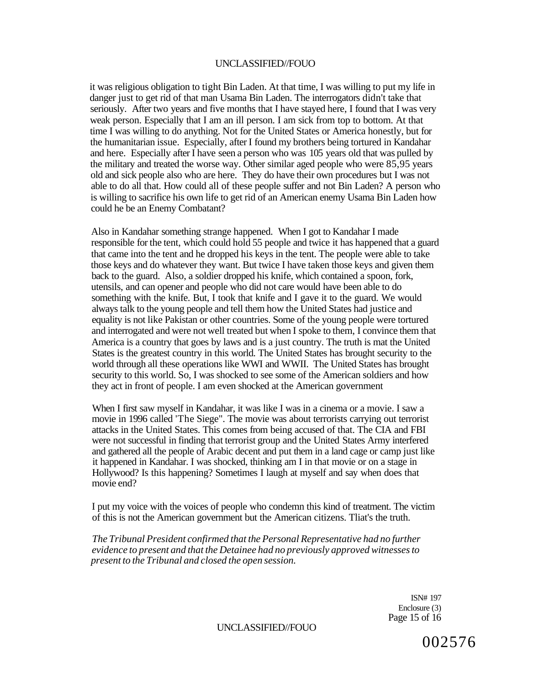it was religious obligation to tight Bin Laden. At that time, I was willing to put my life in danger just to get rid of that man Usama Bin Laden. The interrogators didn't take that seriously. After two years and five months that I have stayed here, I found that I was very weak person. Especially that I am an ill person. I am sick from top to bottom. At that time I was willing to do anything. Not for the United States or America honestly, but for the humanitarian issue. Especially, after I found my brothers being tortured in Kandahar and here. Especially after I have seen a person who was 105 years old that was pulled by the military and treated the worse way. Other similar aged people who were 85,95 years old and sick people also who are here. They do have their own procedures but I was not able to do all that. How could all of these people suffer and not Bin Laden? A person who is willing to sacrifice his own life to get rid of an American enemy Usama Bin Laden how could he be an Enemy Combatant?

Also in Kandahar something strange happened. When I got to Kandahar I made responsible for the tent, which could hold 55 people and twice it has happened that a guard that came into the tent and he dropped his keys in the tent. The people were able to take those keys and do whatever they want. But twice I have taken those keys and given them back to the guard. Also, a soldier dropped his knife, which contained a spoon, fork, utensils, and can opener and people who did not care would have been able to do something with the knife. But, I took that knife and I gave it to the guard. We would always talk to the young people and tell them how the United States had justice and equality is not like Pakistan or other countries. Some of the young people were tortured and interrogated and were not well treated but when I spoke to them, I convince them that America is a country that goes by laws and is a just country. The truth is mat the United States is the greatest country in this world. The United States has brought security to the world through all these operations like WWI and WWII. The United States has brought security to this world. So, I was shocked to see some of the American soldiers and how they act in front of people. I am even shocked at the American government

When I first saw myself in Kandahar, it was like I was in a cinema or a movie. I saw a movie in 1996 called 'The Siege". The movie was about terrorists carrying out terrorist attacks in the United States. This comes from being accused of that. The CIA and FBI were not successful in finding that terrorist group and the United States Army interfered and gathered all the people of Arabic decent and put them in a land cage or camp just like it happened in Kandahar. I was shocked, thinking am I in that movie or on a stage in Hollywood? Is this happening? Sometimes I laugh at myself and say when does that movie end?

I put my voice with the voices of people who condemn this kind of treatment. The victim of this is not the American government but the American citizens. Tliat's the truth.

*The Tribunal President confirmed that the Personal Representative had no further evidence to present and that the Detainee had no previously approved witnesses to present to the Tribunal and closed the open session.* 

> ISN# 197 Enclosure (3) Page 15 of 16